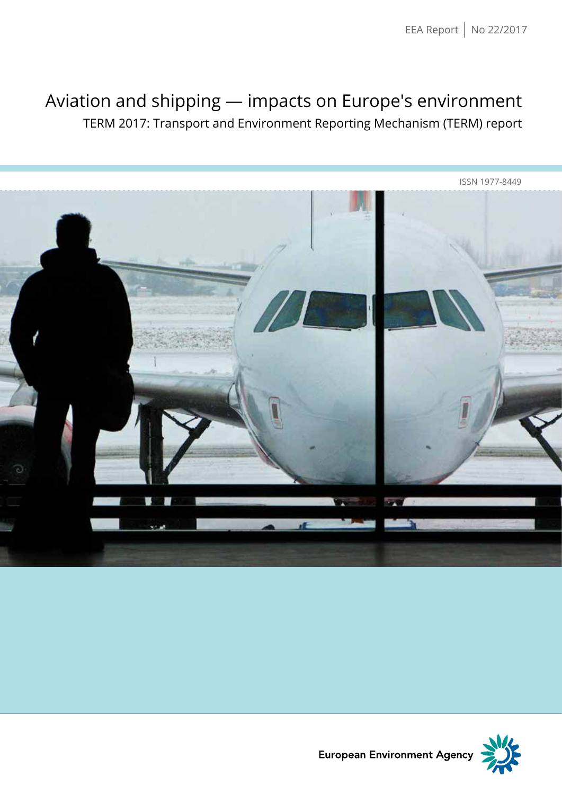## Aviation and shipping — impacts on Europe's environment

TERM 2017: Transport and Environment Reporting Mechanism (TERM) report





European Environment Agency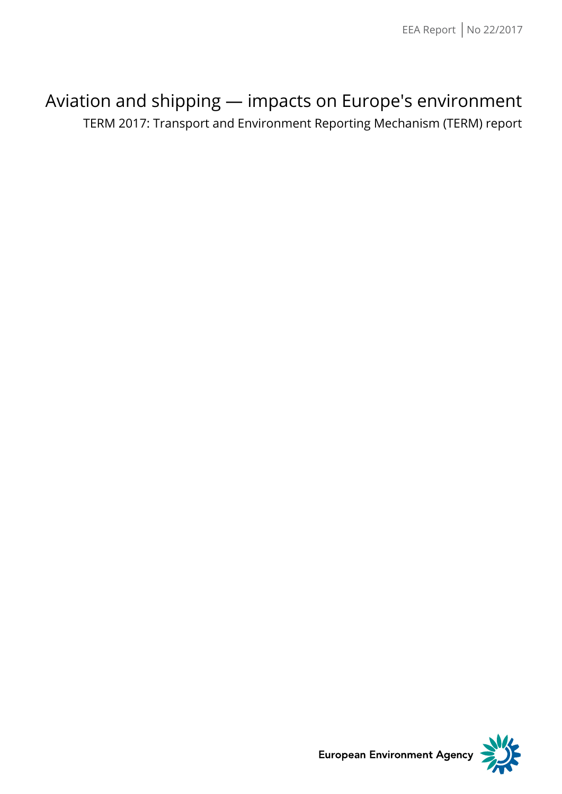## Aviation and shipping — impacts on Europe's environment

TERM 2017: Transport and Environment Reporting Mechanism (TERM) report



**European Environment Agency**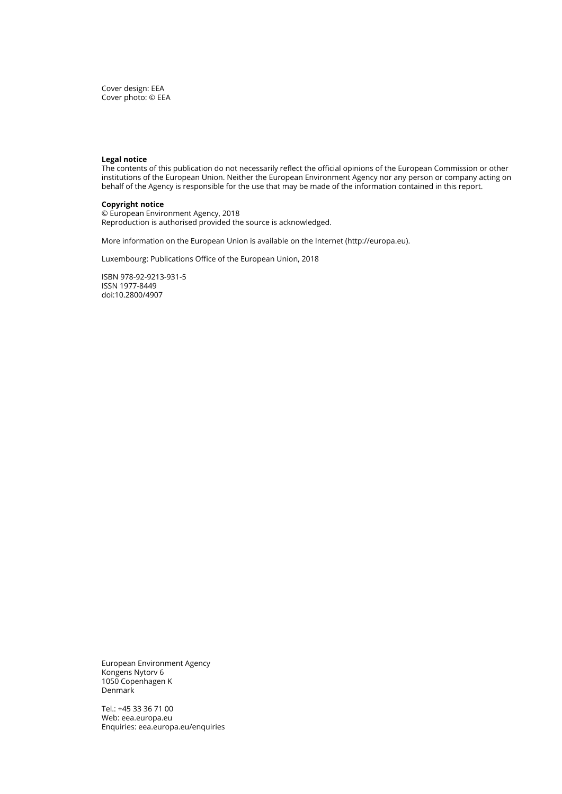Cover design: EEA Cover photo: © EEA

#### **Legal notice**

The contents of this publication do not necessarily reflect the official opinions of the European Commission or other institutions of the European Union. Neither the European Environment Agency nor any person or company acting on behalf of the Agency is responsible for the use that may be made of the information contained in this report.

## **Copyright notice**

© European Environment Agency, 2018 Reproduction is authorised provided the source is acknowledged.

More information on the European Union is available on the Internet (http://europa.eu).

Luxembourg: Publications Office of the European Union, 2018

ISBN 978-92-9213-931-5 ISSN 1977-8449 doi:10.2800/4907

European Environment Agency Kongens Nytorv 6 1050 Copenhagen K Denmark

Tel.: +45 33 36 71 00 Web: eea.europa.eu Enquiries: eea.europa.eu/enquiries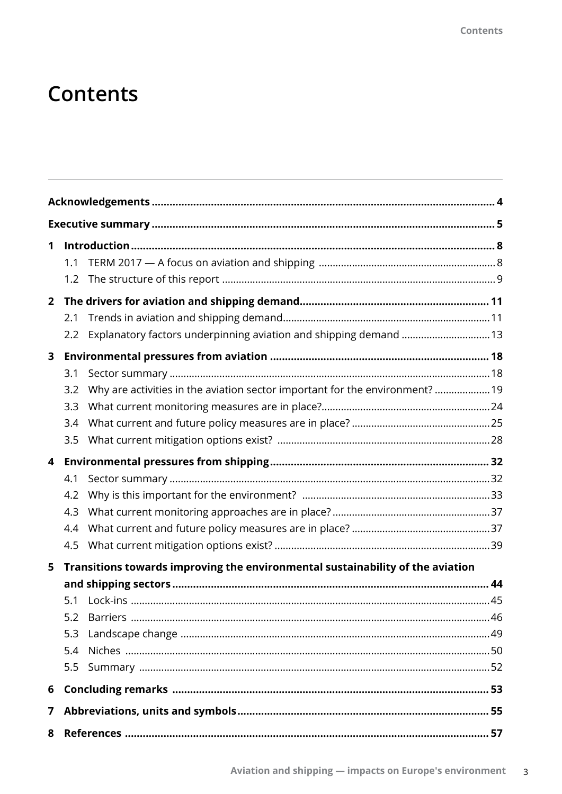# **Contents**

| 1            |                                                                                     |  |
|--------------|-------------------------------------------------------------------------------------|--|
|              | 1.1                                                                                 |  |
|              | 1.2                                                                                 |  |
| $\mathbf{2}$ |                                                                                     |  |
|              | 2.1                                                                                 |  |
|              | Explanatory factors underpinning aviation and shipping demand  13<br>2.2            |  |
| 3            |                                                                                     |  |
|              | 3.1                                                                                 |  |
|              | Why are activities in the aviation sector important for the environment?  19<br>3.2 |  |
|              | 3.3                                                                                 |  |
|              | 3.4                                                                                 |  |
|              | 3.5                                                                                 |  |
| 4            |                                                                                     |  |
|              | 4.1                                                                                 |  |
|              | 4.2                                                                                 |  |
|              | 4.3                                                                                 |  |
|              | 4.4                                                                                 |  |
|              | 4.5                                                                                 |  |
| 5            | Transitions towards improving the environmental sustainability of the aviation      |  |
|              |                                                                                     |  |
|              | 5.1                                                                                 |  |
|              | 5.2                                                                                 |  |
|              | 5.3                                                                                 |  |
|              | 5.4                                                                                 |  |
|              | 5.5                                                                                 |  |
| 6            |                                                                                     |  |
| 7            |                                                                                     |  |
| 8            |                                                                                     |  |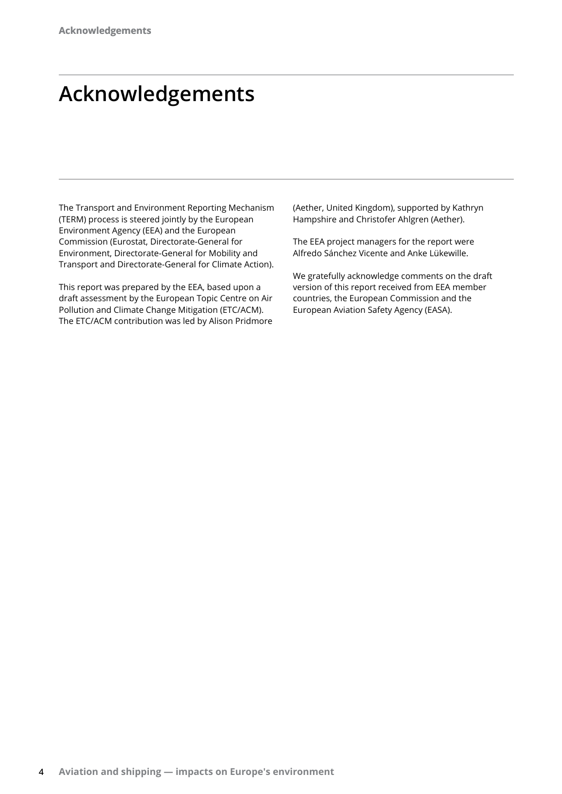# **Acknowledgements**

The Transport and Environment Reporting Mechanism (TERM) process is steered jointly by the European Environment Agency (EEA) and the European Commission (Eurostat, Directorate-General for Environment, Directorate-General for Mobility and Transport and Directorate-General for Climate Action).

This report was prepared by the EEA, based upon a draft assessment by the European Topic Centre on Air Pollution and Climate Change Mitigation (ETC/ACM). The ETC/ACM contribution was led by Alison Pridmore (Aether, United Kingdom), supported by Kathryn Hampshire and Christofer Ahlgren (Aether).

The EEA project managers for the report were Alfredo Sánchez Vicente and Anke Lükewille.

We gratefully acknowledge comments on the draft version of this report received from EEA member countries, the European Commission and the European Aviation Safety Agency (EASA).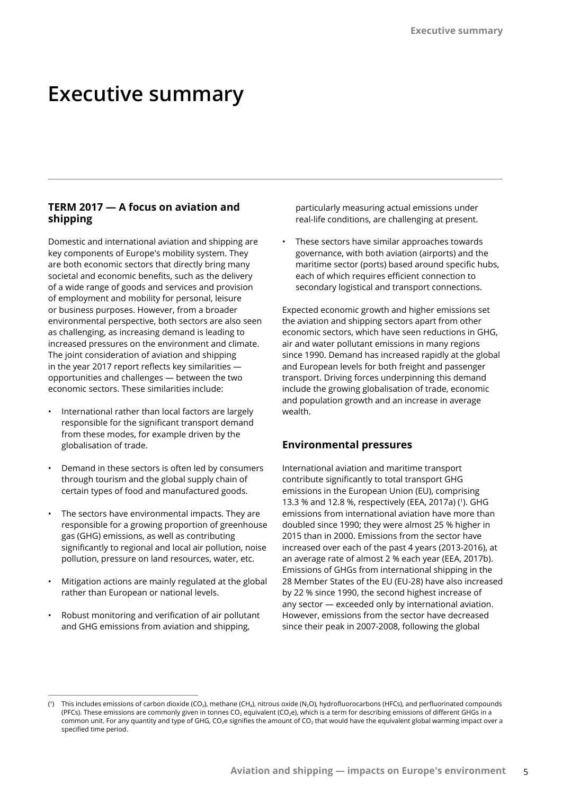## **Executive summary**

## **TERM 2017 — A focus on aviation and shipping**

Domestic and international aviation and shipping are key components of Europe's mobility system. They are both economic sectors that directly bring many societal and economic benefits, such as the delivery of a wide range of goods and services and provision of employment and mobility for personal, leisure or business purposes. However, from a broader environmental perspective, both sectors are also seen as challenging, as increasing demand is leading to increased pressures on the environment and climate. The joint consideration of aviation and shipping in the year 2017 report reflects key similarities opportunities and challenges — between the two economic sectors. These similarities include:

- International rather than local factors are largely responsible for the significant transport demand from these modes, for example driven by the globalisation of trade.
- Demand in these sectors is often led by consumers through tourism and the global supply chain of certain types of food and manufactured goods.
- The sectors have environmental impacts. They are responsible for a growing proportion of greenhouse gas (GHG) emissions, as well as contributing significantly to regional and local air pollution, noise pollution, pressure on land resources, water, etc.
- Mitigation actions are mainly regulated at the global rather than European or national levels.
- Robust monitoring and verification of air pollutant and GHG emissions from aviation and shipping,

particularly measuring actual emissions under real-life conditions, are challenging at present.

• These sectors have similar approaches towards governance, with both aviation (airports) and the maritime sector (ports) based around specific hubs, each of which requires efficient connection to secondary logistical and transport connections.

Expected economic growth and higher emissions set the aviation and shipping sectors apart from other economic sectors, which have seen reductions in GHG, air and water pollutant emissions in many regions since 1990. Demand has increased rapidly at the global and European levels for both freight and passenger transport. Driving forces underpinning this demand include the growing globalisation of trade, economic and population growth and an increase in average wealth.

## **Environmental pressures**

International aviation and maritime transport contribute significantly to total transport GHG emissions in the European Union (EU), comprising 13.3 % and 12.8 %, respectively (EEA, 2017a) (1). GHG emissions from international aviation have more than doubled since 1990; they were almost 25 % higher in 2015 than in 2000. Emissions from the sector have increased over each of the past 4 years (2013-2016), at an average rate of almost 2 % each year (EEA, 2017b). Emissions of GHGs from international shipping in the 28 Member States of the EU (EU-28) have also increased by 22 % since 1990, the second highest increase of any sector — exceeded only by international aviation. However, emissions from the sector have decreased since their peak in 2007-2008, following the global

<sup>(&#</sup>x27;) This includes emissions of carbon dioxide (CO<sub>2</sub>), methane (CH<sub>4</sub>), nitrous oxide (N<sub>2</sub>O), hydrofluorocarbons (HFCs), and perfluorinated compounds (PFCs). These emissions are commonly given in tonnes CO<sub>2</sub> equivalent (CO<sub>2</sub>e), which is a term for describing emissions of different GHGs in a common unit. For any quantity and type of GHG, CO<sub>2</sub>e signifies the amount of CO<sub>2</sub> that would have the equivalent global warming impact over a specified time period.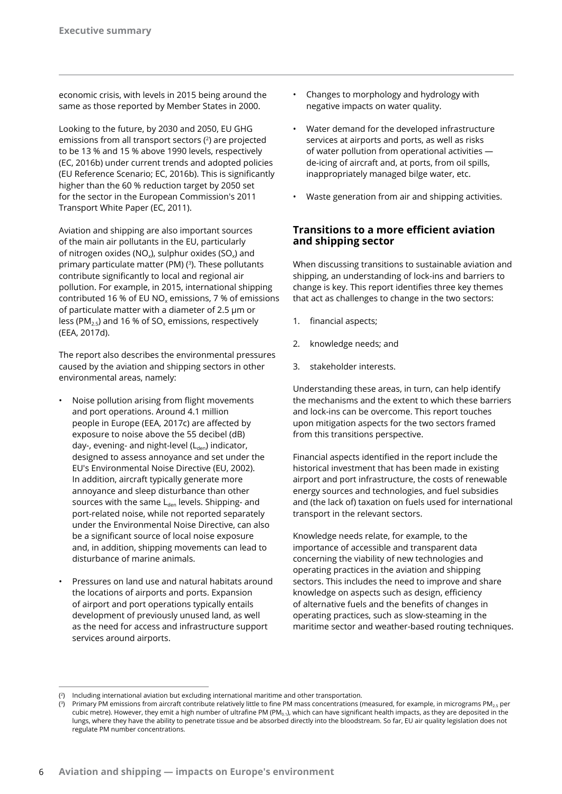economic crisis, with levels in 2015 being around the same as those reported by Member States in 2000.

Looking to the future, by 2030 and 2050, EU GHG emissions from all transport sectors (2) are projected to be 13 % and 15 % above 1990 levels, respectively (EC, 2016b) under current trends and adopted policies (EU Reference Scenario; EC, 2016b). This is significantly higher than the 60 % reduction target by 2050 set for the sector in the European Commission's 2011 Transport White Paper (EC, 2011).

Aviation and shipping are also important sources of the main air pollutants in the EU, particularly of nitrogen oxides (NO $_{\rm v}$ ), sulphur oxides (SO $_{\rm v}$ ) and primary particulate matter (PM)  $(3)$ . These pollutants contribute significantly to local and regional air pollution. For example, in 2015, international shipping contributed 16 % of EU NO<sub>x</sub> emissions, 7 % of emissions of particulate matter with a diameter of 2.5 μm or less (PM<sub>2.5</sub>) and 16 % of SO<sub>x</sub> emissions, respectively (EEA, 2017d).

The report also describes the environmental pressures caused by the aviation and shipping sectors in other environmental areas, namely:

- Noise pollution arising from flight movements and port operations. Around 4.1 million people in Europe (EEA, 2017c) are affected by exposure to noise above the 55 decibel (dB) day-, evening- and night-level  $(L_{den})$  indicator, designed to assess annoyance and set under the EU's Environmental Noise Directive (EU, 2002). In addition, aircraft typically generate more annoyance and sleep disturbance than other sources with the same  $L_{den}$  levels. Shipping- and port-related noise, while not reported separately under the Environmental Noise Directive, can also be a significant source of local noise exposure and, in addition, shipping movements can lead to disturbance of marine animals.
- Pressures on land use and natural habitats around the locations of airports and ports. Expansion of airport and port operations typically entails development of previously unused land, as well as the need for access and infrastructure support services around airports.
- Changes to morphology and hydrology with negative impacts on water quality.
- Water demand for the developed infrastructure services at airports and ports, as well as risks of water pollution from operational activities de-icing of aircraft and, at ports, from oil spills, inappropriately managed bilge water, etc.
- Waste generation from air and shipping activities.

## **Transitions to a more efficient aviation and shipping sector**

When discussing transitions to sustainable aviation and shipping, an understanding of lock-ins and barriers to change is key. This report identifies three key themes that act as challenges to change in the two sectors:

- 1. financial aspects;
- 2. knowledge needs; and
- 3. stakeholder interests.

Understanding these areas, in turn, can help identify the mechanisms and the extent to which these barriers and lock-ins can be overcome. This report touches upon mitigation aspects for the two sectors framed from this transitions perspective.

Financial aspects identified in the report include the historical investment that has been made in existing airport and port infrastructure, the costs of renewable energy sources and technologies, and fuel subsidies and (the lack of) taxation on fuels used for international transport in the relevant sectors.

Knowledge needs relate, for example, to the importance of accessible and transparent data concerning the viability of new technologies and operating practices in the aviation and shipping sectors. This includes the need to improve and share knowledge on aspects such as design, efficiency of alternative fuels and the benefits of changes in operating practices, such as slow-steaming in the maritime sector and weather-based routing techniques.

<sup>(</sup> 2) Including international aviation but excluding international maritime and other transportation.

<sup>(&</sup>lt;sup>3</sup>) Primary PM emissions from aircraft contribute relatively little to fine PM mass concentrations (measured, for example, in micrograms PM<sub>2.5</sub> per cubic metre). However, they emit a high number of ultrafine PM (PM<sub>0.1</sub>), which can have significant health impacts, as they are deposited in the lungs, where they have the ability to penetrate tissue and be absorbed directly into the bloodstream. So far, EU air quality legislation does not regulate PM number concentrations.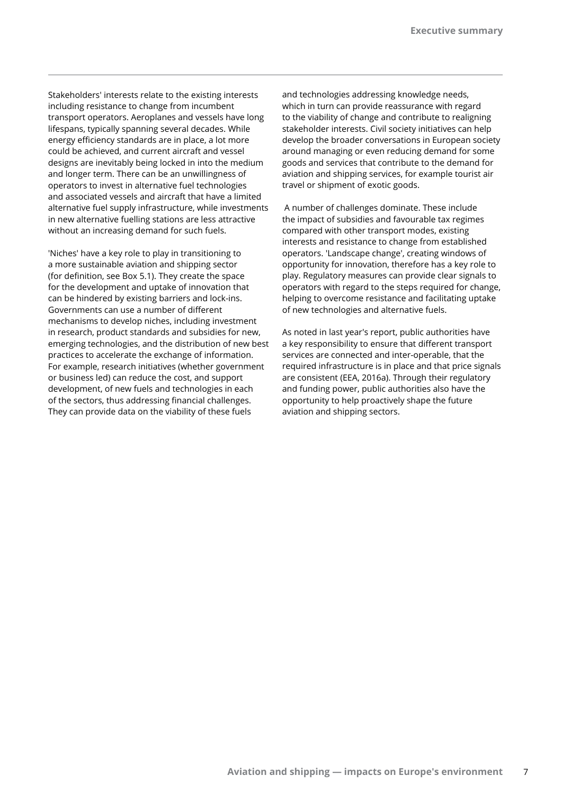Stakeholders' interests relate to the existing interests including resistance to change from incumbent transport operators. Aeroplanes and vessels have long lifespans, typically spanning several decades. While energy efficiency standards are in place, a lot more could be achieved, and current aircraft and vessel designs are inevitably being locked in into the medium and longer term. There can be an unwillingness of operators to invest in alternative fuel technologies and associated vessels and aircraft that have a limited alternative fuel supply infrastructure, while investments in new alternative fuelling stations are less attractive without an increasing demand for such fuels.

'Niches' have a key role to play in transitioning to a more sustainable aviation and shipping sector (for definition, see Box 5.1). They create the space for the development and uptake of innovation that can be hindered by existing barriers and lock-ins. Governments can use a number of different mechanisms to develop niches, including investment in research, product standards and subsidies for new, emerging technologies, and the distribution of new best practices to accelerate the exchange of information. For example, research initiatives (whether government or business led) can reduce the cost, and support development, of new fuels and technologies in each of the sectors, thus addressing financial challenges. They can provide data on the viability of these fuels

and technologies addressing knowledge needs, which in turn can provide reassurance with regard to the viability of change and contribute to realigning stakeholder interests. Civil society initiatives can help develop the broader conversations in European society around managing or even reducing demand for some goods and services that contribute to the demand for aviation and shipping services, for example tourist air travel or shipment of exotic goods.

 A number of challenges dominate. These include the impact of subsidies and favourable tax regimes compared with other transport modes, existing interests and resistance to change from established operators. 'Landscape change', creating windows of opportunity for innovation, therefore has a key role to play. Regulatory measures can provide clear signals to operators with regard to the steps required for change, helping to overcome resistance and facilitating uptake of new technologies and alternative fuels.

As noted in last year's report, public authorities have a key responsibility to ensure that different transport services are connected and inter-operable, that the required infrastructure is in place and that price signals are consistent (EEA, 2016a). Through their regulatory and funding power, public authorities also have the opportunity to help proactively shape the future aviation and shipping sectors.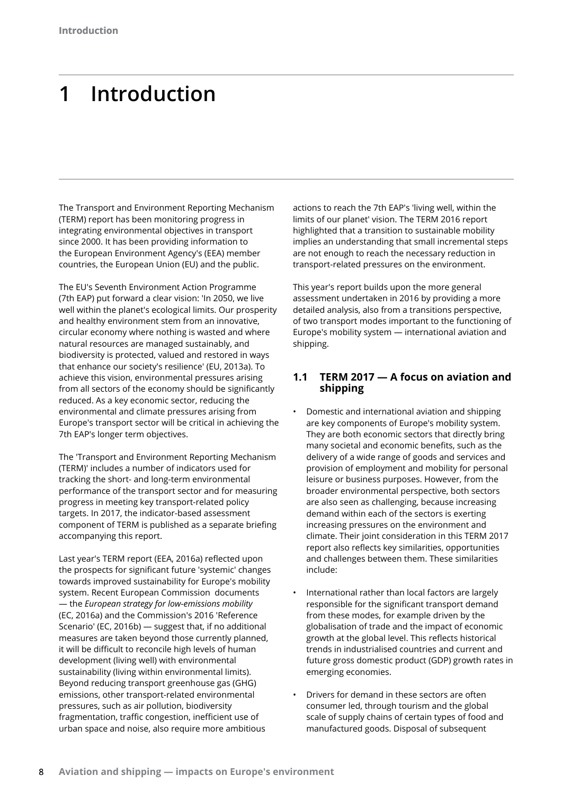# **1 Introduction**

The Transport and Environment Reporting Mechanism (TERM) report has been monitoring progress in integrating environmental objectives in transport since 2000. It has been providing information to the European Environment Agency's (EEA) member countries, the European Union (EU) and the public.

The EU's Seventh Environment Action Programme (7th EAP) put forward a clear vision: 'In 2050, we live well within the planet's ecological limits. Our prosperity and healthy environment stem from an innovative, circular economy where nothing is wasted and where natural resources are managed sustainably, and biodiversity is protected, valued and restored in ways that enhance our society's resilience' (EU, 2013a). To achieve this vision, environmental pressures arising from all sectors of the economy should be significantly reduced. As a key economic sector, reducing the environmental and climate pressures arising from Europe's transport sector will be critical in achieving the 7th EAP's longer term objectives.

The 'Transport and Environment Reporting Mechanism (TERM)' includes a number of indicators used for tracking the short- and long-term environmental performance of the transport sector and for measuring progress in meeting key transport-related policy targets. In 2017, the indicator-based assessment component of TERM is published as a separate briefing accompanying this report.

Last year's TERM report (EEA, 2016a) reflected upon the prospects for significant future 'systemic' changes towards improved sustainability for Europe's mobility system. Recent European Commission documents — the *European strategy for low-emissions mobility* (EC, 2016a) and the Commission's 2016 'Reference Scenario' (EC, 2016b) — suggest that, if no additional measures are taken beyond those currently planned, it will be difficult to reconcile high levels of human development (living well) with environmental sustainability (living within environmental limits). Beyond reducing transport greenhouse gas (GHG) emissions, other transport-related environmental pressures, such as air pollution, biodiversity fragmentation, traffic congestion, inefficient use of urban space and noise, also require more ambitious

actions to reach the 7th EAP's 'living well, within the limits of our planet' vision. The TERM 2016 report highlighted that a transition to sustainable mobility implies an understanding that small incremental steps are not enough to reach the necessary reduction in transport-related pressures on the environment.

This year's report builds upon the more general assessment undertaken in 2016 by providing a more detailed analysis, also from a transitions perspective, of two transport modes important to the functioning of Europe's mobility system — international aviation and shipping.

## **1.1 TERM 2017 — A focus on aviation and shipping**

- Domestic and international aviation and shipping are key components of Europe's mobility system. They are both economic sectors that directly bring many societal and economic benefits, such as the delivery of a wide range of goods and services and provision of employment and mobility for personal leisure or business purposes. However, from the broader environmental perspective, both sectors are also seen as challenging, because increasing demand within each of the sectors is exerting increasing pressures on the environment and climate. Their joint consideration in this TERM 2017 report also reflects key similarities, opportunities and challenges between them. These similarities include:
- International rather than local factors are largely responsible for the significant transport demand from these modes, for example driven by the globalisation of trade and the impact of economic growth at the global level. This reflects historical trends in industrialised countries and current and future gross domestic product (GDP) growth rates in emerging economies.
- Drivers for demand in these sectors are often consumer led, through tourism and the global scale of supply chains of certain types of food and manufactured goods. Disposal of subsequent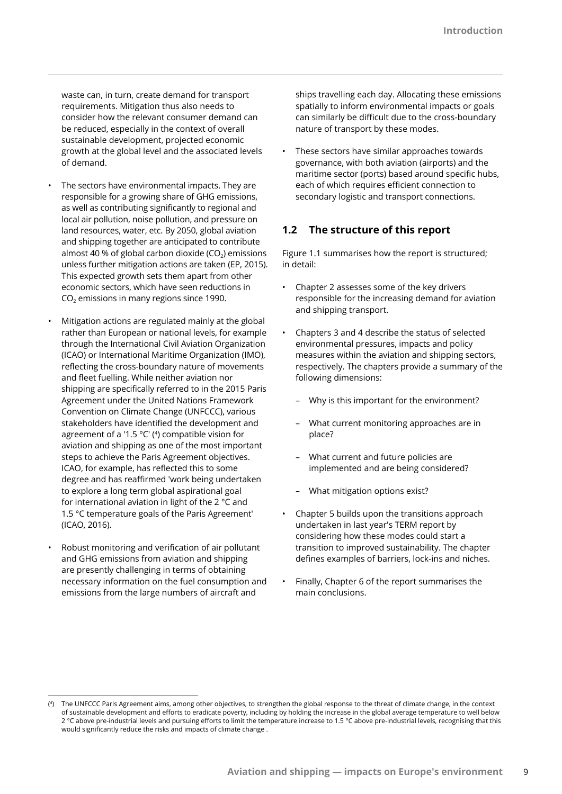waste can, in turn, create demand for transport requirements. Mitigation thus also needs to consider how the relevant consumer demand can be reduced, especially in the context of overall sustainable development, projected economic growth at the global level and the associated levels of demand.

- The sectors have environmental impacts. They are responsible for a growing share of GHG emissions, as well as contributing significantly to regional and local air pollution, noise pollution, and pressure on land resources, water, etc. By 2050, global aviation and shipping together are anticipated to contribute almost 40 % of global carbon dioxide ( $CO<sub>2</sub>$ ) emissions unless further mitigation actions are taken (EP, 2015). This expected growth sets them apart from other economic sectors, which have seen reductions in  $CO<sub>2</sub>$  emissions in many regions since 1990.
- Mitigation actions are regulated mainly at the global rather than European or national levels, for example through the International Civil Aviation Organization (ICAO) or International Maritime Organization (IMO), reflecting the cross-boundary nature of movements and fleet fuelling. While neither aviation nor shipping are specifically referred to in the 2015 Paris Agreement under the United Nations Framework Convention on Climate Change (UNFCCC), various stakeholders have identified the development and agreement of a '1.5 °C' (<sup>4</sup> ) compatible vision for aviation and shipping as one of the most important steps to achieve the Paris Agreement objectives. ICAO, for example, has reflected this to some degree and has reaffirmed 'work being undertaken to explore a long term global aspirational goal for international aviation in light of the 2 °C and 1.5 °C temperature goals of the Paris Agreement' (ICAO, 2016).
- Robust monitoring and verification of air pollutant and GHG emissions from aviation and shipping are presently challenging in terms of obtaining necessary information on the fuel consumption and emissions from the large numbers of aircraft and

ships travelling each day. Allocating these emissions spatially to inform environmental impacts or goals can similarly be difficult due to the cross-boundary nature of transport by these modes.

• These sectors have similar approaches towards governance, with both aviation (airports) and the maritime sector (ports) based around specific hubs, each of which requires efficient connection to secondary logistic and transport connections.

## **1.2 The structure of this report**

Figure 1.1 summarises how the report is structured; in detail:

- Chapter 2 assesses some of the key drivers responsible for the increasing demand for aviation and shipping transport.
- Chapters 3 and 4 describe the status of selected environmental pressures, impacts and policy measures within the aviation and shipping sectors, respectively. The chapters provide a summary of the following dimensions:
	- Why is this important for the environment?
	- What current monitoring approaches are in place?
	- What current and future policies are implemented and are being considered?
	- What mitigation options exist?
- Chapter 5 builds upon the transitions approach undertaken in last year's TERM report by considering how these modes could start a transition to improved sustainability. The chapter defines examples of barriers, lock-ins and niches.
- Finally, Chapter 6 of the report summarises the main conclusions.

<sup>(</sup> 4) The UNFCCC Paris Agreement aims, among other objectives, to strengthen the global response to the threat of climate change, in the context of sustainable development and efforts to eradicate poverty, including by holding the increase in the global average temperature to well below 2 °C above pre-industrial levels and pursuing efforts to limit the temperature increase to 1.5 °C above pre-industrial levels, recognising that this would significantly reduce the risks and impacts of climate change .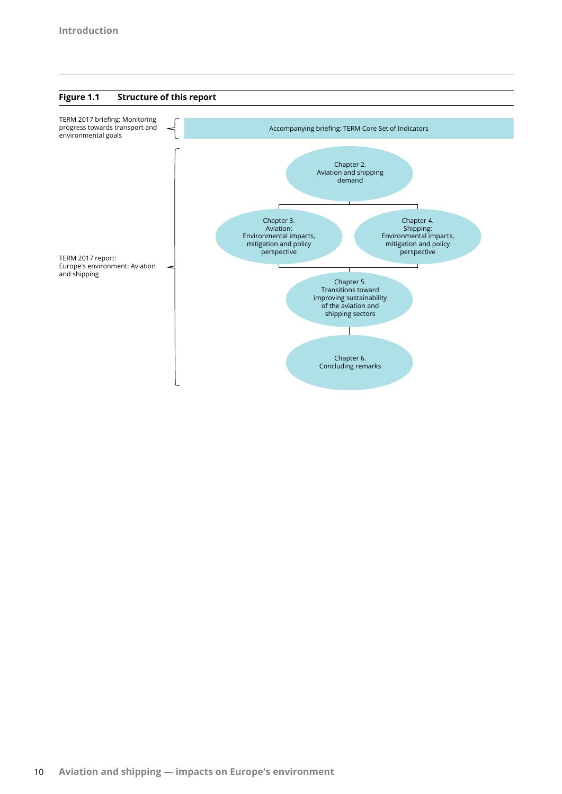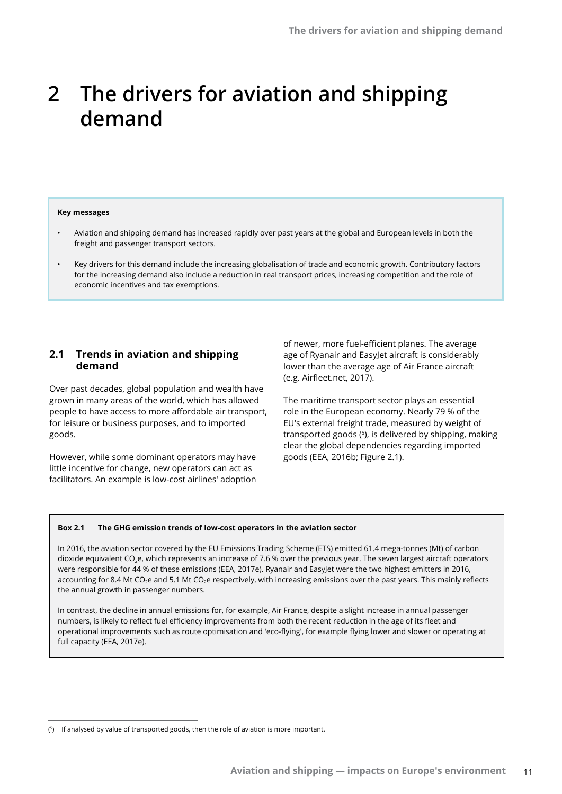# **2 The drivers for aviation and shipping demand**

#### **Key messages**

- Aviation and shipping demand has increased rapidly over past years at the global and European levels in both the freight and passenger transport sectors.
- Key drivers for this demand include the increasing globalisation of trade and economic growth. Contributory factors for the increasing demand also include a reduction in real transport prices, increasing competition and the role of economic incentives and tax exemptions.

## **2.1 Trends in aviation and shipping demand**

Over past decades, global population and wealth have grown in many areas of the world, which has allowed people to have access to more affordable air transport, for leisure or business purposes, and to imported goods.

However, while some dominant operators may have little incentive for change, new operators can act as facilitators. An example is low-cost airlines' adoption of newer, more fuel-efficient planes. The average age of Ryanair and EasyJet aircraft is considerably lower than the average age of Air France aircraft (e.g. Airfleet.net, 2017).

The maritime transport sector plays an essential role in the European economy. Nearly 79 % of the EU's external freight trade, measured by weight of transported goods (5), is delivered by shipping, making clear the global dependencies regarding imported goods (EEA, 2016b; Figure 2.1).

#### **Box 2.1 The GHG emission trends of low-cost operators in the aviation sector**

In 2016, the aviation sector covered by the EU Emissions Trading Scheme (ETS) emitted 61.4 mega-tonnes (Mt) of carbon dioxide equivalent CO<sub>2</sub>e, which represents an increase of 7.6 % over the previous year. The seven largest aircraft operators were responsible for 44 % of these emissions (EEA, 2017e). Ryanair and EasyJet were the two highest emitters in 2016, accounting for 8.4 Mt CO<sub>2</sub>e and 5.1 Mt CO<sub>2</sub>e respectively, with increasing emissions over the past years. This mainly reflects the annual growth in passenger numbers.

In contrast, the decline in annual emissions for, for example, Air France, despite a slight increase in annual passenger numbers, is likely to reflect fuel efficiency improvements from both the recent reduction in the age of its fleet and operational improvements such as route optimisation and 'eco-flying', for example flying lower and slower or operating at full capacity (EEA, 2017e).

<sup>(</sup> 5) If analysed by value of transported goods, then the role of aviation is more important.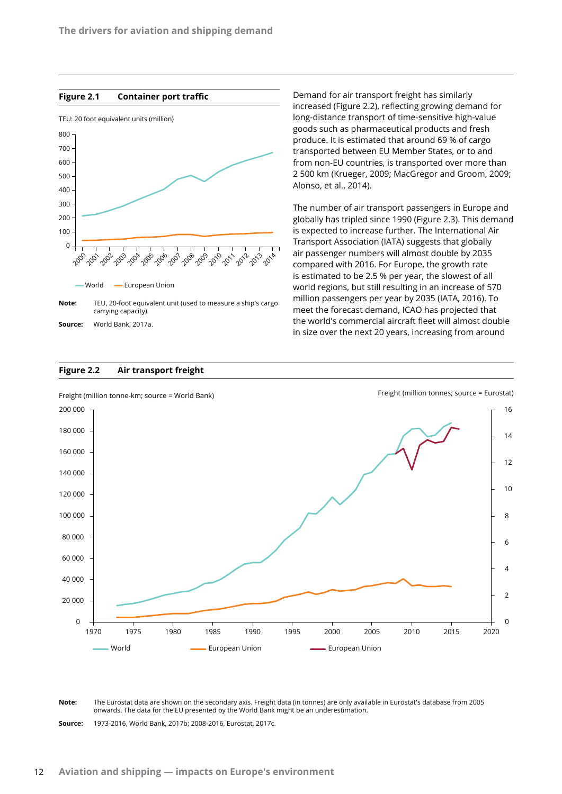#### **Figure 2.1 Container port traffic**



**Source:** World Bank, 2017a.

#### **Figure 2.2 Air transport freight**

Demand for air transport freight has similarly increased (Figure 2.2), reflecting growing demand for long-distance transport of time-sensitive high-value goods such as pharmaceutical products and fresh produce. It is estimated that around 69 % of cargo transported between EU Member States, or to and from non-EU countries, is transported over more than 2 500 km (Krueger, 2009; MacGregor and Groom, 2009; Alonso, et al., 2014).

The number of air transport passengers in Europe and globally has tripled since 1990 (Figure 2.3). This demand is expected to increase further. The International Air Transport Association (IATA) suggests that globally air passenger numbers will almost double by 2035 compared with 2016. For Europe, the growth rate is estimated to be 2.5 % per year, the slowest of all world regions, but still resulting in an increase of 570 million passengers per year by 2035 (IATA, 2016). To meet the forecast demand, ICAO has projected that the world's commercial aircraft fleet will almost double in size over the next 20 years, increasing from around



**Note:** The Eurostat data are shown on the secondary axis. Freight data (in tonnes) are only available in Eurostat's database from 2005 onwards. The data for the EU presented by the World Bank might be an underestimation.

**Source:** 1973-2016, World Bank, 2017b; 2008-2016, Eurostat, 2017c.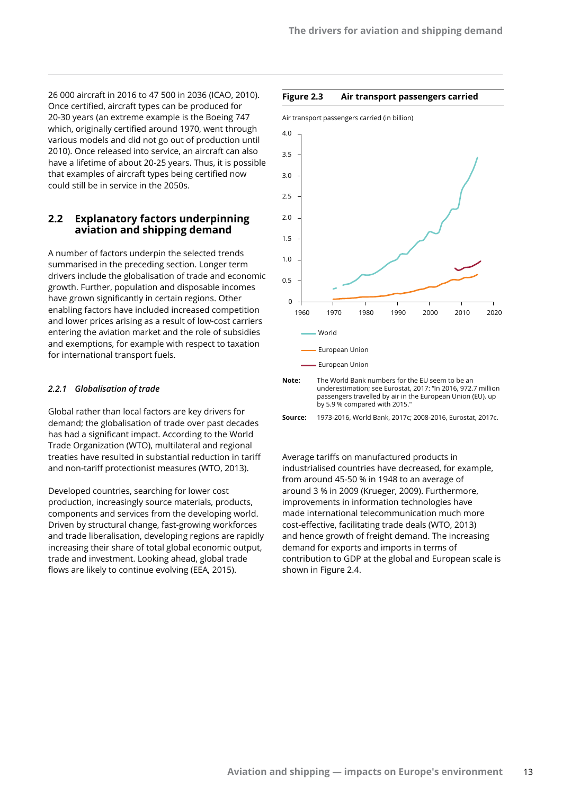26 000 aircraft in 2016 to 47 500 in 2036 (ICAO, 2010). Once certified, aircraft types can be produced for 20-30 years (an extreme example is the Boeing 747 which, originally certified around 1970, went through various models and did not go out of production until 2010). Once released into service, an aircraft can also have a lifetime of about 20-25 years. Thus, it is possible that examples of aircraft types being certified now could still be in service in the 2050s.

## **2.2 Explanatory factors underpinning aviation and shipping demand**

A number of factors underpin the selected trends summarised in the preceding section. Longer term drivers include the globalisation of trade and economic growth. Further, population and disposable incomes have grown significantly in certain regions. Other enabling factors have included increased competition and lower prices arising as a result of low-cost carriers entering the aviation market and the role of subsidies and exemptions, for example with respect to taxation for international transport fuels.

#### *2.2.1 Globalisation of trade*

Global rather than local factors are key drivers for demand; the globalisation of trade over past decades has had a significant impact. According to the World Trade Organization (WTO), multilateral and regional treaties have resulted in substantial reduction in tariff and non-tariff protectionist measures (WTO, 2013).

Developed countries, searching for lower cost production, increasingly source materials, products, components and services from the developing world. Driven by structural change, fast-growing workforces and trade liberalisation, developing regions are rapidly increasing their share of total global economic output, trade and investment. Looking ahead, global trade flows are likely to continue evolving (EEA, 2015).

#### **Figure 2.3 Air transport passengers carried**



underestimation; see Eurostat, 2017: "In 2016, 972.7 million passengers travelled by air in the European Union (EU), up by 5.9 % compared with 2015."

**Source:** 1973-2016, World Bank, 2017c; 2008-2016, Eurostat, 2017c.

Average tariffs on manufactured products in industrialised countries have decreased, for example, from around 45-50 % in 1948 to an average of around 3 % in 2009 (Krueger, 2009). Furthermore, improvements in information technologies have made international telecommunication much more cost-effective, facilitating trade deals (WTO, 2013) and hence growth of freight demand. The increasing demand for exports and imports in terms of contribution to GDP at the global and European scale is shown in Figure 2.4.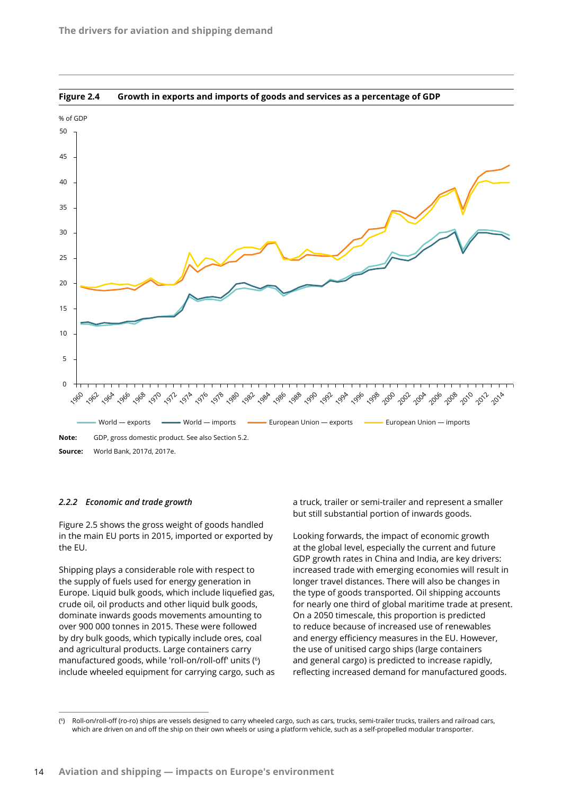

**Figure 2.4 Growth in exports and imports of goods and services as a percentage of GDP**

#### *2.2.2 Economic and trade growth*

Figure 2.5 shows the gross weight of goods handled in the main EU ports in 2015, imported or exported by the EU.

Shipping plays a considerable role with respect to the supply of fuels used for energy generation in Europe. Liquid bulk goods, which include liquefied gas, crude oil, oil products and other liquid bulk goods, dominate inwards goods movements amounting to over 900 000 tonnes in 2015. These were followed by dry bulk goods, which typically include ores, coal and agricultural products. Large containers carry manufactured goods, while 'roll-on/roll-off' units (6) include wheeled equipment for carrying cargo, such as a truck, trailer or semi-trailer and represent a smaller but still substantial portion of inwards goods.

Looking forwards, the impact of economic growth at the global level, especially the current and future GDP growth rates in China and India, are key drivers: increased trade with emerging economies will result in longer travel distances. There will also be changes in the type of goods transported. Oil shipping accounts for nearly one third of global maritime trade at present. On a 2050 timescale, this proportion is predicted to reduce because of increased use of renewables and energy efficiency measures in the EU. However, the use of unitised cargo ships (large containers and general cargo) is predicted to increase rapidly, reflecting increased demand for manufactured goods.

 $(6)$ Roll-on/roll-off (ro-ro) ships are vessels designed to carry wheeled cargo, such as cars, trucks, semi-trailer trucks, trailers and railroad cars, which are driven on and off the ship on their own wheels or using a platform vehicle, such as a self-propelled modular transporter.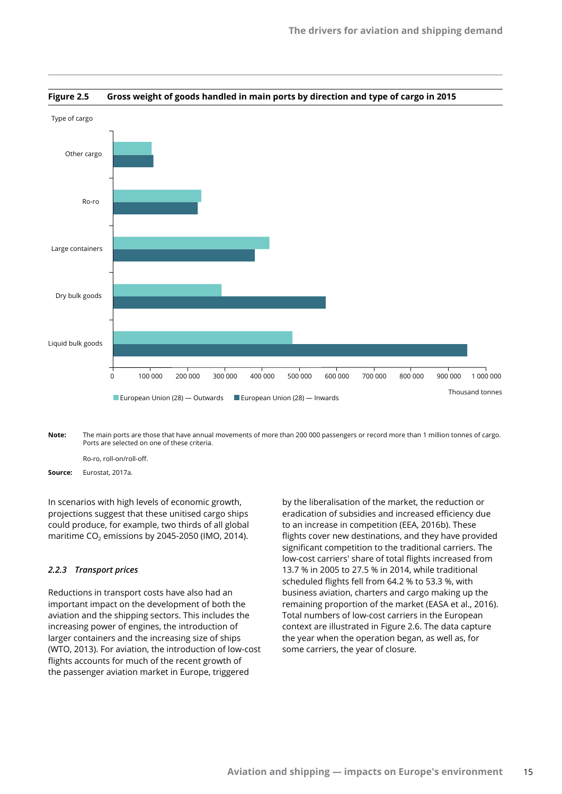

#### **Figure 2.5 Gross weight of goods handled in main ports by direction and type of cargo in 2015**

**Note:** The main ports are those that have annual movements of more than 200 000 passengers or record more than 1 million tonnes of cargo. Ports are selected on one of these criteria.

Ro-ro, roll-on/roll-off.

**Source:** Eurostat, 2017a.

In scenarios with high levels of economic growth, projections suggest that these unitised cargo ships could produce, for example, two thirds of all global maritime  $CO<sub>2</sub>$  emissions by 2045-2050 (IMO, 2014).

#### *2.2.3 Transport prices*

Reductions in transport costs have also had an important impact on the development of both the aviation and the shipping sectors. This includes the increasing power of engines, the introduction of larger containers and the increasing size of ships (WTO, 2013). For aviation, the introduction of low-cost flights accounts for much of the recent growth of the passenger aviation market in Europe, triggered

by the liberalisation of the market, the reduction or eradication of subsidies and increased efficiency due to an increase in competition (EEA, 2016b). These flights cover new destinations, and they have provided significant competition to the traditional carriers. The low-cost carriers' share of total flights increased from 13.7 % in 2005 to 27.5 % in 2014, while traditional scheduled flights fell from 64.2 % to 53.3 %, with business aviation, charters and cargo making up the remaining proportion of the market (EASA et al., 2016). Total numbers of low-cost carriers in the European context are illustrated in Figure 2.6. The data capture the year when the operation began, as well as, for some carriers, the year of closure.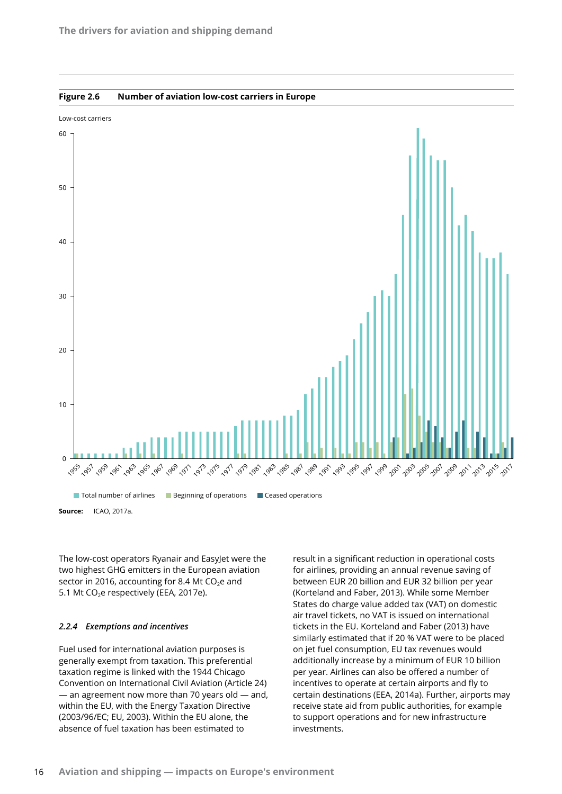

**Figure 2.6 Number of aviation low-cost carriers in Europe**

The low-cost operators Ryanair and EasyJet were the two highest GHG emitters in the European aviation sector in 2016, accounting for 8.4 Mt  $CO<sub>2</sub>e$  and 5.1 Mt CO<sub>2</sub>e respectively (EEA, 2017e).

#### *2.2.4 Exemptions and incentives*

Fuel used for international aviation purposes is generally exempt from taxation. This preferential taxation regime is linked with the 1944 Chicago Convention on International Civil Aviation (Article 24) — an agreement now more than 70 years old — and, within the EU, with the Energy Taxation Directive (2003/96/EC; EU, 2003). Within the EU alone, the absence of fuel taxation has been estimated to

result in a significant reduction in operational costs for airlines, providing an annual revenue saving of between EUR 20 billion and EUR 32 billion per year (Korteland and Faber, 2013). While some Member States do charge value added tax (VAT) on domestic air travel tickets, no VAT is issued on international tickets in the EU. Korteland and Faber (2013) have similarly estimated that if 20 % VAT were to be placed on jet fuel consumption, EU tax revenues would additionally increase by a minimum of EUR 10 billion per year. Airlines can also be offered a number of incentives to operate at certain airports and fly to certain destinations (EEA, 2014a). Further, airports may receive state aid from public authorities, for example to support operations and for new infrastructure investments.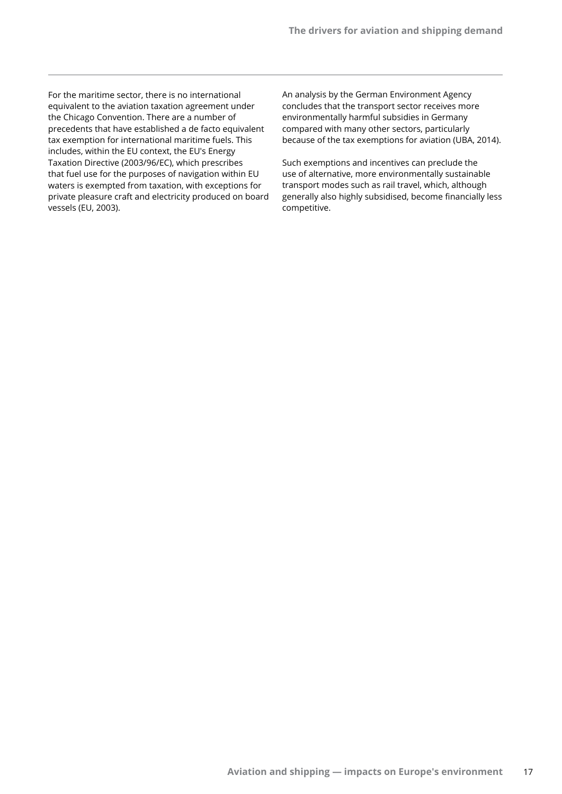For the maritime sector, there is no international equivalent to the aviation taxation agreement under the Chicago Convention. There are a number of precedents that have established a de facto equivalent tax exemption for international maritime fuels. This includes, within the EU context, the EU's Energy Taxation Directive (2003/96/EC), which prescribes that fuel use for the purposes of navigation within EU waters is exempted from taxation, with exceptions for private pleasure craft and electricity produced on board vessels (EU, 2003).

An analysis by the German Environment Agency concludes that the transport sector receives more environmentally harmful subsidies in Germany compared with many other sectors, particularly because of the tax exemptions for aviation (UBA, 2014).

Such exemptions and incentives can preclude the use of alternative, more environmentally sustainable transport modes such as rail travel, which, although generally also highly subsidised, become financially less competitive.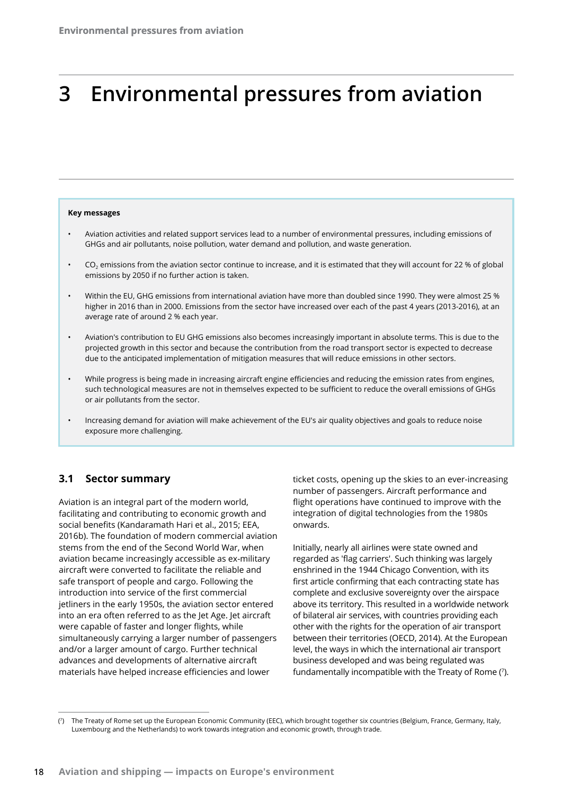# **3 Environmental pressures from aviation**

#### **Key messages**

- Aviation activities and related support services lead to a number of environmental pressures, including emissions of GHGs and air pollutants, noise pollution, water demand and pollution, and waste generation.
- $CO<sub>2</sub>$  emissions from the aviation sector continue to increase, and it is estimated that they will account for 22 % of global emissions by 2050 if no further action is taken.
- Within the EU, GHG emissions from international aviation have more than doubled since 1990. They were almost 25 % higher in 2016 than in 2000. Emissions from the sector have increased over each of the past 4 years (2013-2016), at an average rate of around 2 % each year.
- Aviation's contribution to EU GHG emissions also becomes increasingly important in absolute terms. This is due to the projected growth in this sector and because the contribution from the road transport sector is expected to decrease due to the anticipated implementation of mitigation measures that will reduce emissions in other sectors.
- While progress is being made in increasing aircraft engine efficiencies and reducing the emission rates from engines, such technological measures are not in themselves expected to be sufficient to reduce the overall emissions of GHGs or air pollutants from the sector.
- Increasing demand for aviation will make achievement of the EU's air quality objectives and goals to reduce noise exposure more challenging.

## **3.1 Sector summary**

Aviation is an integral part of the modern world, facilitating and contributing to economic growth and social benefits (Kandaramath Hari et al., 2015; EEA, 2016b). The foundation of modern commercial aviation stems from the end of the Second World War, when aviation became increasingly accessible as ex-military aircraft were converted to facilitate the reliable and safe transport of people and cargo. Following the introduction into service of the first commercial jetliners in the early 1950s, the aviation sector entered into an era often referred to as the Jet Age. Jet aircraft were capable of faster and longer flights, while simultaneously carrying a larger number of passengers and/or a larger amount of cargo. Further technical advances and developments of alternative aircraft materials have helped increase efficiencies and lower

ticket costs, opening up the skies to an ever-increasing number of passengers. Aircraft performance and flight operations have continued to improve with the integration of digital technologies from the 1980s onwards.

Initially, nearly all airlines were state owned and regarded as 'flag carriers'. Such thinking was largely enshrined in the 1944 Chicago Convention, with its first article confirming that each contracting state has complete and exclusive sovereignty over the airspace above its territory. This resulted in a worldwide network of bilateral air services, with countries providing each other with the rights for the operation of air transport between their territories (OECD, 2014). At the European level, the ways in which the international air transport business developed and was being regulated was fundamentally incompatible with the Treaty of Rome (<sup>7</sup> ).

 $(7)$ 7) The Treaty of Rome set up the European Economic Community (EEC), which brought together six countries (Belgium, France, Germany, Italy, Luxembourg and the Netherlands) to work towards integration and economic growth, through trade.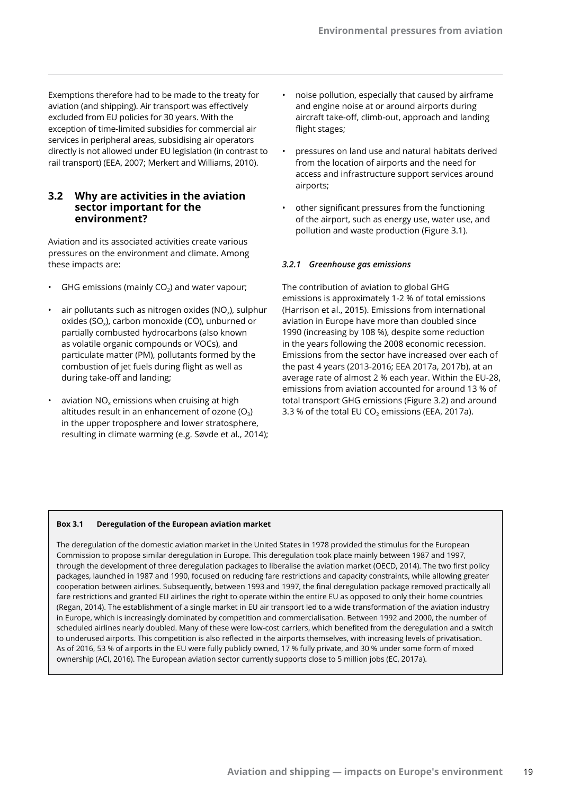Exemptions therefore had to be made to the treaty for aviation (and shipping). Air transport was effectively excluded from EU policies for 30 years. With the exception of time-limited subsidies for commercial air services in peripheral areas, subsidising air operators directly is not allowed under EU legislation (in contrast to rail transport) (EEA, 2007; Merkert and Williams, 2010).

## **3.2 Why are activities in the aviation sector important for the environment?**

Aviation and its associated activities create various pressures on the environment and climate. Among these impacts are:

- GHG emissions (mainly  $CO<sub>2</sub>$ ) and water vapour;
- air pollutants such as nitrogen oxides ( $NO<sub>x</sub>$ ), sulphur oxides (SO<sub>x</sub>), carbon monoxide (CO), unburned or partially combusted hydrocarbons (also known as volatile organic compounds or VOCs), and particulate matter (PM), pollutants formed by the combustion of jet fuels during flight as well as during take-off and landing;
- aviation  $NO<sub>x</sub>$  emissions when cruising at high altitudes result in an enhancement of ozone  $(O_3)$ in the upper troposphere and lower stratosphere, resulting in climate warming (e.g. Søvde et al., 2014);
- noise pollution, especially that caused by airframe and engine noise at or around airports during aircraft take-off, climb-out, approach and landing flight stages;
- pressures on land use and natural habitats derived from the location of airports and the need for access and infrastructure support services around airports;
- other significant pressures from the functioning of the airport, such as energy use, water use, and pollution and waste production (Figure 3.1).

## *3.2.1 Greenhouse gas emissions*

The contribution of aviation to global GHG emissions is approximately 1-2 % of total emissions (Harrison et al., 2015). Emissions from international aviation in Europe have more than doubled since 1990 (increasing by 108 %), despite some reduction in the years following the 2008 economic recession. Emissions from the sector have increased over each of the past 4 years (2013-2016; EEA 2017a, 2017b), at an average rate of almost 2 % each year. Within the EU-28, emissions from aviation accounted for around 13 % of total transport GHG emissions (Figure 3.2) and around 3.3 % of the total EU CO<sub>2</sub> emissions (EEA, 2017a).

#### **Box 3.1 Deregulation of the European aviation market**

The deregulation of the domestic aviation market in the United States in 1978 provided the stimulus for the European Commission to propose similar deregulation in Europe. This deregulation took place mainly between 1987 and 1997, through the development of three deregulation packages to liberalise the aviation market (OECD, 2014). The two first policy packages, launched in 1987 and 1990, focused on reducing fare restrictions and capacity constraints, while allowing greater cooperation between airlines. Subsequently, between 1993 and 1997, the final deregulation package removed practically all fare restrictions and granted EU airlines the right to operate within the entire EU as opposed to only their home countries (Regan, 2014). The establishment of a single market in EU air transport led to a wide transformation of the aviation industry in Europe, which is increasingly dominated by competition and commercialisation. Between 1992 and 2000, the number of scheduled airlines nearly doubled. Many of these were low-cost carriers, which benefited from the deregulation and a switch to underused airports. This competition is also reflected in the airports themselves, with increasing levels of privatisation. As of 2016, 53 % of airports in the EU were fully publicly owned, 17 % fully private, and 30 % under some form of mixed ownership (ACI, 2016). The European aviation sector currently supports close to 5 million jobs (EC, 2017a).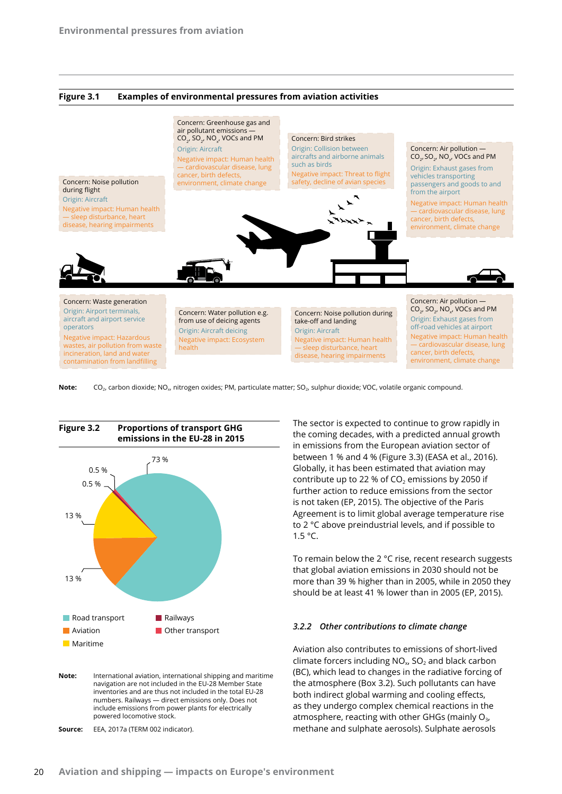



Note: CO<sub>2</sub>, carbon dioxide; NO<sub>x</sub>, nitrogen oxides; PM, particulate matter; SO<sub>2</sub>, sulphur dioxide; VOC, volatile organic compound.



**Note:** International aviation, international shipping and maritime navigation are not included in the EU-28 Member State inventories and are thus not included in the total EU-28 numbers. Railways — direct emissions only. Does not include emissions from power plants for electrically powered locomotive stock.

**Source:** EEA, 2017a (TERM 002 indicator).

The sector is expected to continue to grow rapidly in the coming decades, with a predicted annual growth in emissions from the European aviation sector of between 1 % and 4 % (Figure 3.3) (EASA et al., 2016). Globally, it has been estimated that aviation may contribute up to 22 % of  $CO<sub>2</sub>$  emissions by 2050 if further action to reduce emissions from the sector is not taken (EP, 2015). The objective of the Paris Agreement is to limit global average temperature rise to 2 °C above preindustrial levels, and if possible to 1.5 °C.

To remain below the 2 °C rise, recent research suggests that global aviation emissions in 2030 should not be more than 39 % higher than in 2005, while in 2050 they should be at least 41 % lower than in 2005 (EP, 2015).

#### *3.2.2 Other contributions to climate change*

Aviation also contributes to emissions of short-lived climate forcers including  $NO<sub>x</sub>$ , SO<sub>2</sub> and black carbon (BC), which lead to changes in the radiative forcing of the atmosphere (Box 3.2). Such pollutants can have both indirect global warming and cooling effects, as they undergo complex chemical reactions in the atmosphere, reacting with other GHGs (mainly  $O_{3}$ , methane and sulphate aerosols). Sulphate aerosols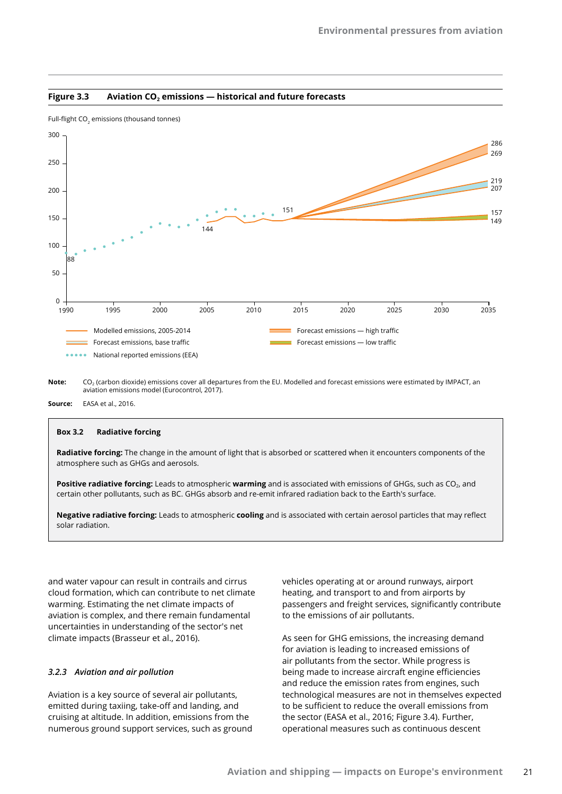



**Note:** CO<sub>2</sub> (carbon dioxide) emissions cover all departures from the EU. Modelled and forecast emissions were estimated by IMPACT, an aviation emissions model (Eurocontrol, 2017).

**Source:** EASA et al., 2016.

#### **Box 3.2 Radiative forcing**

**Radiative forcing:** The change in the amount of light that is absorbed or scattered when it encounters components of the atmosphere such as GHGs and aerosols.

**Positive radiative forcing:** Leads to atmospheric warming and is associated with emissions of GHGs, such as CO<sub>2</sub>, and certain other pollutants, such as BC. GHGs absorb and re-emit infrared radiation back to the Earth's surface.

**Negative radiative forcing:** Leads to atmospheric **cooling** and is associated with certain aerosol particles that may reflect solar radiation.

and water vapour can result in contrails and cirrus cloud formation, which can contribute to net climate warming. Estimating the net climate impacts of aviation is complex, and there remain fundamental uncertainties in understanding of the sector's net climate impacts (Brasseur et al., 2016).

#### *3.2.3 Aviation and air pollution*

Aviation is a key source of several air pollutants, emitted during taxiing, take-off and landing, and cruising at altitude. In addition, emissions from the numerous ground support services, such as ground vehicles operating at or around runways, airport heating, and transport to and from airports by passengers and freight services, significantly contribute to the emissions of air pollutants.

As seen for GHG emissions, the increasing demand for aviation is leading to increased emissions of air pollutants from the sector. While progress is being made to increase aircraft engine efficiencies and reduce the emission rates from engines, such technological measures are not in themselves expected to be sufficient to reduce the overall emissions from the sector (EASA et al., 2016; Figure 3.4). Further, operational measures such as continuous descent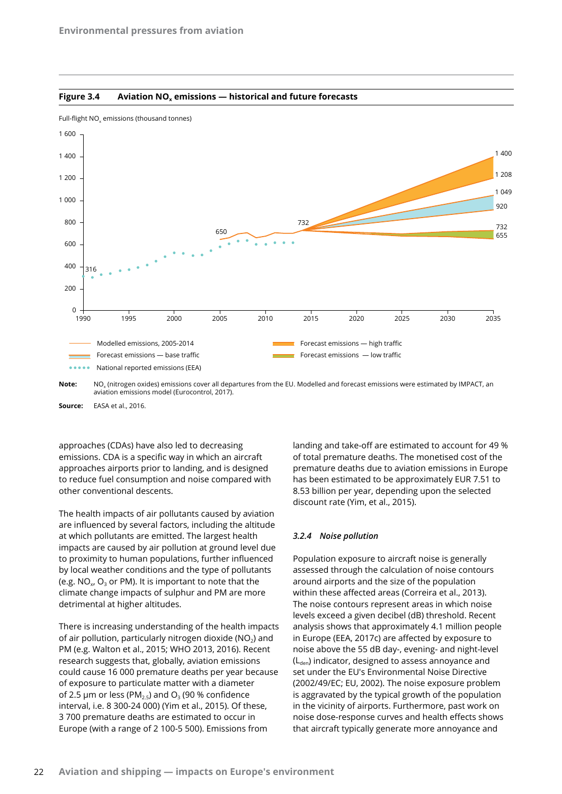



Full-flight  $\mathsf{NO}_\mathsf{x}$  emissions (thousand tonnes)

Note: NO<sub>x</sub> (nitrogen oxides) emissions cover all departures from the EU. Modelled and forecast emissions were estimated by IMPACT, an aviation emissions model (Eurocontrol, 2017).

**Source:** EASA et al., 2016.

approaches (CDAs) have also led to decreasing emissions. CDA is a specific way in which an aircraft approaches airports prior to landing, and is designed to reduce fuel consumption and noise compared with other conventional descents.

The health impacts of air pollutants caused by aviation are influenced by several factors, including the altitude at which pollutants are emitted. The largest health impacts are caused by air pollution at ground level due to proximity to human populations, further influenced by local weather conditions and the type of pollutants (e.g.  $NO_{x}$ ,  $O_{3}$  or PM). It is important to note that the climate change impacts of sulphur and PM are more detrimental at higher altitudes.

There is increasing understanding of the health impacts of air pollution, particularly nitrogen dioxide ( $NO<sub>2</sub>$ ) and PM (e.g. Walton et al., 2015; WHO 2013, 2016). Recent research suggests that, globally, aviation emissions could cause 16 000 premature deaths per year because of exposure to particulate matter with a diameter of 2.5  $\mu$ m or less (PM<sub>2.5</sub>) and O<sub>3</sub> (90 % confidence interval, i.e. 8 300-24 000) (Yim et al., 2015). Of these, 3 700 premature deaths are estimated to occur in Europe (with a range of 2 100-5 500). Emissions from

landing and take-off are estimated to account for 49 % of total premature deaths. The monetised cost of the premature deaths due to aviation emissions in Europe has been estimated to be approximately EUR 7.51 to 8.53 billion per year, depending upon the selected discount rate (Yim, et al., 2015).

#### *3.2.4 Noise pollution*

Population exposure to aircraft noise is generally assessed through the calculation of noise contours around airports and the size of the population within these affected areas (Correira et al., 2013). The noise contours represent areas in which noise levels exceed a given decibel (dB) threshold. Recent analysis shows that approximately 4.1 million people in Europe (EEA, 2017c) are affected by exposure to noise above the 55 dB day-, evening- and night-level  $(L<sub>den</sub>)$  indicator, designed to assess annoyance and set under the EU's Environmental Noise Directive (2002/49/EC; EU, 2002). The noise exposure problem is aggravated by the typical growth of the population in the vicinity of airports. Furthermore, past work on noise dose-response curves and health effects shows that aircraft typically generate more annoyance and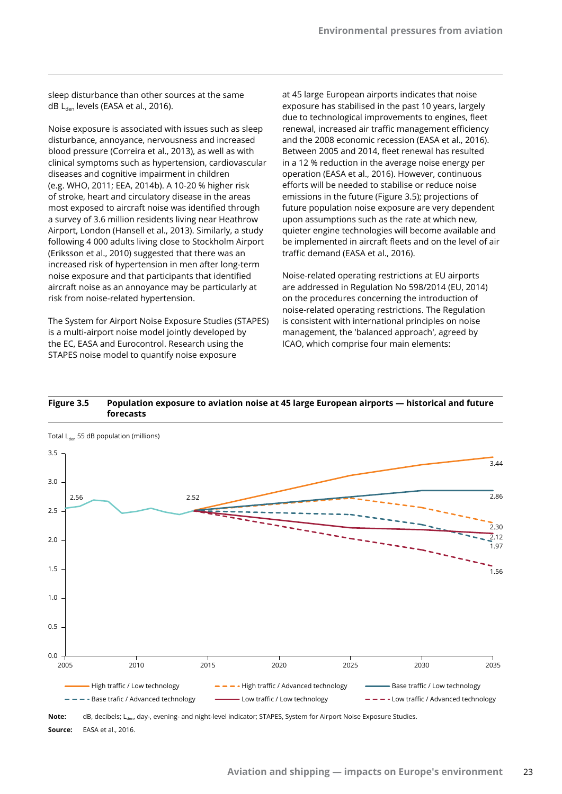sleep disturbance than other sources at the same dB L<sub>den</sub> levels (EASA et al., 2016).

Noise exposure is associated with issues such as sleep disturbance, annoyance, nervousness and increased blood pressure (Correira et al., 2013), as well as with clinical symptoms such as hypertension, cardiovascular diseases and cognitive impairment in children (e.g. WHO, 2011; EEA, 2014b). A 10-20 % higher risk of stroke, heart and circulatory disease in the areas most exposed to aircraft noise was identified through a survey of 3.6 million residents living near Heathrow Airport, London (Hansell et al., 2013). Similarly, a study following 4 000 adults living close to Stockholm Airport (Eriksson et al., 2010) suggested that there was an increased risk of hypertension in men after long-term noise exposure and that participants that identified aircraft noise as an annoyance may be particularly at risk from noise-related hypertension.

The System for Airport Noise Exposure Studies (STAPES) is a multi-airport noise model jointly developed by the EC, EASA and Eurocontrol. Research using the STAPES noise model to quantify noise exposure

at 45 large European airports indicates that noise exposure has stabilised in the past 10 years, largely due to technological improvements to engines, fleet renewal, increased air traffic management efficiency and the 2008 economic recession (EASA et al., 2016). Between 2005 and 2014, fleet renewal has resulted in a 12 % reduction in the average noise energy per operation (EASA et al., 2016). However, continuous efforts will be needed to stabilise or reduce noise emissions in the future (Figure 3.5); projections of future population noise exposure are very dependent upon assumptions such as the rate at which new, quieter engine technologies will become available and be implemented in aircraft fleets and on the level of air traffic demand (EASA et al., 2016).

Noise-related operating restrictions at EU airports are addressed in Regulation No 598/2014 (EU, 2014) on the procedures concerning the introduction of noise-related operating restrictions. The Regulation is consistent with international principles on noise management, the 'balanced approach', agreed by ICAO, which comprise four main elements:





Note: dB, decibels; L<sub>den</sub>, day-, evening- and night-level indicator; STAPES, System for Airport Noise Exposure Studies. **Source:** EASA et al., 2016.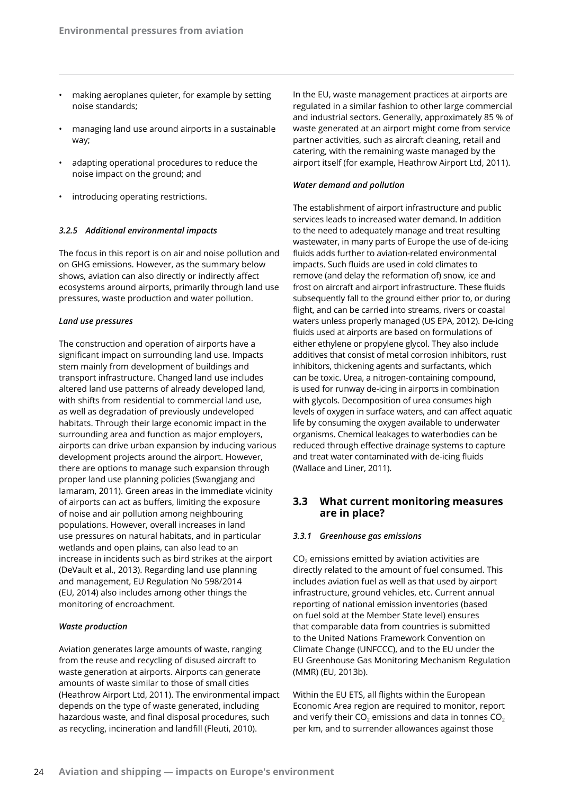- making aeroplanes quieter, for example by setting noise standards;
- managing land use around airports in a sustainable way;
- adapting operational procedures to reduce the noise impact on the ground; and
- introducing operating restrictions.

#### *3.2.5 Additional environmental impacts*

The focus in this report is on air and noise pollution and on GHG emissions. However, as the summary below shows, aviation can also directly or indirectly affect ecosystems around airports, primarily through land use pressures, waste production and water pollution.

#### *Land use pressures*

The construction and operation of airports have a significant impact on surrounding land use. Impacts stem mainly from development of buildings and transport infrastructure. Changed land use includes altered land use patterns of already developed land, with shifts from residential to commercial land use, as well as degradation of previously undeveloped habitats. Through their large economic impact in the surrounding area and function as major employers, airports can drive urban expansion by inducing various development projects around the airport. However, there are options to manage such expansion through proper land use planning policies (Swangjang and Iamaram, 2011). Green areas in the immediate vicinity of airports can act as buffers, limiting the exposure of noise and air pollution among neighbouring populations. However, overall increases in land use pressures on natural habitats, and in particular wetlands and open plains, can also lead to an increase in incidents such as bird strikes at the airport (DeVault et al., 2013). Regarding land use planning and management, EU Regulation No 598/2014 (EU, 2014) also includes among other things the monitoring of encroachment.

#### *Waste production*

Aviation generates large amounts of waste, ranging from the reuse and recycling of disused aircraft to waste generation at airports. Airports can generate amounts of waste similar to those of small cities (Heathrow Airport Ltd, 2011). The environmental impact depends on the type of waste generated, including hazardous waste, and final disposal procedures, such as recycling, incineration and landfill (Fleuti, 2010).

In the EU, waste management practices at airports are regulated in a similar fashion to other large commercial and industrial sectors. Generally, approximately 85 % of waste generated at an airport might come from service partner activities, such as aircraft cleaning, retail and catering, with the remaining waste managed by the airport itself (for example, Heathrow Airport Ltd, 2011).

#### *Water demand and pollution*

The establishment of airport infrastructure and public services leads to increased water demand. In addition to the need to adequately manage and treat resulting wastewater, in many parts of Europe the use of de-icing fluids adds further to aviation-related environmental impacts. Such fluids are used in cold climates to remove (and delay the reformation of) snow, ice and frost on aircraft and airport infrastructure. These fluids subsequently fall to the ground either prior to, or during flight, and can be carried into streams, rivers or coastal waters unless properly managed (US EPA, 2012). De‑icing fluids used at airports are based on formulations of either ethylene or propylene glycol. They also include additives that consist of metal corrosion inhibitors, rust inhibitors, thickening agents and surfactants, which can be toxic. Urea, a nitrogen-containing compound, is used for runway de-icing in airports in combination with glycols. Decomposition of urea consumes high levels of oxygen in surface waters, and can affect aquatic life by consuming the oxygen available to underwater organisms. Chemical leakages to waterbodies can be reduced through effective drainage systems to capture and treat water contaminated with de-icing fluids (Wallace and Liner, 2011).

## **3.3 What current monitoring measures are in place?**

#### *3.3.1 Greenhouse gas emissions*

 $CO<sub>2</sub>$  emissions emitted by aviation activities are directly related to the amount of fuel consumed. This includes aviation fuel as well as that used by airport infrastructure, ground vehicles, etc. Current annual reporting of national emission inventories (based on fuel sold at the Member State level) ensures that comparable data from countries is submitted to the United Nations Framework Convention on Climate Change (UNFCCC), and to the EU under the EU Greenhouse Gas Monitoring Mechanism Regulation (MMR) (EU, 2013b).

Within the EU ETS, all flights within the European Economic Area region are required to monitor, report and verify their  $CO<sub>2</sub>$  emissions and data in tonnes  $CO<sub>2</sub>$ per km, and to surrender allowances against those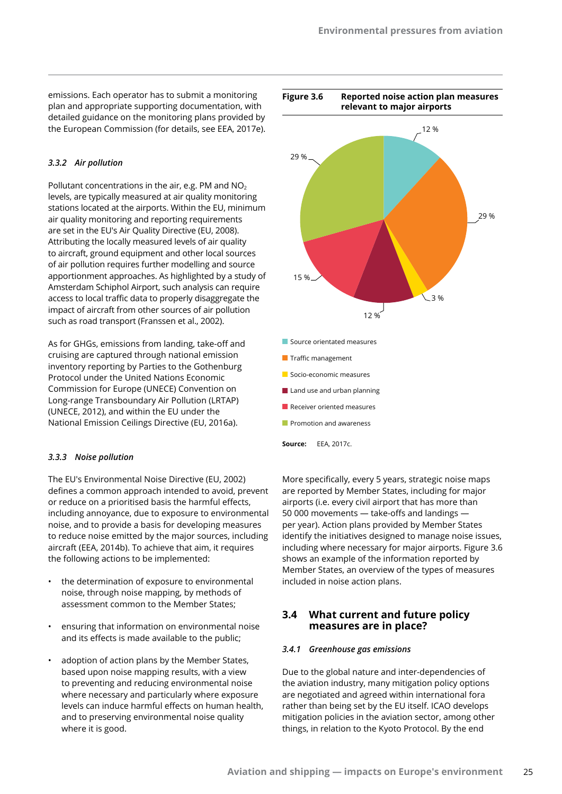emissions. Each operator has to submit a monitoring plan and appropriate supporting documentation, with detailed guidance on the monitoring plans provided by the European Commission (for details, see EEA, 2017e).

#### *3.3.2 Air pollution*

Pollutant concentrations in the air, e.g. PM and  $NO<sub>2</sub>$ levels, are typically measured at air quality monitoring stations located at the airports. Within the EU, minimum air quality monitoring and reporting requirements are set in the EU's Air Quality Directive (EU, 2008). Attributing the locally measured levels of air quality to aircraft, ground equipment and other local sources of air pollution requires further modelling and source apportionment approaches. As highlighted by a study of Amsterdam Schiphol Airport, such analysis can require access to local traffic data to properly disaggregate the impact of aircraft from other sources of air pollution such as road transport (Franssen et al., 2002).

As for GHGs, emissions from landing, take-off and cruising are captured through national emission inventory reporting by Parties to the Gothenburg Protocol under the United Nations Economic Commission for Europe (UNECE) Convention on Long-range Transboundary Air Pollution (LRTAP) (UNECE, 2012), and within the EU under the National Emission Ceilings Directive (EU, 2016a).

#### *3.3.3 Noise pollution*

The EU's Environmental Noise Directive (EU, 2002) defines a common approach intended to avoid, prevent or reduce on a prioritised basis the harmful effects, including annoyance, due to exposure to environmental noise, and to provide a basis for developing measures to reduce noise emitted by the major sources, including aircraft (EEA, 2014b). To achieve that aim, it requires the following actions to be implemented:

- the determination of exposure to environmental noise, through noise mapping, by methods of assessment common to the Member States;
- ensuring that information on environmental noise and its effects is made available to the public;
- adoption of action plans by the Member States, based upon noise mapping results, with a view to preventing and reducing environmental noise where necessary and particularly where exposure levels can induce harmful effects on human health, and to preserving environmental noise quality where it is good.



- **Promotion and awareness**
- **Source:** EEA, 2017c.

More specifically, every 5 years, strategic noise maps are reported by Member States, including for major airports (i.e. every civil airport that has more than 50 000 movements — take-offs and landings per year). Action plans provided by Member States identify the initiatives designed to manage noise issues, including where necessary for major airports. Figure 3.6 shows an example of the information reported by Member States, an overview of the types of measures included in noise action plans.

## **3.4 What current and future policy measures are in place?**

#### *3.4.1 Greenhouse gas emissions*

Due to the global nature and inter-dependencies of the aviation industry, many mitigation policy options are negotiated and agreed within international fora rather than being set by the EU itself. ICAO develops mitigation policies in the aviation sector, among other things, in relation to the Kyoto Protocol. By the end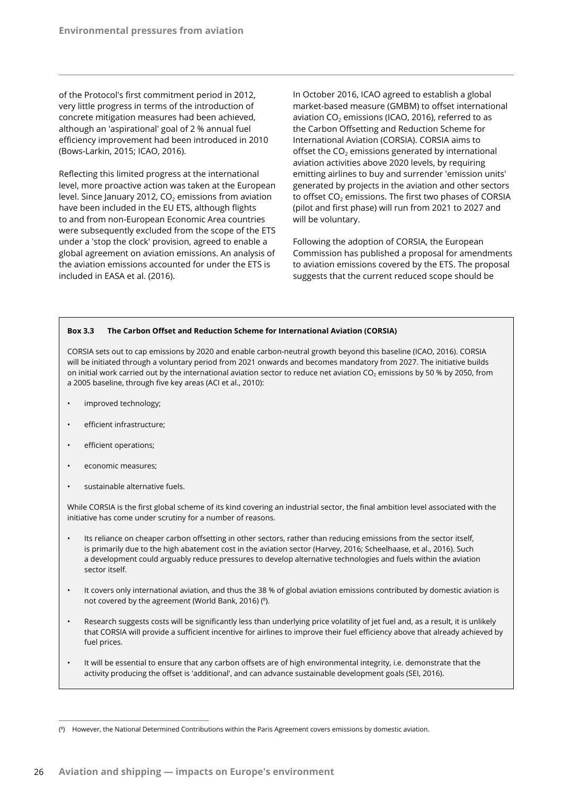of the Protocol's first commitment period in 2012, very little progress in terms of the introduction of concrete mitigation measures had been achieved, although an 'aspirational' goal of 2 % annual fuel efficiency improvement had been introduced in 2010 (Bows-Larkin, 2015; ICAO, 2016).

Reflecting this limited progress at the international level, more proactive action was taken at the European level. Since January 2012,  $CO<sub>2</sub>$  emissions from aviation have been included in the EU ETS, although flights to and from non-European Economic Area countries were subsequently excluded from the scope of the ETS under a 'stop the clock' provision, agreed to enable a global agreement on aviation emissions. An analysis of the aviation emissions accounted for under the ETS is included in EASA et al. (2016).

In October 2016, ICAO agreed to establish a global market-based measure (GMBM) to offset international aviation  $CO<sub>2</sub>$  emissions (ICAO, 2016), referred to as the Carbon Offsetting and Reduction Scheme for International Aviation (CORSIA). CORSIA aims to offset the  $CO<sub>2</sub>$  emissions generated by international aviation activities above 2020 levels, by requiring emitting airlines to buy and surrender 'emission units' generated by projects in the aviation and other sectors to offset  $CO<sub>2</sub>$  emissions. The first two phases of CORSIA (pilot and first phase) will run from 2021 to 2027 and will be voluntary.

Following the adoption of CORSIA, the European Commission has published a proposal for amendments to aviation emissions covered by the ETS. The proposal suggests that the current reduced scope should be

#### **Box 3.3 The Carbon Offset and Reduction Scheme for International Aviation (CORSIA)**

CORSIA sets out to cap emissions by 2020 and enable carbon-neutral growth beyond this baseline (ICAO, 2016). CORSIA will be initiated through a voluntary period from 2021 onwards and becomes mandatory from 2027. The initiative builds on initial work carried out by the international aviation sector to reduce net aviation CO<sub>2</sub> emissions by 50 % by 2050, from a 2005 baseline, through five key areas (ACI et al., 2010):

- improved technology;
- efficient infrastructure;
- efficient operations;
- economic measures;
- sustainable alternative fuels.

While CORSIA is the first global scheme of its kind covering an industrial sector, the final ambition level associated with the initiative has come under scrutiny for a number of reasons.

- Its reliance on cheaper carbon offsetting in other sectors, rather than reducing emissions from the sector itself, is primarily due to the high abatement cost in the aviation sector (Harvey, 2016; Scheelhaase, et al., 2016). Such a development could arguably reduce pressures to develop alternative technologies and fuels within the aviation sector itself.
- It covers only international aviation, and thus the 38 % of global aviation emissions contributed by domestic aviation is not covered by the agreement (World Bank, 2016) (8).
- Research suggests costs will be significantly less than underlying price volatility of jet fuel and, as a result, it is unlikely that CORSIA will provide a sufficient incentive for airlines to improve their fuel efficiency above that already achieved by fuel prices.
- It will be essential to ensure that any carbon offsets are of high environmental integrity, i.e. demonstrate that the activity producing the offset is 'additional', and can advance sustainable development goals (SEI, 2016).

<sup>(</sup> 8) However, the National Determined Contributions within the Paris Agreement covers emissions by domestic aviation.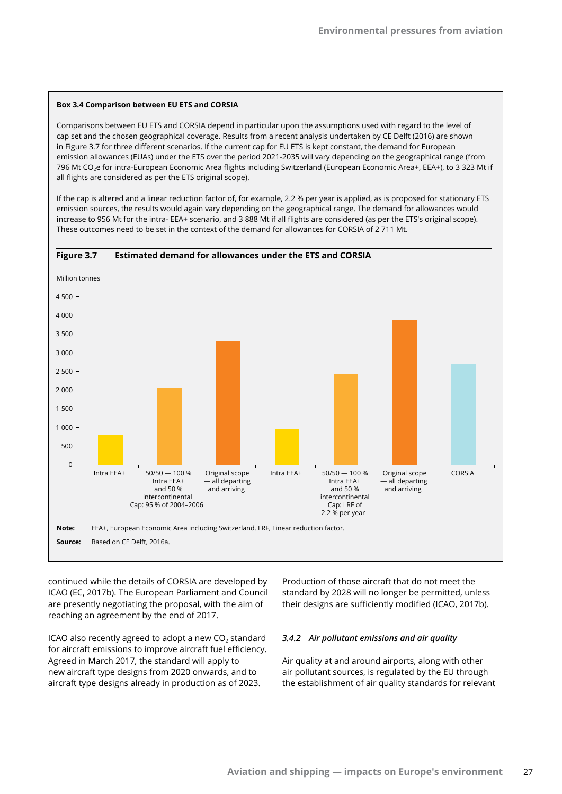#### **Box 3.4 Comparison between EU ETS and CORSIA**

Comparisons between EU ETS and CORSIA depend in particular upon the assumptions used with regard to the level of cap set and the chosen geographical coverage. Results from a recent analysis undertaken by CE Delft (2016) are shown in Figure 3.7 for three different scenarios. If the current cap for EU ETS is kept constant, the demand for European emission allowances (EUAs) under the ETS over the period 2021-2035 will vary depending on the geographical range (from 796 Mt CO2e for intra-European Economic Area flights including Switzerland (European Economic Area+, EEA+), to 3 323 Mt if all flights are considered as per the ETS original scope).

If the cap is altered and a linear reduction factor of, for example, 2.2 % per year is applied, as is proposed for stationary ETS emission sources, the results would again vary depending on the geographical range. The demand for allowances would increase to 956 Mt for the intra- EEA+ scenario, and 3 888 Mt if all flights are considered (as per the ETS's original scope). These outcomes need to be set in the context of the demand for allowances for CORSIA of 2 711 Mt.



continued while the details of CORSIA are developed by ICAO (EC, 2017b). The European Parliament and Council are presently negotiating the proposal, with the aim of reaching an agreement by the end of 2017.

ICAO also recently agreed to adopt a new  $CO<sub>2</sub>$  standard for aircraft emissions to improve aircraft fuel efficiency. Agreed in March 2017, the standard will apply to new aircraft type designs from 2020 onwards, and to aircraft type designs already in production as of 2023.

Production of those aircraft that do not meet the standard by 2028 will no longer be permitted, unless their designs are sufficiently modified (ICAO, 2017b).

#### *3.4.2 Air pollutant emissions and air quality*

Air quality at and around airports, along with other air pollutant sources, is regulated by the EU through the establishment of air quality standards for relevant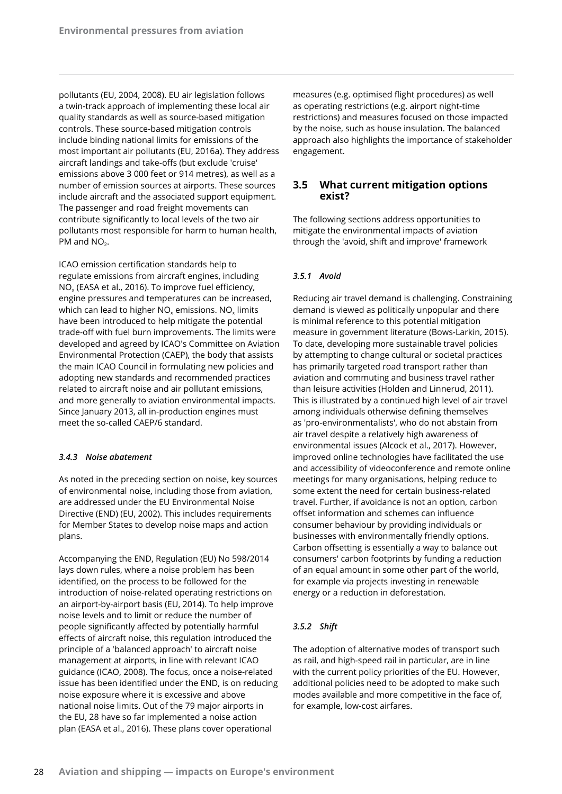pollutants (EU, 2004, 2008). EU air legislation follows a twin-track approach of implementing these local air quality standards as well as source-based mitigation controls. These source-based mitigation controls include binding national limits for emissions of the most important air pollutants (EU, 2016a). They address aircraft landings and take-offs (but exclude 'cruise' emissions above 3 000 feet or 914 metres), as well as a number of emission sources at airports. These sources include aircraft and the associated support equipment. The passenger and road freight movements can contribute significantly to local levels of the two air pollutants most responsible for harm to human health, PM and  $NO<sub>2</sub>$ .

ICAO emission certification standards help to regulate emissions from aircraft engines, including  $NO<sub>x</sub>$  (EASA et al., 2016). To improve fuel efficiency, engine pressures and temperatures can be increased, which can lead to higher  $NO<sub>x</sub>$  emissions.  $NO<sub>x</sub>$  limits have been introduced to help mitigate the potential trade-off with fuel burn improvements. The limits were developed and agreed by ICAO's Committee on Aviation Environmental Protection (CAEP), the body that assists the main ICAO Council in formulating new policies and adopting new standards and recommended practices related to aircraft noise and air pollutant emissions, and more generally to aviation environmental impacts. Since January 2013, all in-production engines must meet the so-called CAEP/6 standard.

#### *3.4.3 Noise abatement*

As noted in the preceding section on noise, key sources of environmental noise, including those from aviation, are addressed under the EU Environmental Noise Directive (END) (EU, 2002). This includes requirements for Member States to develop noise maps and action plans.

Accompanying the END, Regulation (EU) No 598/2014 lays down rules, where a noise problem has been identified, on the process to be followed for the introduction of noise-related operating restrictions on an airport-by-airport basis (EU, 2014). To help improve noise levels and to limit or reduce the number of people significantly affected by potentially harmful effects of aircraft noise, this regulation introduced the principle of a 'balanced approach' to aircraft noise management at airports, in line with relevant ICAO guidance (ICAO, 2008). The focus, once a noise-related issue has been identified under the END, is on reducing noise exposure where it is excessive and above national noise limits. Out of the 79 major airports in the EU, 28 have so far implemented a noise action plan (EASA et al., 2016). These plans cover operational

measures (e.g. optimised flight procedures) as well as operating restrictions (e.g. airport night-time restrictions) and measures focused on those impacted by the noise, such as house insulation. The balanced approach also highlights the importance of stakeholder engagement.

## **3.5 What current mitigation options exist?**

The following sections address opportunities to mitigate the environmental impacts of aviation through the 'avoid, shift and improve' framework

#### *3.5.1 Avoid*

Reducing air travel demand is challenging. Constraining demand is viewed as politically unpopular and there is minimal reference to this potential mitigation measure in government literature (Bows-Larkin, 2015). To date, developing more sustainable travel policies by attempting to change cultural or societal practices has primarily targeted road transport rather than aviation and commuting and business travel rather than leisure activities (Holden and Linnerud, 2011). This is illustrated by a continued high level of air travel among individuals otherwise defining themselves as 'pro-environmentalists', who do not abstain from air travel despite a relatively high awareness of environmental issues (Alcock et al., 2017). However, improved online technologies have facilitated the use and accessibility of videoconference and remote online meetings for many organisations, helping reduce to some extent the need for certain business-related travel. Further, if avoidance is not an option, carbon offset information and schemes can influence consumer behaviour by providing individuals or businesses with environmentally friendly options. Carbon offsetting is essentially a way to balance out consumers' carbon footprints by funding a reduction of an equal amount in some other part of the world, for example via projects investing in renewable energy or a reduction in deforestation.

#### *3.5.2 Shift*

The adoption of alternative modes of transport such as rail, and high-speed rail in particular, are in line with the current policy priorities of the EU. However, additional policies need to be adopted to make such modes available and more competitive in the face of, for example, low-cost airfares.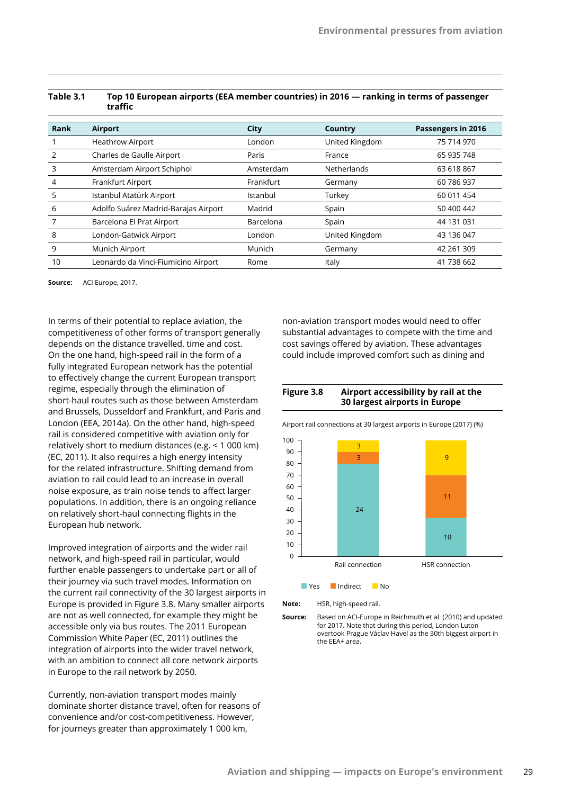|                | traffic                              |           |                |                    |
|----------------|--------------------------------------|-----------|----------------|--------------------|
| Rank           | Airport                              | City      | Country        | Passengers in 2016 |
|                | <b>Heathrow Airport</b>              | London    | United Kingdom | 75 714 970         |
| $\overline{2}$ | Charles de Gaulle Airport            | Paris     | France         | 65 935 748         |
| 3              | Amsterdam Airport Schiphol           | Amsterdam | Netherlands    | 63 618 867         |
| $\overline{4}$ | Frankfurt Airport                    | Frankfurt | Germany        | 60 786 937         |
| 5              | Istanbul Atatürk Airport             | Istanbul  | Turkey         | 60 011 454         |
| 6              | Adolfo Suárez Madrid-Barajas Airport | Madrid    | Spain          | 50 400 442         |
|                | Barcelona El Prat Airport            | Barcelona | Spain          | 44 131 031         |
| 8              | London-Gatwick Airport               | London    | United Kingdom | 43 136 047         |
| 9              | Munich Airport                       | Munich    | Germany        | 42 261 309         |
| 10             | Leonardo da Vinci-Fiumicino Airport  | Rome      | Italy          | 41 738 662         |

## **Table 3.1 Top 10 European airports (EEA member countries) in 2016 — ranking in terms of passenger**

**Source:** ACI Europe, 2017.

In terms of their potential to replace aviation, the competitiveness of other forms of transport generally depends on the distance travelled, time and cost. On the one hand, high-speed rail in the form of a fully integrated European network has the potential to effectively change the current European transport regime, especially through the elimination of short-haul routes such as those between Amsterdam and Brussels, Dusseldorf and Frankfurt, and Paris and London (EEA, 2014a). On the other hand, high-speed rail is considered competitive with aviation only for relatively short to medium distances (e.g. < 1 000 km) (EC, 2011). It also requires a high energy intensity for the related infrastructure. Shifting demand from aviation to rail could lead to an increase in overall noise exposure, as train noise tends to affect larger populations. In addition, there is an ongoing reliance on relatively short-haul connecting flights in the European hub network.

Improved integration of airports and the wider rail network, and high-speed rail in particular, would further enable passengers to undertake part or all of their journey via such travel modes. Information on the current rail connectivity of the 30 largest airports in Europe is provided in Figure 3.8. Many smaller airports are not as well connected, for example they might be accessible only via bus routes. The 2011 European Commission White Paper (EC, 2011) outlines the integration of airports into the wider travel network, with an ambition to connect all core network airports in Europe to the rail network by 2050.

Currently, non-aviation transport modes mainly dominate shorter distance travel, often for reasons of convenience and/or cost-competitiveness. However, for journeys greater than approximately 1 000 km,

non-aviation transport modes would need to offer substantial advantages to compete with the time and cost savings offered by aviation. These advantages could include improved comfort such as dining and





Airport rail connections at 30 largest airports in Europe (2017) (%)

**Note:** HSR, high-speed rail.

**Source:** Based on ACI-Europe in Reichmuth et al. (2010) and updated for 2017. Note that during this period, London Luton overtook Prague Václav Havel as the 30th biggest airport in the EEA+ area.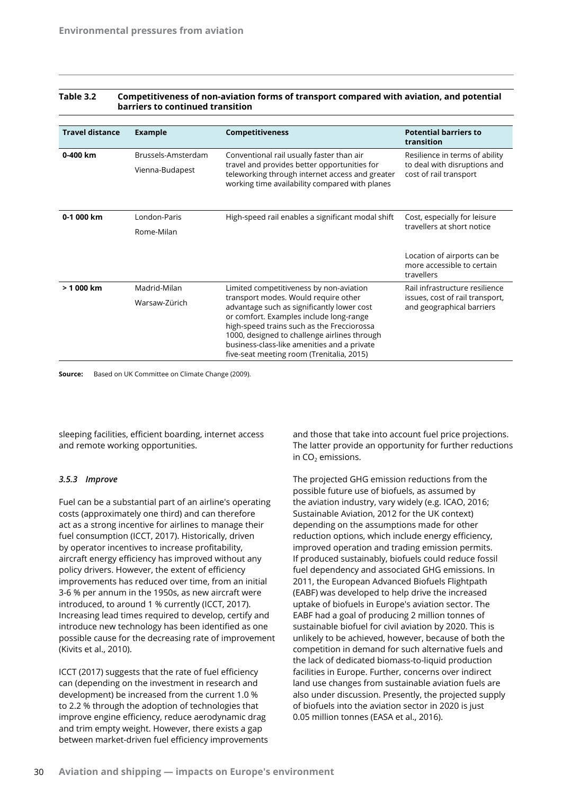| <b>Travel distance</b> | <b>Example</b>     | <b>Competitiveness</b>                                                                                                                            | <b>Potential barriers to</b><br>transition                              |
|------------------------|--------------------|---------------------------------------------------------------------------------------------------------------------------------------------------|-------------------------------------------------------------------------|
| 0-400 km               | Brussels-Amsterdam | Conventional rail usually faster than air                                                                                                         | Resilience in terms of ability                                          |
|                        | Vienna-Budapest    | travel and provides better opportunities for<br>teleworking through internet access and greater<br>working time availability compared with planes | to deal with disruptions and<br>cost of rail transport                  |
| 0-1 000 km             | London-Paris       | High-speed rail enables a significant modal shift                                                                                                 | Cost, especially for leisure                                            |
|                        | Rome-Milan         |                                                                                                                                                   | travellers at short notice                                              |
|                        |                    |                                                                                                                                                   | Location of airports can be<br>more accessible to certain<br>travellers |
| $> 1000$ km            | Madrid-Milan       | Limited competitiveness by non-aviation                                                                                                           | Rail infrastructure resilience                                          |
|                        | Warsaw-Zürich      | transport modes. Would require other<br>advantage such as significantly lower cost                                                                | issues, cost of rail transport,<br>and geographical barriers            |
|                        |                    | or comfort. Examples include long-range                                                                                                           |                                                                         |
|                        |                    | high-speed trains such as the Frecciorossa<br>1000, designed to challenge airlines through                                                        |                                                                         |
|                        |                    | business-class-like amenities and a private                                                                                                       |                                                                         |
|                        |                    | five-seat meeting room (Trenitalia, 2015)                                                                                                         |                                                                         |

#### **Table 3.2 Competitiveness of non-aviation forms of transport compared with aviation, and potential barriers to continued transition**

**Source:** Based on UK Committee on Climate Change (2009).

sleeping facilities, efficient boarding, internet access and remote working opportunities.

#### *3.5.3 Improve*

Fuel can be a substantial part of an airline's operating costs (approximately one third) and can therefore act as a strong incentive for airlines to manage their fuel consumption (ICCT, 2017). Historically, driven by operator incentives to increase profitability, aircraft energy efficiency has improved without any policy drivers. However, the extent of efficiency improvements has reduced over time, from an initial 3-6 % per annum in the 1950s, as new aircraft were introduced, to around 1 % currently (ICCT, 2017). Increasing lead times required to develop, certify and introduce new technology has been identified as one possible cause for the decreasing rate of improvement (Kivits et al., 2010).

ICCT (2017) suggests that the rate of fuel efficiency can (depending on the investment in research and development) be increased from the current 1.0 % to 2.2 % through the adoption of technologies that improve engine efficiency, reduce aerodynamic drag and trim empty weight. However, there exists a gap between market-driven fuel efficiency improvements and those that take into account fuel price projections. The latter provide an opportunity for further reductions in  $CO<sub>2</sub>$  emissions.

The projected GHG emission reductions from the possible future use of biofuels, as assumed by the aviation industry, vary widely (e.g. ICAO, 2016; Sustainable Aviation, 2012 for the UK context) depending on the assumptions made for other reduction options, which include energy efficiency, improved operation and trading emission permits. If produced sustainably, biofuels could reduce fossil fuel dependency and associated GHG emissions. In 2011, the European Advanced Biofuels Flightpath (EABF) was developed to help drive the increased uptake of biofuels in Europe's aviation sector. The EABF had a goal of producing 2 million tonnes of sustainable biofuel for civil aviation by 2020. This is unlikely to be achieved, however, because of both the competition in demand for such alternative fuels and the lack of dedicated biomass-to-liquid production facilities in Europe. Further, concerns over indirect land use changes from sustainable aviation fuels are also under discussion. Presently, the projected supply of biofuels into the aviation sector in 2020 is just 0.05 million tonnes (EASA et al., 2016).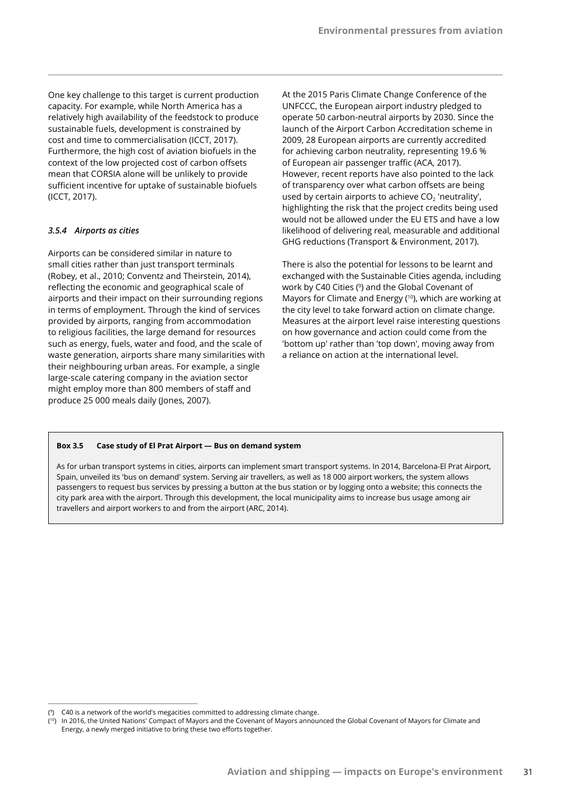One key challenge to this target is current production capacity. For example, while North America has a relatively high availability of the feedstock to produce sustainable fuels, development is constrained by cost and time to commercialisation (ICCT, 2017). Furthermore, the high cost of aviation biofuels in the context of the low projected cost of carbon offsets mean that CORSIA alone will be unlikely to provide sufficient incentive for uptake of sustainable biofuels (ICCT, 2017).

## *3.5.4 Airports as cities*

Airports can be considered similar in nature to small cities rather than just transport terminals (Robey, et al., 2010; Conventz and Theirstein, 2014), reflecting the economic and geographical scale of airports and their impact on their surrounding regions in terms of employment. Through the kind of services provided by airports, ranging from accommodation to religious facilities, the large demand for resources such as energy, fuels, water and food, and the scale of waste generation, airports share many similarities with their neighbouring urban areas. For example, a single large-scale catering company in the aviation sector might employ more than 800 members of staff and produce 25 000 meals daily (Jones, 2007).

At the 2015 Paris Climate Change Conference of the UNFCCC, the European airport industry pledged to operate 50 carbon-neutral airports by 2030. Since the launch of the Airport Carbon Accreditation scheme in 2009, 28 European airports are currently accredited for achieving carbon neutrality, representing 19.6 % of European air passenger traffic (ACA, 2017). However, recent reports have also pointed to the lack of transparency over what carbon offsets are being used by certain airports to achieve  $CO<sub>2</sub>$  'neutrality', highlighting the risk that the project credits being used would not be allowed under the EU ETS and have a low likelihood of delivering real, measurable and additional GHG reductions (Transport & Environment, 2017).

There is also the potential for lessons to be learnt and exchanged with the Sustainable Cities agenda, including work by C40 Cities (<sup>9</sup>) and the Global Covenant of Mayors for Climate and Energy (<sup>10</sup>), which are working at the city level to take forward action on climate change. Measures at the airport level raise interesting questions on how governance and action could come from the 'bottom up' rather than 'top down', moving away from a reliance on action at the international level.

#### **Box 3.5 Case study of El Prat Airport — Bus on demand system**

As for urban transport systems in cities, airports can implement smart transport systems. In 2014, Barcelona-El Prat Airport, Spain, unveiled its 'bus on demand' system. Serving air travellers, as well as 18 000 airport workers, the system allows passengers to request bus services by pressing a button at the bus station or by logging onto a website; this connects the city park area with the airport. Through this development, the local municipality aims to increase bus usage among air travellers and airport workers to and from the airport (ARC, 2014).

<sup>(</sup> 9) C40 is a network of the world's megacities committed to addressing climate change.

<sup>(</sup> 10) In 2016, the United Nations' Compact of Mayors and the Covenant of Mayors announced the Global Covenant of Mayors for Climate and Energy, a newly merged initiative to bring these two efforts together.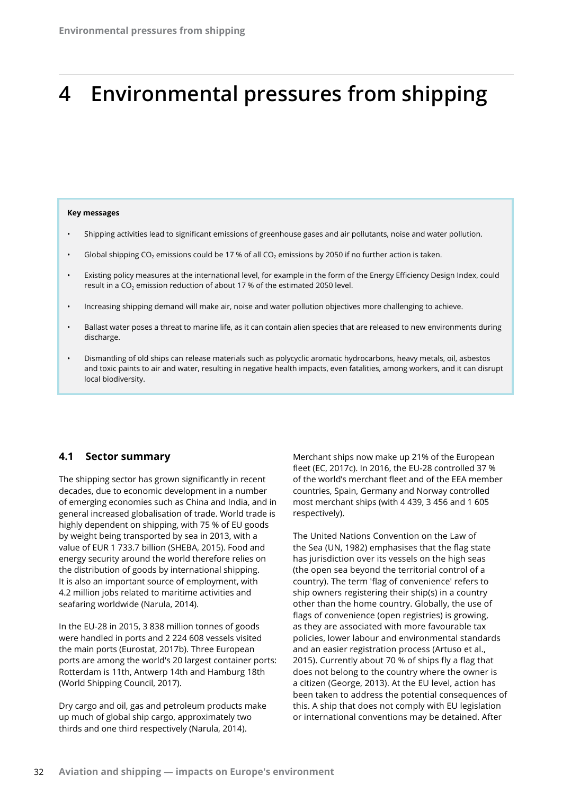# **4 Environmental pressures from shipping**

#### **Key messages**

- Shipping activities lead to significant emissions of greenhouse gases and air pollutants, noise and water pollution.
- Global shipping CO<sub>2</sub> emissions could be 17 % of all CO<sub>2</sub> emissions by 2050 if no further action is taken.
- Existing policy measures at the international level, for example in the form of the Energy Efficiency Design Index, could result in a  $CO<sub>2</sub>$  emission reduction of about 17 % of the estimated 2050 level.
- Increasing shipping demand will make air, noise and water pollution objectives more challenging to achieve.
- Ballast water poses a threat to marine life, as it can contain alien species that are released to new environments during discharge.
- Dismantling of old ships can release materials such as polycyclic aromatic hydrocarbons, heavy metals, oil, asbestos and toxic paints to air and water, resulting in negative health impacts, even fatalities, among workers, and it can disrupt local biodiversity.

## **4.1 Sector summary**

The shipping sector has grown significantly in recent decades, due to economic development in a number of emerging economies such as China and India, and in general increased globalisation of trade. World trade is highly dependent on shipping, with 75 % of EU goods by weight being transported by sea in 2013, with a value of EUR 1 733.7 billion (SHEBA, 2015). Food and energy security around the world therefore relies on the distribution of goods by international shipping. It is also an important source of employment, with 4.2 million jobs related to maritime activities and seafaring worldwide (Narula, 2014).

In the EU-28 in 2015, 3 838 million tonnes of goods were handled in ports and 2 224 608 vessels visited the main ports (Eurostat, 2017b). Three European ports are among the world's 20 largest container ports: Rotterdam is 11th, Antwerp 14th and Hamburg 18th (World Shipping Council, 2017).

Dry cargo and oil, gas and petroleum products make up much of global ship cargo, approximately two thirds and one third respectively (Narula, 2014).

Merchant ships now make up 21% of the European fleet (EC, 2017c). In 2016, the EU-28 controlled 37 % of the world's merchant fleet and of the EEA member countries, Spain, Germany and Norway controlled most merchant ships (with 4 439, 3 456 and 1 605 respectively).

The United Nations Convention on the Law of the Sea (UN, 1982) emphasises that the flag state has jurisdiction over its vessels on the high seas (the open sea beyond the territorial control of a country). The term 'flag of convenience' refers to ship owners registering their ship(s) in a country other than the home country. Globally, the use of flags of convenience (open registries) is growing, as they are associated with more favourable tax policies, lower labour and environmental standards and an easier registration process (Artuso et al., 2015). Currently about 70 % of ships fly a flag that does not belong to the country where the owner is a citizen (George, 2013). At the EU level, action has been taken to address the potential consequences of this. A ship that does not comply with EU legislation or international conventions may be detained. After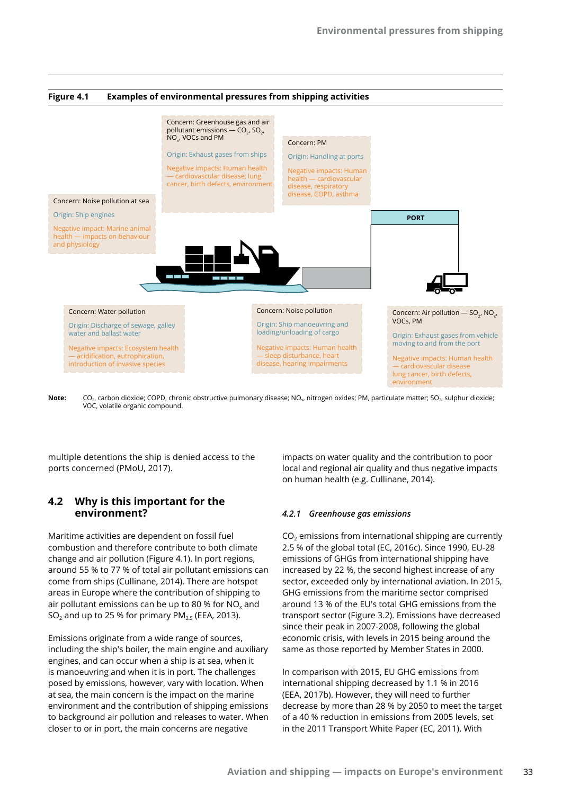

Note: CO<sub>2</sub>, carbon dioxide; COPD, chronic obstructive pulmonary disease; NO<sub>x</sub>, nitrogen oxides; PM, particulate matter; SO<sub>2</sub>, sulphur dioxide; VOC, volatile organic compound.

multiple detentions the ship is denied access to the ports concerned (PMoU, 2017).

## **4.2 Why is this important for the environment?**

Maritime activities are dependent on fossil fuel combustion and therefore contribute to both climate change and air pollution (Figure 4.1). In port regions, around 55 % to 77 % of total air pollutant emissions can come from ships (Cullinane, 2014). There are hotspot areas in Europe where the contribution of shipping to air pollutant emissions can be up to 80 % for  $NO<sub>x</sub>$  and SO<sub>2</sub> and up to 25 % for primary  $PM_{2.5}$  (EEA, 2013).

Emissions originate from a wide range of sources, including the ship's boiler, the main engine and auxiliary engines, and can occur when a ship is at sea, when it is manoeuvring and when it is in port. The challenges posed by emissions, however, vary with location. When at sea, the main concern is the impact on the marine environment and the contribution of shipping emissions to background air pollution and releases to water. When closer to or in port, the main concerns are negative

impacts on water quality and the contribution to poor local and regional air quality and thus negative impacts on human health (e.g. Cullinane, 2014).

#### *4.2.1 Greenhouse gas emissions*

 $CO<sub>2</sub>$  emissions from international shipping are currently 2.5 % of the global total (EC, 2016c). Since 1990, EU-28 emissions of GHGs from international shipping have increased by 22 %, the second highest increase of any sector, exceeded only by international aviation. In 2015, GHG emissions from the maritime sector comprised around 13 % of the EU's total GHG emissions from the transport sector (Figure 3.2). Emissions have decreased since their peak in 2007-2008, following the global economic crisis, with levels in 2015 being around the same as those reported by Member States in 2000.

In comparison with 2015, EU GHG emissions from international shipping decreased by 1.1 % in 2016 (EEA, 2017b). However, they will need to further decrease by more than 28 % by 2050 to meet the target of a 40 % reduction in emissions from 2005 levels, set in the 2011 Transport White Paper (EC, 2011). With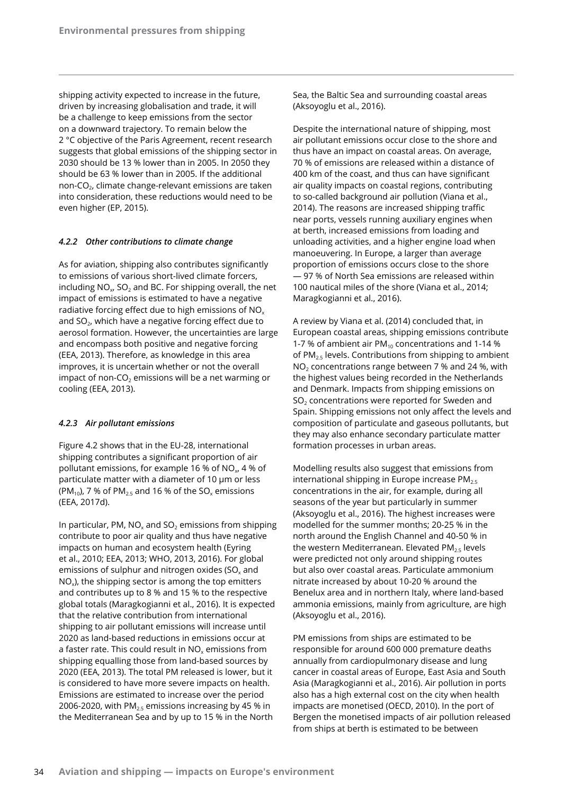shipping activity expected to increase in the future, driven by increasing globalisation and trade, it will be a challenge to keep emissions from the sector on a downward trajectory. To remain below the 2 °C objective of the Paris Agreement, recent research suggests that global emissions of the shipping sector in 2030 should be 13 % lower than in 2005. In 2050 they should be 63 % lower than in 2005. If the additional non-CO<sub>2</sub>, climate change-relevant emissions are taken into consideration, these reductions would need to be even higher (EP, 2015).

## *4.2.2 Other contributions to climate change*

As for aviation, shipping also contributes significantly to emissions of various short-lived climate forcers, including  $NO<sub>x</sub>$ , SO<sub>2</sub> and BC. For shipping overall, the net impact of emissions is estimated to have a negative radiative forcing effect due to high emissions of  $NO<sub>x</sub>$ and  $SO<sub>2</sub>$ , which have a negative forcing effect due to aerosol formation. However, the uncertainties are large and encompass both positive and negative forcing (EEA, 2013). Therefore, as knowledge in this area improves, it is uncertain whether or not the overall impact of non-CO<sub>2</sub> emissions will be a net warming or cooling (EEA, 2013).

## *4.2.3 Air pollutant emissions*

Figure 4.2 shows that in the EU-28, international shipping contributes a significant proportion of air pollutant emissions, for example 16 % of NO<sub>x</sub>, 4 % of particulate matter with a diameter of 10 μm or less (PM<sub>10</sub>), 7 % of PM<sub>2.5</sub> and 16 % of the SO<sub>x</sub> emissions (EEA, 2017d).

In particular, PM,  $NO<sub>x</sub>$  and SO<sub>2</sub> emissions from shipping contribute to poor air quality and thus have negative impacts on human and ecosystem health (Eyring et al., 2010; EEA, 2013; WHO, 2013, 2016). For global emissions of sulphur and nitrogen oxides (SO $_{x}$  and  $NO<sub>x</sub>$ ), the shipping sector is among the top emitters and contributes up to 8 % and 15 % to the respective global totals (Maragkogianni et al., 2016). It is expected that the relative contribution from international shipping to air pollutant emissions will increase until 2020 as land-based reductions in emissions occur at a faster rate. This could result in  $NO<sub>x</sub>$  emissions from shipping equalling those from land-based sources by 2020 (EEA, 2013). The total PM released is lower, but it is considered to have more severe impacts on health. Emissions are estimated to increase over the period 2006-2020, with  $PM<sub>2.5</sub>$  emissions increasing by 45 % in the Mediterranean Sea and by up to 15 % in the North

Sea, the Baltic Sea and surrounding coastal areas (Aksoyoglu et al., 2016).

Despite the international nature of shipping, most air pollutant emissions occur close to the shore and thus have an impact on coastal areas. On average, 70 % of emissions are released within a distance of 400 km of the coast, and thus can have significant air quality impacts on coastal regions, contributing to so-called background air pollution (Viana et al., 2014). The reasons are increased shipping traffic near ports, vessels running auxiliary engines when at berth, increased emissions from loading and unloading activities, and a higher engine load when manoeuvering. In Europe, a larger than average proportion of emissions occurs close to the shore — 97 % of North Sea emissions are released within 100 nautical miles of the shore (Viana et al., 2014; Maragkogianni et al., 2016).

A review by Viana et al. (2014) concluded that, in European coastal areas, shipping emissions contribute 1-7 % of ambient air PM $_{10}$  concentrations and 1-14 % of PM<sub>2.5</sub> levels. Contributions from shipping to ambient  $NO<sub>2</sub>$  concentrations range between 7 % and 24 %, with the highest values being recorded in the Netherlands and Denmark. Impacts from shipping emissions on  $SO<sub>2</sub>$  concentrations were reported for Sweden and Spain. Shipping emissions not only affect the levels and composition of particulate and gaseous pollutants, but they may also enhance secondary particulate matter formation processes in urban areas.

Modelling results also suggest that emissions from international shipping in Europe increase  $PM_{2.5}$ concentrations in the air, for example, during all seasons of the year but particularly in summer (Aksoyoglu et al., 2016). The highest increases were modelled for the summer months; 20-25 % in the north around the English Channel and 40-50 % in the western Mediterranean. Elevated  $PM_{2.5}$  levels were predicted not only around shipping routes but also over coastal areas. Particulate ammonium nitrate increased by about 10-20 % around the Benelux area and in northern Italy, where land-based ammonia emissions, mainly from agriculture, are high (Aksoyoglu et al., 2016).

PM emissions from ships are estimated to be responsible for around 600 000 premature deaths annually from cardiopulmonary disease and lung cancer in coastal areas of Europe, East Asia and South Asia (Maragkogianni et al., 2016). Air pollution in ports also has a high external cost on the city when health impacts are monetised (OECD, 2010). In the port of Bergen the monetised impacts of air pollution released from ships at berth is estimated to be between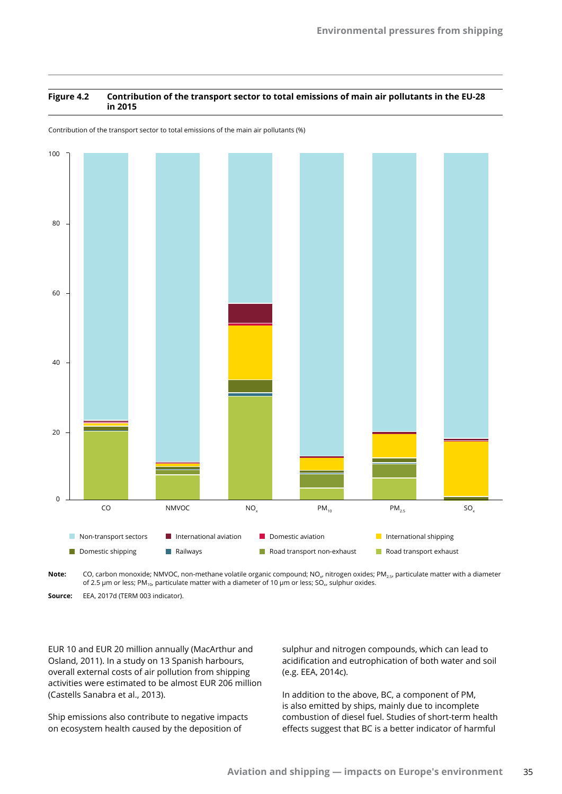#### **Figure 4.2 Contribution of the transport sector to total emissions of main air pollutants in the EU-28 in 2015**

Contribution of the transport sector to total emissions of the main air pollutants (%)



Note: CO, carbon monoxide; NMVOC, non-methane volatile organic compound; NO<sub>y</sub>, nitrogen oxides; PM<sub>25</sub>, particulate matter with a diameter of 2.5 μm or less; PM<sub>10</sub>, particulate matter with a diameter of 10 μm or less; SO<sub>x</sub>, sulphur oxides.

**Source:** EEA, 2017d (TERM 003 indicator).

EUR 10 and EUR 20 million annually (MacArthur and Osland, 2011). In a study on 13 Spanish harbours, overall external costs of air pollution from shipping activities were estimated to be almost EUR 206 million (Castells Sanabra et al., 2013).

Ship emissions also contribute to negative impacts on ecosystem health caused by the deposition of

sulphur and nitrogen compounds, which can lead to acidification and eutrophication of both water and soil (e.g. EEA, 2014c).

In addition to the above, BC, a component of PM, is also emitted by ships, mainly due to incomplete combustion of diesel fuel. Studies of short-term health effects suggest that BC is a better indicator of harmful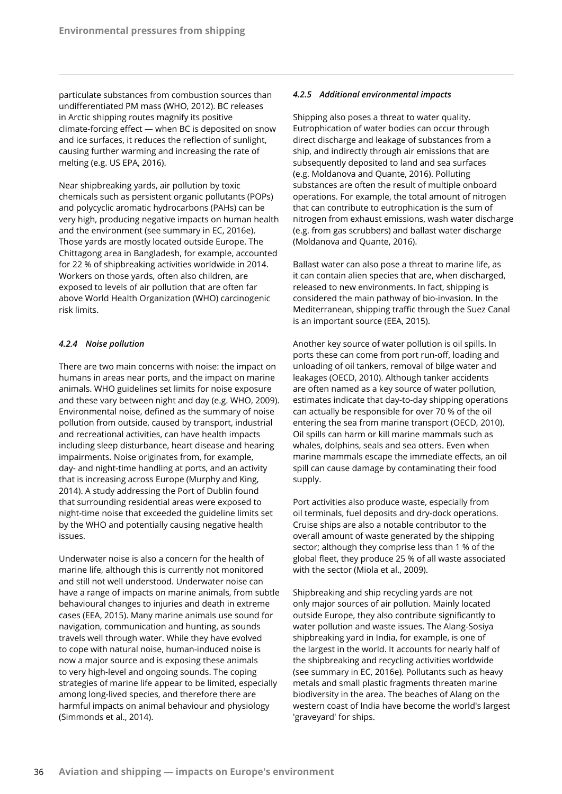particulate substances from combustion sources than undifferentiated PM mass (WHO, 2012). BC releases in Arctic shipping routes magnify its positive climate-forcing effect — when BC is deposited on snow and ice surfaces, it reduces the reflection of sunlight, causing further warming and increasing the rate of melting (e.g. US EPA, 2016).

Near shipbreaking yards, air pollution by toxic chemicals such as persistent organic pollutants (POPs) and polycyclic aromatic hydrocarbons (PAHs) can be very high, producing negative impacts on human health and the environment (see summary in EC, 2016e). Those yards are mostly located outside Europe. The Chittagong area in Bangladesh, for example, accounted for 22 % of shipbreaking activities worldwide in 2014. Workers on those yards, often also children, are exposed to levels of air pollution that are often far above World Health Organization (WHO) carcinogenic risk limits.

## *4.2.4 Noise pollution*

There are two main concerns with noise: the impact on humans in areas near ports, and the impact on marine animals. WHO guidelines set limits for noise exposure and these vary between night and day (e.g. WHO, 2009). Environmental noise, defined as the summary of noise pollution from outside, caused by transport, industrial and recreational activities, can have health impacts including sleep disturbance, heart disease and hearing impairments. Noise originates from, for example, day- and night-time handling at ports, and an activity that is increasing across Europe (Murphy and King, 2014). A study addressing the Port of Dublin found that surrounding residential areas were exposed to night-time noise that exceeded the guideline limits set by the WHO and potentially causing negative health issues.

Underwater noise is also a concern for the health of marine life, although this is currently not monitored and still not well understood. Underwater noise can have a range of impacts on marine animals, from subtle behavioural changes to injuries and death in extreme cases (EEA, 2015). Many marine animals use sound for navigation, communication and hunting, as sounds travels well through water. While they have evolved to cope with natural noise, human-induced noise is now a major source and is exposing these animals to very high-level and ongoing sounds. The coping strategies of marine life appear to be limited, especially among long-lived species, and therefore there are harmful impacts on animal behaviour and physiology (Simmonds et al., 2014).

## *4.2.5 Additional environmental impacts*

Shipping also poses a threat to water quality. Eutrophication of water bodies can occur through direct discharge and leakage of substances from a ship, and indirectly through air emissions that are subsequently deposited to land and sea surfaces (e.g. Moldanova and Quante, 2016). Polluting substances are often the result of multiple onboard operations. For example, the total amount of nitrogen that can contribute to eutrophication is the sum of nitrogen from exhaust emissions, wash water discharge (e.g. from gas scrubbers) and ballast water discharge (Moldanova and Quante, 2016).

Ballast water can also pose a threat to marine life, as it can contain alien species that are, when discharged, released to new environments. In fact, shipping is considered the main pathway of bio-invasion. In the Mediterranean, shipping traffic through the Suez Canal is an important source (EEA, 2015).

Another key source of water pollution is oil spills. In ports these can come from port run-off, loading and unloading of oil tankers, removal of bilge water and leakages (OECD, 2010). Although tanker accidents are often named as a key source of water pollution, estimates indicate that day-to-day shipping operations can actually be responsible for over 70 % of the oil entering the sea from marine transport (OECD, 2010). Oil spills can harm or kill marine mammals such as whales, dolphins, seals and sea otters. Even when marine mammals escape the immediate effects, an oil spill can cause damage by contaminating their food supply.

Port activities also produce waste, especially from oil terminals, fuel deposits and dry-dock operations. Cruise ships are also a notable contributor to the overall amount of waste generated by the shipping sector; although they comprise less than 1 % of the global fleet, they produce 25 % of all waste associated with the sector (Miola et al., 2009).

Shipbreaking and ship recycling yards are not only major sources of air pollution. Mainly located outside Europe, they also contribute significantly to water pollution and waste issues. The Alang-Sosiya shipbreaking yard in India, for example, is one of the largest in the world. It accounts for nearly half of the shipbreaking and recycling activities worldwide (see summary in EC, 2016e). Pollutants such as heavy metals and small plastic fragments threaten marine biodiversity in the area. The beaches of Alang on the western coast of India have become the world's largest 'graveyard' for ships.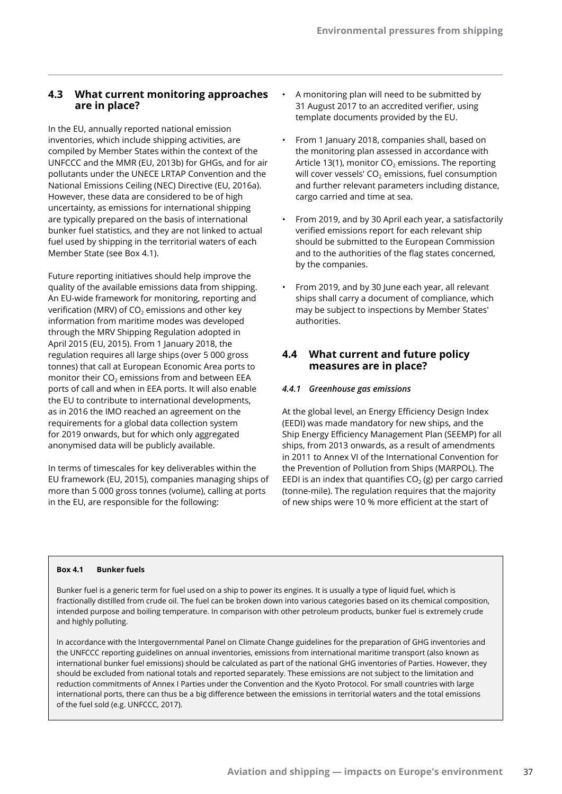## **4.3 What current monitoring approaches are in place?**

In the EU, annually reported national emission inventories, which include shipping activities, are compiled by Member States within the context of the UNFCCC and the MMR (EU, 2013b) for GHGs, and for air pollutants under the UNECE LRTAP Convention and the National Emissions Ceiling (NEC) Directive (EU, 2016a). However, these data are considered to be of high uncertainty, as emissions for international shipping are typically prepared on the basis of international bunker fuel statistics, and they are not linked to actual fuel used by shipping in the territorial waters of each Member State (see Box 4.1).

Future reporting initiatives should help improve the quality of the available emissions data from shipping. An EU-wide framework for monitoring, reporting and verification (MRV) of  $CO<sub>2</sub>$  emissions and other key information from maritime modes was developed through the MRV Shipping Regulation adopted in April 2015 (EU, 2015). From 1 January 2018, the regulation requires all large ships (over 5 000 gross tonnes) that call at European Economic Area ports to monitor their  $CO<sub>2</sub>$  emissions from and between EEA ports of call and when in EEA ports. It will also enable the EU to contribute to international developments, as in 2016 the IMO reached an agreement on the requirements for a global data collection system for 2019 onwards, but for which only aggregated anonymised data will be publicly available.

In terms of timescales for key deliverables within the EU framework (EU, 2015), companies managing ships of more than 5 000 gross tonnes (volume), calling at ports in the EU, are responsible for the following:

- A monitoring plan will need to be submitted by 31 August 2017 to an accredited verifier, using template documents provided by the EU.
- From 1 January 2018, companies shall, based on the monitoring plan assessed in accordance with Article 13(1), monitor  $CO<sub>2</sub>$  emissions. The reporting will cover vessels'  $CO<sub>2</sub>$  emissions, fuel consumption and further relevant parameters including distance, cargo carried and time at sea.
- From 2019, and by 30 April each year, a satisfactorily verified emissions report for each relevant ship should be submitted to the European Commission and to the authorities of the flag states concerned, by the companies.
- From 2019, and by 30 June each year, all relevant ships shall carry a document of compliance, which may be subject to inspections by Member States' authorities.

## **4.4 What current and future policy measures are in place?**

## *4.4.1 Greenhouse gas emissions*

At the global level, an Energy Efficiency Design Index (EEDI) was made mandatory for new ships, and the Ship Energy Efficiency Management Plan (SEEMP) for all ships, from 2013 onwards, as a result of amendments in 2011 to Annex VI of the International Convention for the Prevention of Pollution from Ships (MARPOL). The EEDI is an index that quantifies  $CO<sub>2</sub>$  (g) per cargo carried (tonne-mile). The regulation requires that the majority of new ships were 10 % more efficient at the start of

#### **Box 4.1 Bunker fuels**

Bunker fuel is a generic term for fuel used on a ship to power its engines. It is usually a type of liquid fuel, which is fractionally distilled from crude oil. The fuel can be broken down into various categories based on its chemical composition, intended purpose and boiling temperature. In comparison with other petroleum products, bunker fuel is extremely crude and highly polluting.

In accordance with the Intergovernmental Panel on Climate Change guidelines for the preparation of GHG inventories and the UNFCCC reporting guidelines on annual inventories, emissions from international maritime transport (also known as international bunker fuel emissions) should be calculated as part of the national GHG inventories of Parties. However, they should be excluded from national totals and reported separately. These emissions are not subject to the limitation and reduction commitments of Annex I Parties under the Convention and the Kyoto Protocol. For small countries with large international ports, there can thus be a big difference between the emissions in territorial waters and the total emissions of the fuel sold (e.g. UNFCCC, 2017).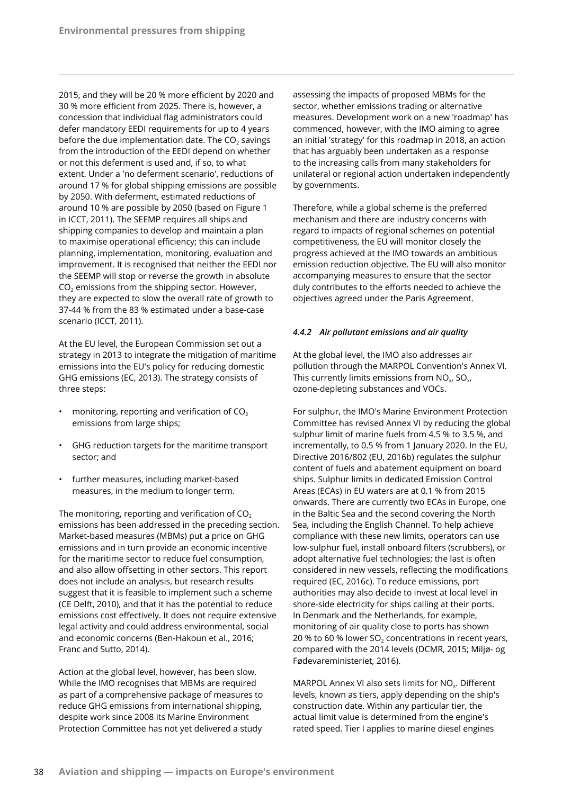2015, and they will be 20 % more efficient by 2020 and 30 % more efficient from 2025. There is, however, a concession that individual flag administrators could defer mandatory EEDI requirements for up to 4 years before the due implementation date. The  $CO<sub>2</sub>$  savings from the introduction of the EEDI depend on whether or not this deferment is used and, if so, to what extent. Under a 'no deferment scenario', reductions of around 17 % for global shipping emissions are possible by 2050. With deferment, estimated reductions of around 10 % are possible by 2050 (based on Figure 1 in ICCT, 2011). The SEEMP requires all ships and shipping companies to develop and maintain a plan to maximise operational efficiency; this can include planning, implementation, monitoring, evaluation and improvement. It is recognised that neither the EEDI nor the SEEMP will stop or reverse the growth in absolute  $CO<sub>2</sub>$  emissions from the shipping sector. However, they are expected to slow the overall rate of growth to 37-44 % from the 83 % estimated under a base-case scenario (ICCT, 2011).

At the EU level, the European Commission set out a strategy in 2013 to integrate the mitigation of maritime emissions into the EU's policy for reducing domestic GHG emissions (EC, 2013). The strategy consists of three steps:

- monitoring, reporting and verification of  $CO<sub>2</sub>$ emissions from large ships;
- GHG reduction targets for the maritime transport sector; and
- further measures, including market-based measures, in the medium to longer term.

The monitoring, reporting and verification of  $CO<sub>2</sub>$ emissions has been addressed in the preceding section. Market-based measures (MBMs) put a price on GHG emissions and in turn provide an economic incentive for the maritime sector to reduce fuel consumption, and also allow offsetting in other sectors. This report does not include an analysis, but research results suggest that it is feasible to implement such a scheme (CE Delft, 2010), and that it has the potential to reduce emissions cost effectively. It does not require extensive legal activity and could address environmental, social and economic concerns (Ben-Hakoun et al., 2016; Franc and Sutto, 2014).

Action at the global level, however, has been slow. While the IMO recognises that MBMs are required as part of a comprehensive package of measures to reduce GHG emissions from international shipping, despite work since 2008 its Marine Environment Protection Committee has not yet delivered a study

assessing the impacts of proposed MBMs for the sector, whether emissions trading or alternative measures. Development work on a new 'roadmap' has commenced, however, with the IMO aiming to agree an initial 'strategy' for this roadmap in 2018, an action that has arguably been undertaken as a response to the increasing calls from many stakeholders for unilateral or regional action undertaken independently by governments.

Therefore, while a global scheme is the preferred mechanism and there are industry concerns with regard to impacts of regional schemes on potential competitiveness, the EU will monitor closely the progress achieved at the IMO towards an ambitious emission reduction objective. The EU will also monitor accompanying measures to ensure that the sector duly contributes to the efforts needed to achieve the objectives agreed under the Paris Agreement.

## *4.4.2 Air pollutant emissions and air quality*

At the global level, the IMO also addresses air pollution through the MARPOL Convention's Annex VI. This currently limits emissions from  $NO<sub>x</sub> SO<sub>x</sub>$ ozone‑depleting substances and VOCs.

For sulphur, the IMO's Marine Environment Protection Committee has revised Annex VI by reducing the global sulphur limit of marine fuels from 4.5 % to 3.5 %, and incrementally, to 0.5 % from 1 January 2020. In the EU, Directive 2016/802 (EU, 2016b) regulates the sulphur content of fuels and abatement equipment on board ships. Sulphur limits in dedicated Emission Control Areas (ECAs) in EU waters are at 0.1 % from 2015 onwards. There are currently two ECAs in Europe, one in the Baltic Sea and the second covering the North Sea, including the English Channel. To help achieve compliance with these new limits, operators can use low-sulphur fuel, install onboard filters (scrubbers), or adopt alternative fuel technologies; the last is often considered in new vessels, reflecting the modifications required (EC, 2016c). To reduce emissions, port authorities may also decide to invest at local level in shore-side electricity for ships calling at their ports. In Denmark and the Netherlands, for example, monitoring of air quality close to ports has shown 20 % to 60 % lower  $SO<sub>2</sub>$  concentrations in recent years, compared with the 2014 levels (DCMR, 2015; Miljø- og Fødevareministeriet, 2016).

MARPOL Annex VI also sets limits for  $NO<sub>x</sub>$ . Different levels, known as tiers, apply depending on the ship's construction date. Within any particular tier, the actual limit value is determined from the engine's rated speed. Tier I applies to marine diesel engines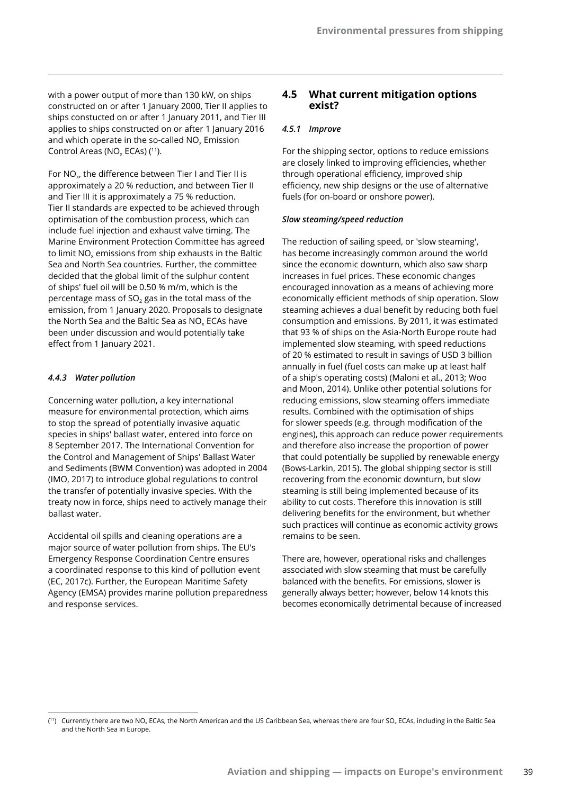with a power output of more than 130 kW, on ships constructed on or after 1 January 2000, Tier II applies to ships constucted on or after 1 January 2011, and Tier III applies to ships constructed on or after 1 January 2016 and which operate in the so-called  $NO<sub>x</sub>$  Emission Control Areas ( $NO<sub>x</sub>$  ECAs) (<sup>11</sup>).

For  $NO<sub>x</sub>$ , the difference between Tier I and Tier II is approximately a 20 % reduction, and between Tier II and Tier III it is approximately a 75 % reduction. Tier II standards are expected to be achieved through optimisation of the combustion process, which can include fuel injection and exhaust valve timing. The Marine Environment Protection Committee has agreed to limit NO<sub>x</sub> emissions from ship exhausts in the Baltic Sea and North Sea countries. Further, the committee decided that the global limit of the sulphur content of ships' fuel oil will be 0.50 % m/m, which is the percentage mass of SO<sub>2</sub> gas in the total mass of the emission, from 1 January 2020. Proposals to designate the North Sea and the Baltic Sea as  $NO<sub>x</sub>$  ECAs have been under discussion and would potentially take effect from 1 January 2021.

#### *4.4.3 Water pollution*

Concerning water pollution, a key international measure for environmental protection, which aims to stop the spread of potentially invasive aquatic species in ships' ballast water, entered into force on 8 September 2017. The International Convention for the Control and Management of Ships' Ballast Water and Sediments (BWM Convention) was adopted in 2004 (IMO, 2017) to introduce global regulations to control the transfer of potentially invasive species. With the treaty now in force, ships need to actively manage their ballast water.

Accidental oil spills and cleaning operations are a major source of water pollution from ships. The EU's Emergency Response Coordination Centre ensures a coordinated response to this kind of pollution event (EC, 2017c). Further, the European Maritime Safety Agency (EMSA) provides marine pollution preparedness and response services.

## **4.5 What current mitigation options exist?**

#### *4.5.1 Improve*

For the shipping sector, options to reduce emissions are closely linked to improving efficiencies, whether through operational efficiency, improved ship efficiency, new ship designs or the use of alternative fuels (for on-board or onshore power).

#### *Slow steaming/speed reduction*

The reduction of sailing speed, or 'slow steaming', has become increasingly common around the world since the economic downturn, which also saw sharp increases in fuel prices. These economic changes encouraged innovation as a means of achieving more economically efficient methods of ship operation. Slow steaming achieves a dual benefit by reducing both fuel consumption and emissions. By 2011, it was estimated that 93 % of ships on the Asia-North Europe route had implemented slow steaming, with speed reductions of 20 % estimated to result in savings of USD 3 billion annually in fuel (fuel costs can make up at least half of a ship's operating costs) (Maloni et al., 2013; Woo and Moon, 2014). Unlike other potential solutions for reducing emissions, slow steaming offers immediate results. Combined with the optimisation of ships for slower speeds (e.g. through modification of the engines), this approach can reduce power requirements and therefore also increase the proportion of power that could potentially be supplied by renewable energy (Bows-Larkin, 2015). The global shipping sector is still recovering from the economic downturn, but slow steaming is still being implemented because of its ability to cut costs. Therefore this innovation is still delivering benefits for the environment, but whether such practices will continue as economic activity grows remains to be seen.

There are, however, operational risks and challenges associated with slow steaming that must be carefully balanced with the benefits. For emissions, slower is generally always better; however, below 14 knots this becomes economically detrimental because of increased

<sup>(&</sup>lt;sup>11</sup>) Currently there are two NO<sub>x</sub> ECAs, the North American and the US Caribbean Sea, whereas there are four SO<sub>x</sub> ECAs, including in the Baltic Sea and the North Sea in Europe.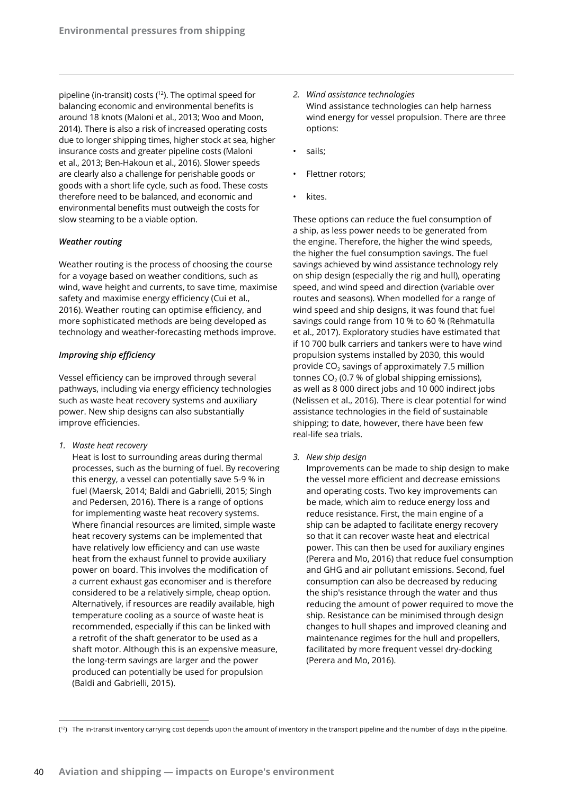pipeline (in-transit) costs (<sup>12</sup>). The optimal speed for balancing economic and environmental benefits is around 18 knots (Maloni et al., 2013; Woo and Moon, 2014). There is also a risk of increased operating costs due to longer shipping times, higher stock at sea, higher insurance costs and greater pipeline costs (Maloni et al., 2013; Ben-Hakoun et al., 2016). Slower speeds are clearly also a challenge for perishable goods or goods with a short life cycle, such as food. These costs therefore need to be balanced, and economic and environmental benefits must outweigh the costs for slow steaming to be a viable option.

#### *Weather routing*

Weather routing is the process of choosing the course for a voyage based on weather conditions, such as wind, wave height and currents, to save time, maximise safety and maximise energy efficiency (Cui et al., 2016). Weather routing can optimise efficiency, and more sophisticated methods are being developed as technology and weather-forecasting methods improve.

## *Improving ship efficiency*

Vessel efficiency can be improved through several pathways, including via energy efficiency technologies such as waste heat recovery systems and auxiliary power. New ship designs can also substantially improve efficiencies.

*1. Waste heat recovery*

Heat is lost to surrounding areas during thermal processes, such as the burning of fuel. By recovering this energy, a vessel can potentially save 5-9 % in fuel (Maersk, 2014; Baldi and Gabrielli, 2015; Singh and Pedersen, 2016). There is a range of options for implementing waste heat recovery systems. Where financial resources are limited, simple waste heat recovery systems can be implemented that have relatively low efficiency and can use waste heat from the exhaust funnel to provide auxiliary power on board. This involves the modification of a current exhaust gas economiser and is therefore considered to be a relatively simple, cheap option. Alternatively, if resources are readily available, high temperature cooling as a source of waste heat is recommended, especially if this can be linked with a retrofit of the shaft generator to be used as a shaft motor. Although this is an expensive measure, the long-term savings are larger and the power produced can potentially be used for propulsion (Baldi and Gabrielli, 2015).

- *2. Wind assistance technologies* Wind assistance technologies can help harness wind energy for vessel propulsion. There are three options:
- sails:
- Flettner rotors:
- kites.

These options can reduce the fuel consumption of a ship, as less power needs to be generated from the engine. Therefore, the higher the wind speeds, the higher the fuel consumption savings. The fuel savings achieved by wind assistance technology rely on ship design (especially the rig and hull), operating speed, and wind speed and direction (variable over routes and seasons). When modelled for a range of wind speed and ship designs, it was found that fuel savings could range from 10 % to 60 % (Rehmatulla et al., 2017). Exploratory studies have estimated that if 10 700 bulk carriers and tankers were to have wind propulsion systems installed by 2030, this would provide  $CO<sub>2</sub>$  savings of approximately 7.5 million tonnes  $CO<sub>2</sub>$  (0.7 % of global shipping emissions), as well as 8 000 direct jobs and 10 000 indirect jobs (Nelissen et al., 2016). There is clear potential for wind assistance technologies in the field of sustainable shipping; to date, however, there have been few real-life sea trials.

*3. New ship design*

Improvements can be made to ship design to make the vessel more efficient and decrease emissions and operating costs. Two key improvements can be made, which aim to reduce energy loss and reduce resistance. First, the main engine of a ship can be adapted to facilitate energy recovery so that it can recover waste heat and electrical power. This can then be used for auxiliary engines (Perera and Mo, 2016) that reduce fuel consumption and GHG and air pollutant emissions. Second, fuel consumption can also be decreased by reducing the ship's resistance through the water and thus reducing the amount of power required to move the ship. Resistance can be minimised through design changes to hull shapes and improved cleaning and maintenance regimes for the hull and propellers, facilitated by more frequent vessel dry-docking (Perera and Mo, 2016).

<sup>(</sup> 12) The in-transit inventory carrying cost depends upon the amount of inventory in the transport pipeline and the number of days in the pipeline.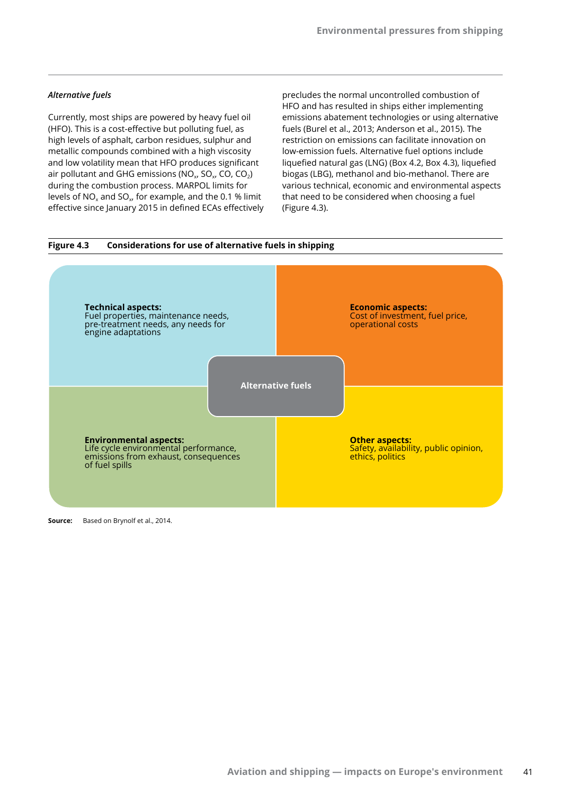#### *Alternative fuels*

Currently, most ships are powered by heavy fuel oil (HFO). This is a cost-effective but polluting fuel, as high levels of asphalt, carbon residues, sulphur and metallic compounds combined with a high viscosity and low volatility mean that HFO produces significant air pollutant and GHG emissions (NO<sub>x</sub>, SO<sub>x</sub>, CO, CO<sub>2</sub>) during the combustion process. MARPOL limits for levels of  $NO_x$  and  $SO_x$ , for example, and the 0.1 % limit effective since January 2015 in defined ECAs effectively

precludes the normal uncontrolled combustion of HFO and has resulted in ships either implementing emissions abatement technologies or using alternative fuels (Burel et al., 2013; Anderson et al., 2015). The restriction on emissions can facilitate innovation on low-emission fuels. Alternative fuel options include liquefied natural gas (LNG) (Box 4.2, Box 4.3), liquefied biogas (LBG), methanol and bio-methanol. There are various technical, economic and environmental aspects that need to be considered when choosing a fuel (Figure 4.3).



**Source:** Based on Brynolf et al., 2014.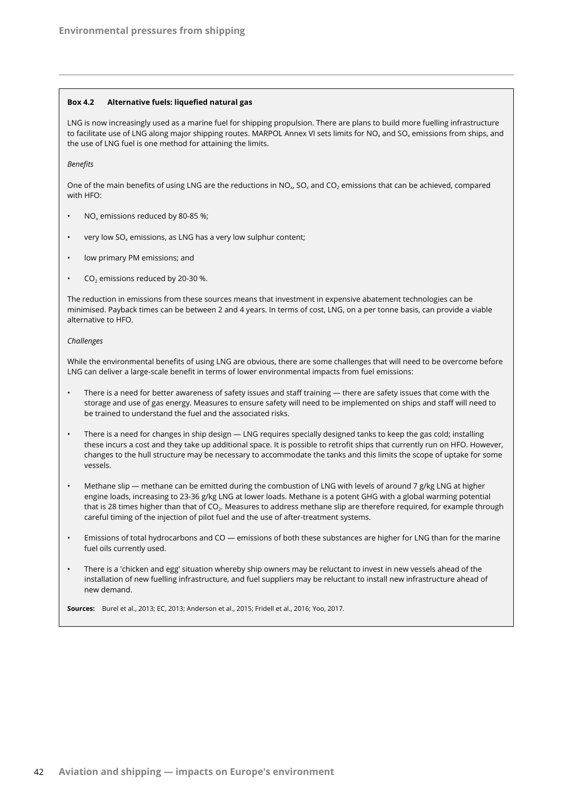#### **Box 4.2 Alternative fuels: liquefied natural gas**

LNG is now increasingly used as a marine fuel for shipping propulsion. There are plans to build more fuelling infrastructure to facilitate use of LNG along major shipping routes. MARPOL Annex VI sets limits for NO<sub>x</sub> and SO<sub>x</sub> emissions from ships, and the use of LNG fuel is one method for attaining the limits.

*Benefits*

One of the main benefits of using LNG are the reductions in NO<sub>x</sub>, SO<sub>x</sub> and CO<sub>2</sub> emissions that can be achieved, compared with HFO:

- $NO<sub>x</sub>$  emissions reduced by 80-85 %;
- very low  $SO_x$  emissions, as LNG has a very low sulphur content;
- low primary PM emissions; and
- $CO<sub>2</sub>$  emissions reduced by 20-30 %.

The reduction in emissions from these sources means that investment in expensive abatement technologies can be minimised. Payback times can be between 2 and 4 years. In terms of cost, LNG, on a per tonne basis, can provide a viable alternative to HFO.

#### *Challenges*

While the environmental benefits of using LNG are obvious, there are some challenges that will need to be overcome before LNG can deliver a large-scale benefit in terms of lower environmental impacts from fuel emissions:

- There is a need for better awareness of safety issues and staff training there are safety issues that come with the storage and use of gas energy. Measures to ensure safety will need to be implemented on ships and staff will need to be trained to understand the fuel and the associated risks.
- There is a need for changes in ship design LNG requires specially designed tanks to keep the gas cold; installing these incurs a cost and they take up additional space. It is possible to retrofit ships that currently run on HFO. However, changes to the hull structure may be necessary to accommodate the tanks and this limits the scope of uptake for some vessels.
- Methane slip methane can be emitted during the combustion of LNG with levels of around 7 g/kg LNG at higher engine loads, increasing to 23-36 g/kg LNG at lower loads. Methane is a potent GHG with a global warming potential that is 28 times higher than that of CO<sub>2</sub>. Measures to address methane slip are therefore required, for example through careful timing of the injection of pilot fuel and the use of after-treatment systems.
- Emissions of total hydrocarbons and CO emissions of both these substances are higher for LNG than for the marine fuel oils currently used.
- There is a 'chicken and egg' situation whereby ship owners may be reluctant to invest in new vessels ahead of the installation of new fuelling infrastructure, and fuel suppliers may be reluctant to install new infrastructure ahead of new demand.

**Sources:** Burel et al., 2013; EC, 2013; Anderson et al., 2015; Fridell et al., 2016; Yoo, 2017.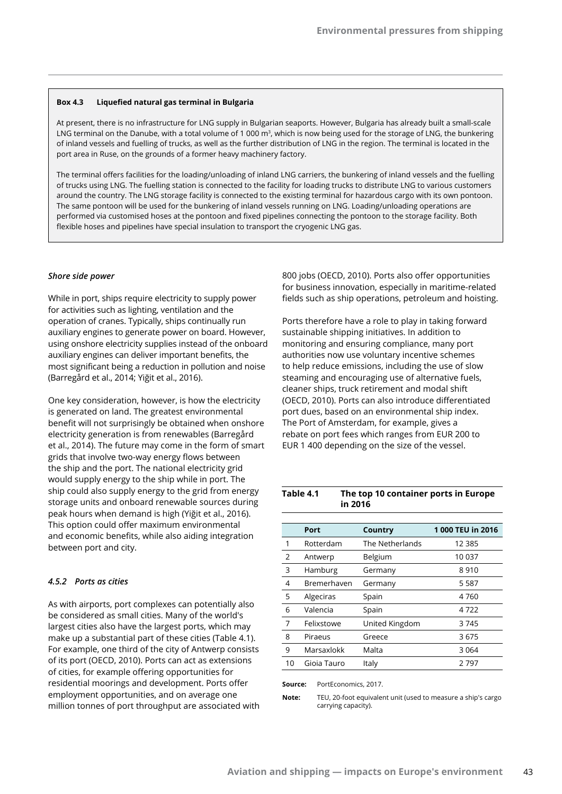#### **Box 4.3 Liquefied natural gas terminal in Bulgaria**

At present, there is no infrastructure for LNG supply in Bulgarian seaports. However, Bulgaria has already built a small-scale LNG terminal on the Danube, with a total volume of 1 000 m<sup>3</sup>, which is now being used for the storage of LNG, the bunkering of inland vessels and fuelling of trucks, as well as the further distribution of LNG in the region. The terminal is located in the port area in Ruse, on the grounds of a former heavy machinery factory.

The terminal offers facilities for the loading/unloading of inland LNG carriers, the bunkering of inland vessels and the fuelling of trucks using LNG. The fuelling station is connected to the facility for loading trucks to distribute LNG to various customers around the country. The LNG storage facility is connected to the existing terminal for hazardous cargo with its own pontoon. The same pontoon will be used for the bunkering of inland vessels running on LNG. Loading/unloading operations are performed via customised hoses at the pontoon and fixed pipelines connecting the pontoon to the storage facility. Both flexible hoses and pipelines have special insulation to transport the cryogenic LNG gas.

#### *Shore side power*

While in port, ships require electricity to supply power for activities such as lighting, ventilation and the operation of cranes. Typically, ships continually run auxiliary engines to generate power on board. However, using onshore electricity supplies instead of the onboard auxiliary engines can deliver important benefits, the most significant being a reduction in pollution and noise (Barregård et al., 2014; Yiğit et al., 2016).

One key consideration, however, is how the electricity is generated on land. The greatest environmental benefit will not surprisingly be obtained when onshore electricity generation is from renewables (Barregård et al., 2014). The future may come in the form of smart grids that involve two-way energy flows between the ship and the port. The national electricity grid would supply energy to the ship while in port. The ship could also supply energy to the grid from energy storage units and onboard renewable sources during peak hours when demand is high (Yiğit et al., 2016). This option could offer maximum environmental and economic benefits, while also aiding integration between port and city.

#### *4.5.2 Ports as cities*

As with airports, port complexes can potentially also be considered as small cities. Many of the world's largest cities also have the largest ports, which may make up a substantial part of these cities (Table 4.1). For example, one third of the city of Antwerp consists of its port (OECD, 2010). Ports can act as extensions of cities, for example offering opportunities for residential moorings and development. Ports offer employment opportunities, and on average one million tonnes of port throughput are associated with 800 jobs (OECD, 2010). Ports also offer opportunities for business innovation, especially in maritime-related fields such as ship operations, petroleum and hoisting.

Ports therefore have a role to play in taking forward sustainable shipping initiatives. In addition to monitoring and ensuring compliance, many port authorities now use voluntary incentive schemes to help reduce emissions, including the use of slow steaming and encouraging use of alternative fuels, cleaner ships, truck retirement and modal shift (OECD, 2010). Ports can also introduce differentiated port dues, based on an environmental ship index. The Port of Amsterdam, for example, gives a rebate on port fees which ranges from EUR 200 to EUR 1 400 depending on the size of the vessel.

#### **Table 4.1 The top 10 container ports in Europe in 2016**

|    | Port        | Country         | 1000 TEU in 2016 |
|----|-------------|-----------------|------------------|
| 1  | Rotterdam   | The Netherlands | 12 3 8 5         |
| 2  | Antwerp     | Belgium         | 10 037           |
| 3  | Hamburg     | Germany         | 8910             |
| 4  | Bremerhaven | Germany         | 5587             |
| 5  | Algeciras   | Spain           | 4760             |
| 6  | Valencia    | Spain           | 4722             |
| 7  | Felixstowe  | United Kingdom  | 3745             |
| 8  | Piraeus     | Greece          | 3675             |
| 9  | Marsaxlokk  | Malta           | 3064             |
| 10 | Gioja Tauro | Italy           | 2797             |

**Source:** PortEconomics, 2017.

**Note:** TEU, 20-foot equivalent unit (used to measure a ship's cargo carrying capacity).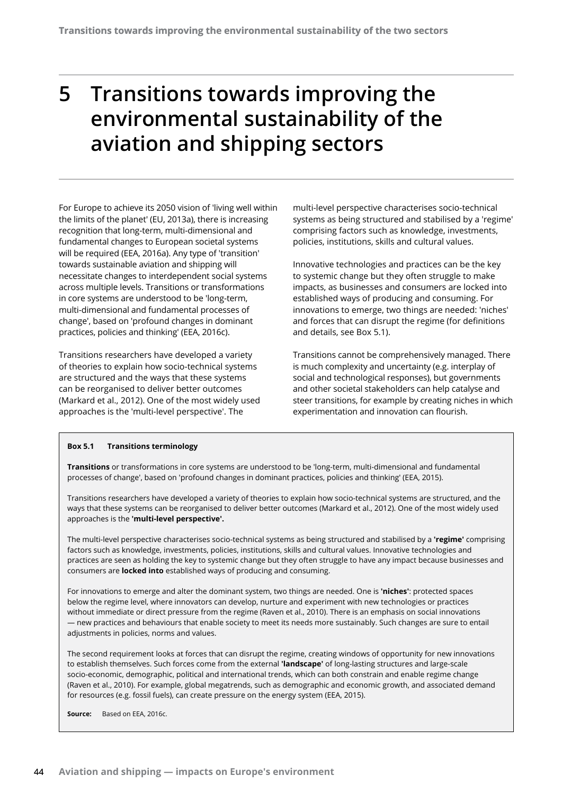# **5 Transitions towards improving the environmental sustainability of the aviation and shipping sectors**

For Europe to achieve its 2050 vision of 'living well within the limits of the planet' (EU, 2013a), there is increasing recognition that long-term, multi-dimensional and fundamental changes to European societal systems will be required (EEA, 2016a). Any type of 'transition' towards sustainable aviation and shipping will necessitate changes to interdependent social systems across multiple levels. Transitions or transformations in core systems are understood to be 'long-term, multi-dimensional and fundamental processes of change', based on 'profound changes in dominant practices, policies and thinking' (EEA, 2016c).

Transitions researchers have developed a variety of theories to explain how socio-technical systems are structured and the ways that these systems can be reorganised to deliver better outcomes (Markard et al., 2012). One of the most widely used approaches is the 'multi-level perspective'. The

multi-level perspective characterises socio-technical systems as being structured and stabilised by a 'regime' comprising factors such as knowledge, investments, policies, institutions, skills and cultural values.

Innovative technologies and practices can be the key to systemic change but they often struggle to make impacts, as businesses and consumers are locked into established ways of producing and consuming. For innovations to emerge, two things are needed: 'niches' and forces that can disrupt the regime (for definitions and details, see Box 5.1).

Transitions cannot be comprehensively managed. There is much complexity and uncertainty (e.g. interplay of social and technological responses), but governments and other societal stakeholders can help catalyse and steer transitions, for example by creating niches in which experimentation and innovation can flourish.

#### **Box 5.1 Transitions terminology**

**Transitions** or transformations in core systems are understood to be 'long-term, multi-dimensional and fundamental processes of change', based on 'profound changes in dominant practices, policies and thinking' (EEA, 2015).

Transitions researchers have developed a variety of theories to explain how socio-technical systems are structured, and the ways that these systems can be reorganised to deliver better outcomes (Markard et al., 2012). One of the most widely used approaches is the **'multi-level perspective'.**

The multi-level perspective characterises socio-technical systems as being structured and stabilised by a **'regime'** comprising factors such as knowledge, investments, policies, institutions, skills and cultural values. Innovative technologies and practices are seen as holding the key to systemic change but they often struggle to have any impact because businesses and consumers are **locked into** established ways of producing and consuming.

For innovations to emerge and alter the dominant system, two things are needed. One is **'niches'**: protected spaces below the regime level, where innovators can develop, nurture and experiment with new technologies or practices without immediate or direct pressure from the regime (Raven et al., 2010). There is an emphasis on social innovations — new practices and behaviours that enable society to meet its needs more sustainably. Such changes are sure to entail adjustments in policies, norms and values.

The second requirement looks at forces that can disrupt the regime, creating windows of opportunity for new innovations to establish themselves. Such forces come from the external **'landscape'** of long-lasting structures and large-scale socio-economic, demographic, political and international trends, which can both constrain and enable regime change (Raven et al., 2010). For example, global megatrends, such as demographic and economic growth, and associated demand for resources (e.g. fossil fuels), can create pressure on the energy system (EEA, 2015).

**Source:** Based on EEA, 2016c.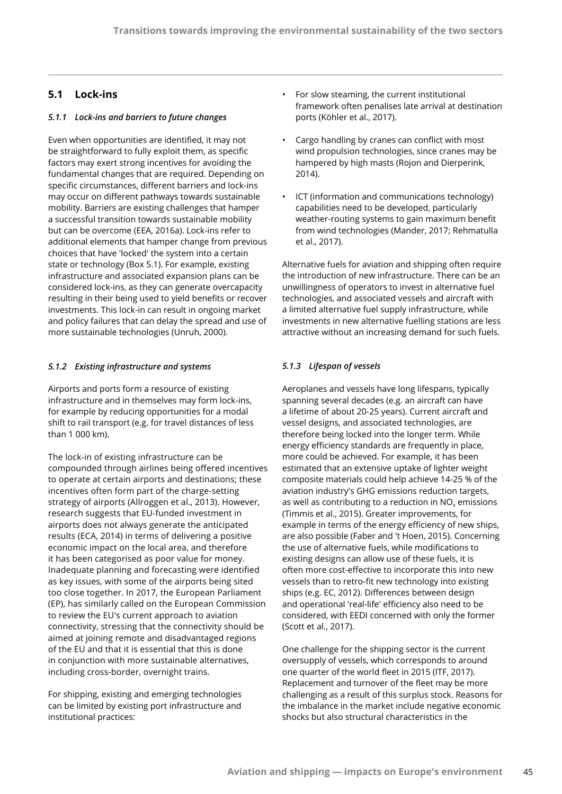## **5.1 Lock-ins**

### *5.1.1 Lock-ins and barriers to future changes*

Even when opportunities are identified, it may not be straightforward to fully exploit them, as specific factors may exert strong incentives for avoiding the fundamental changes that are required. Depending on specific circumstances, different barriers and lock-ins may occur on different pathways towards sustainable mobility. Barriers are existing challenges that hamper a successful transition towards sustainable mobility but can be overcome (EEA, 2016a). Lock-ins refer to additional elements that hamper change from previous choices that have 'locked' the system into a certain state or technology (Box 5.1). For example, existing infrastructure and associated expansion plans can be considered lock-ins, as they can generate overcapacity resulting in their being used to yield benefits or recover investments. This lock-in can result in ongoing market and policy failures that can delay the spread and use of more sustainable technologies (Unruh, 2000).

#### *5.1.2 Existing infrastructure and systems*

Airports and ports form a resource of existing infrastructure and in themselves may form lock-ins, for example by reducing opportunities for a modal shift to rail transport (e.g. for travel distances of less than 1 000 km).

The lock-in of existing infrastructure can be compounded through airlines being offered incentives to operate at certain airports and destinations; these incentives often form part of the charge-setting strategy of airports (Allroggen et al., 2013). However, research suggests that EU-funded investment in airports does not always generate the anticipated results (ECA, 2014) in terms of delivering a positive economic impact on the local area, and therefore it has been categorised as poor value for money. Inadequate planning and forecasting were identified as key issues, with some of the airports being sited too close together. In 2017, the European Parliament (EP), has similarly called on the European Commission to review the EU's current approach to aviation connectivity, stressing that the connectivity should be aimed at joining remote and disadvantaged regions of the EU and that it is essential that this is done in conjunction with more sustainable alternatives, including cross-border, overnight trains.

For shipping, existing and emerging technologies can be limited by existing port infrastructure and institutional practices:

- For slow steaming, the current institutional framework often penalises late arrival at destination ports (Köhler et al., 2017).
- Cargo handling by cranes can conflict with most wind propulsion technologies, since cranes may be hampered by high masts (Rojon and Dierperink, 2014).
- ICT (information and communications technology) capabilities need to be developed, particularly weather-routing systems to gain maximum benefit from wind technologies (Mander, 2017; Rehmatulla et al., 2017).

Alternative fuels for aviation and shipping often require the introduction of new infrastructure. There can be an unwillingness of operators to invest in alternative fuel technologies, and associated vessels and aircraft with a limited alternative fuel supply infrastructure, while investments in new alternative fuelling stations are less attractive without an increasing demand for such fuels.

## *5.1.3 Lifespan of vessels*

Aeroplanes and vessels have long lifespans, typically spanning several decades (e.g. an aircraft can have a lifetime of about 20-25 years). Current aircraft and vessel designs, and associated technologies, are therefore being locked into the longer term. While energy efficiency standards are frequently in place, more could be achieved. For example, it has been estimated that an extensive uptake of lighter weight composite materials could help achieve 14-25 % of the aviation industry's GHG emissions reduction targets, as well as contributing to a reduction in  $NO<sub>x</sub>$  emissions (Timmis et al., 2015). Greater improvements, for example in terms of the energy efficiency of new ships, are also possible (Faber and 't Hoen, 2015). Concerning the use of alternative fuels, while modifications to existing designs can allow use of these fuels, it is often more cost-effective to incorporate this into new vessels than to retro-fit new technology into existing ships (e.g. EC, 2012). Differences between design and operational 'real-life' efficiency also need to be considered, with EEDI concerned with only the former (Scott et al., 2017).

One challenge for the shipping sector is the current oversupply of vessels, which corresponds to around one quarter of the world fleet in 2015 (ITF, 2017). Replacement and turnover of the fleet may be more challenging as a result of this surplus stock. Reasons for the imbalance in the market include negative economic shocks but also structural characteristics in the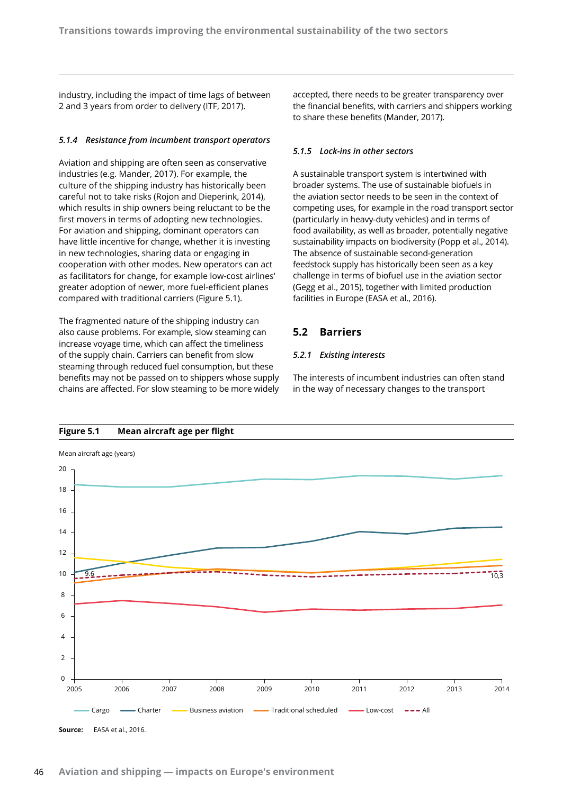industry, including the impact of time lags of between 2 and 3 years from order to delivery (ITF, 2017).

#### *5.1.4 Resistance from incumbent transport operators*

Aviation and shipping are often seen as conservative industries (e.g. Mander, 2017). For example, the culture of the shipping industry has historically been careful not to take risks (Rojon and Dieperink, 2014), which results in ship owners being reluctant to be the first movers in terms of adopting new technologies. For aviation and shipping, dominant operators can have little incentive for change, whether it is investing in new technologies, sharing data or engaging in cooperation with other modes. New operators can act as facilitators for change, for example low-cost airlines' greater adoption of newer, more fuel-efficient planes compared with traditional carriers (Figure 5.1).

The fragmented nature of the shipping industry can also cause problems. For example, slow steaming can increase voyage time, which can affect the timeliness of the supply chain. Carriers can benefit from slow steaming through reduced fuel consumption, but these benefits may not be passed on to shippers whose supply chains are affected. For slow steaming to be more widely

accepted, there needs to be greater transparency over the financial benefits, with carriers and shippers working to share these benefits (Mander, 2017).

#### *5.1.5 Lock-ins in other sectors*

A sustainable transport system is intertwined with broader systems. The use of sustainable biofuels in the aviation sector needs to be seen in the context of competing uses, for example in the road transport sector (particularly in heavy-duty vehicles) and in terms of food availability, as well as broader, potentially negative sustainability impacts on biodiversity (Popp et al., 2014). The absence of sustainable second-generation feedstock supply has historically been seen as a key challenge in terms of biofuel use in the aviation sector (Gegg et al., 2015), together with limited production facilities in Europe (EASA et al., 2016).

## **5.2 Barriers**

## *5.2.1 Existing interests*

The interests of incumbent industries can often stand in the way of necessary changes to the transport



## **Figure 5.1 Mean aircraft age per flight**

**Source:** EASA et al., 2016.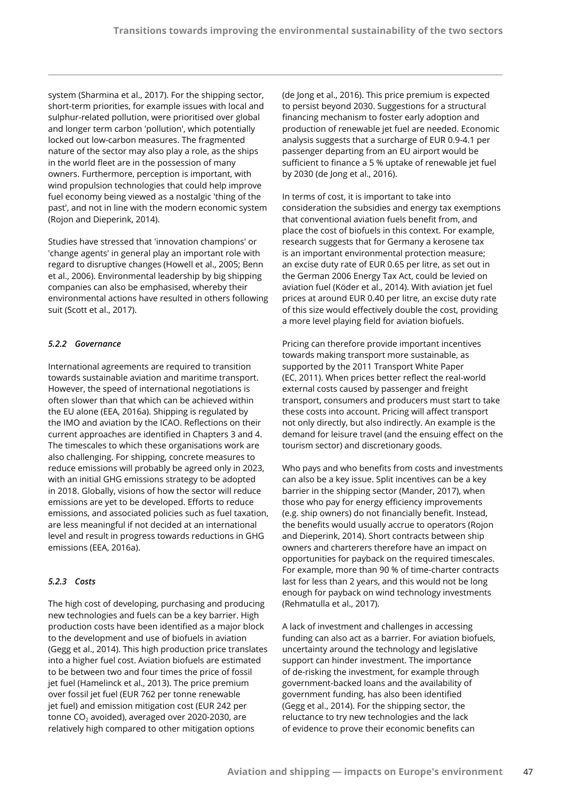system (Sharmina et al., 2017). For the shipping sector, short-term priorities, for example issues with local and sulphur-related pollution, were prioritised over global and longer term carbon 'pollution', which potentially locked out low-carbon measures. The fragmented nature of the sector may also play a role, as the ships in the world fleet are in the possession of many owners. Furthermore, perception is important, with wind propulsion technologies that could help improve fuel economy being viewed as a nostalgic 'thing of the past', and not in line with the modern economic system (Rojon and Dieperink, 2014).

Studies have stressed that 'innovation champions' or 'change agents' in general play an important role with regard to disruptive changes (Howell et al., 2005; Benn et al., 2006). Environmental leadership by big shipping companies can also be emphasised, whereby their environmental actions have resulted in others following suit (Scott et al., 2017).

## *5.2.2 Governance*

International agreements are required to transition towards sustainable aviation and maritime transport. However, the speed of international negotiations is often slower than that which can be achieved within the EU alone (EEA, 2016a). Shipping is regulated by the IMO and aviation by the ICAO. Reflections on their current approaches are identified in Chapters 3 and 4. The timescales to which these organisations work are also challenging. For shipping, concrete measures to reduce emissions will probably be agreed only in 2023, with an initial GHG emissions strategy to be adopted in 2018. Globally, visions of how the sector will reduce emissions are yet to be developed. Efforts to reduce emissions, and associated policies such as fuel taxation, are less meaningful if not decided at an international level and result in progress towards reductions in GHG emissions (EEA, 2016a).

## *5.2.3 Costs*

The high cost of developing, purchasing and producing new technologies and fuels can be a key barrier. High production costs have been identified as a major block to the development and use of biofuels in aviation (Gegg et al., 2014). This high production price translates into a higher fuel cost. Aviation biofuels are estimated to be between two and four times the price of fossil jet fuel (Hamelinck et al., 2013). The price premium over fossil jet fuel (EUR 762 per tonne renewable jet fuel) and emission mitigation cost (EUR 242 per tonne CO<sub>2</sub> avoided), averaged over 2020-2030, are relatively high compared to other mitigation options

(de Jong et al., 2016). This price premium is expected to persist beyond 2030. Suggestions for a structural financing mechanism to foster early adoption and production of renewable jet fuel are needed. Economic analysis suggests that a surcharge of EUR 0.9-4.1 per passenger departing from an EU airport would be sufficient to finance a 5 % uptake of renewable jet fuel by 2030 (de Jong et al., 2016).

In terms of cost, it is important to take into consideration the subsidies and energy tax exemptions that conventional aviation fuels benefit from, and place the cost of biofuels in this context. For example, research suggests that for Germany a kerosene tax is an important environmental protection measure; an excise duty rate of EUR 0.65 per litre, as set out in the German 2006 Energy Tax Act, could be levied on aviation fuel (Köder et al., 2014). With aviation jet fuel prices at around EUR 0.40 per litre, an excise duty rate of this size would effectively double the cost, providing a more level playing field for aviation biofuels.

Pricing can therefore provide important incentives towards making transport more sustainable, as supported by the 2011 Transport White Paper (EC, 2011). When prices better reflect the real-world external costs caused by passenger and freight transport, consumers and producers must start to take these costs into account. Pricing will affect transport not only directly, but also indirectly. An example is the demand for leisure travel (and the ensuing effect on the tourism sector) and discretionary goods.

Who pays and who benefits from costs and investments can also be a key issue. Split incentives can be a key barrier in the shipping sector (Mander, 2017), when those who pay for energy efficiency improvements (e.g. ship owners) do not financially benefit. Instead, the benefits would usually accrue to operators (Rojon and Dieperink, 2014). Short contracts between ship owners and charterers therefore have an impact on opportunities for payback on the required timescales. For example, more than 90 % of time-charter contracts last for less than 2 years, and this would not be long enough for payback on wind technology investments (Rehmatulla et al., 2017).

A lack of investment and challenges in accessing funding can also act as a barrier. For aviation biofuels, uncertainty around the technology and legislative support can hinder investment. The importance of de-risking the investment, for example through government-backed loans and the availability of government funding, has also been identified (Gegg et al., 2014). For the shipping sector, the reluctance to try new technologies and the lack of evidence to prove their economic benefits can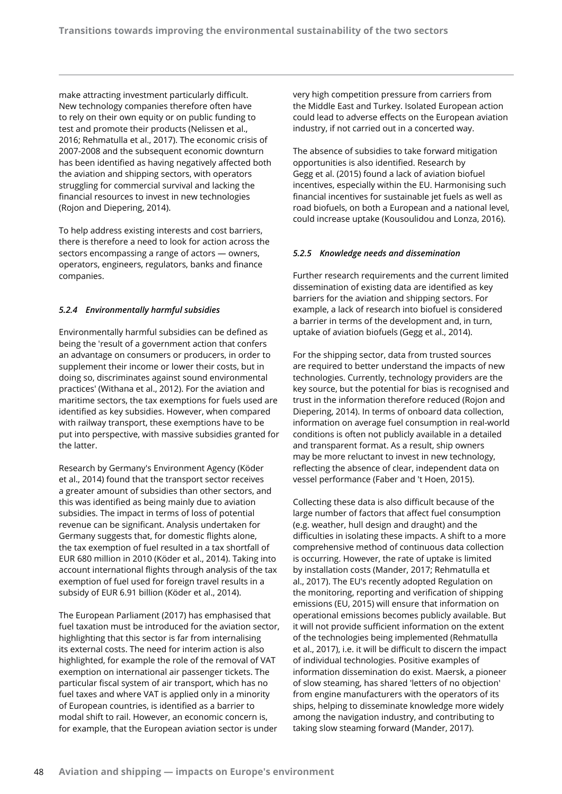make attracting investment particularly difficult. New technology companies therefore often have to rely on their own equity or on public funding to test and promote their products (Nelissen et al., 2016; Rehmatulla et al., 2017). The economic crisis of 2007-2008 and the subsequent economic downturn has been identified as having negatively affected both the aviation and shipping sectors, with operators struggling for commercial survival and lacking the financial resources to invest in new technologies (Rojon and Diepering, 2014).

To help address existing interests and cost barriers, there is therefore a need to look for action across the sectors encompassing a range of actors — owners, operators, engineers, regulators, banks and finance companies.

## *5.2.4 Environmentally harmful subsidies*

Environmentally harmful subsidies can be defined as being the 'result of a government action that confers an advantage on consumers or producers, in order to supplement their income or lower their costs, but in doing so, discriminates against sound environmental practices' (Withana et al., 2012). For the aviation and maritime sectors, the tax exemptions for fuels used are identified as key subsidies. However, when compared with railway transport, these exemptions have to be put into perspective, with massive subsidies granted for the latter.

Research by Germany's Environment Agency (Köder et al., 2014) found that the transport sector receives a greater amount of subsidies than other sectors, and this was identified as being mainly due to aviation subsidies. The impact in terms of loss of potential revenue can be significant. Analysis undertaken for Germany suggests that, for domestic flights alone, the tax exemption of fuel resulted in a tax shortfall of EUR 680 million in 2010 (Köder et al., 2014). Taking into account international flights through analysis of the tax exemption of fuel used for foreign travel results in a subsidy of EUR 6.91 billion (Köder et al., 2014).

The European Parliament (2017) has emphasised that fuel taxation must be introduced for the aviation sector, highlighting that this sector is far from internalising its external costs. The need for interim action is also highlighted, for example the role of the removal of VAT exemption on international air passenger tickets. The particular fiscal system of air transport, which has no fuel taxes and where VAT is applied only in a minority of European countries, is identified as a barrier to modal shift to rail. However, an economic concern is, for example, that the European aviation sector is under

very high competition pressure from carriers from the Middle East and Turkey. Isolated European action could lead to adverse effects on the European aviation industry, if not carried out in a concerted way.

The absence of subsidies to take forward mitigation opportunities is also identified. Research by Gegg et al. (2015) found a lack of aviation biofuel incentives, especially within the EU. Harmonising such financial incentives for sustainable jet fuels as well as road biofuels, on both a European and a national level, could increase uptake (Kousoulidou and Lonza, 2016).

#### *5.2.5 Knowledge needs and dissemination*

Further research requirements and the current limited dissemination of existing data are identified as key barriers for the aviation and shipping sectors. For example, a lack of research into biofuel is considered a barrier in terms of the development and, in turn, uptake of aviation biofuels (Gegg et al., 2014).

For the shipping sector, data from trusted sources are required to better understand the impacts of new technologies. Currently, technology providers are the key source, but the potential for bias is recognised and trust in the information therefore reduced (Rojon and Diepering, 2014). In terms of onboard data collection, information on average fuel consumption in real-world conditions is often not publicly available in a detailed and transparent format. As a result, ship owners may be more reluctant to invest in new technology, reflecting the absence of clear, independent data on vessel performance (Faber and 't Hoen, 2015).

Collecting these data is also difficult because of the large number of factors that affect fuel consumption (e.g. weather, hull design and draught) and the difficulties in isolating these impacts. A shift to a more comprehensive method of continuous data collection is occurring. However, the rate of uptake is limited by installation costs (Mander, 2017; Rehmatulla et al., 2017). The EU's recently adopted Regulation on the monitoring, reporting and verification of shipping emissions (EU, 2015) will ensure that information on operational emissions becomes publicly available. But it will not provide sufficient information on the extent of the technologies being implemented (Rehmatulla et al., 2017), i.e. it will be difficult to discern the impact of individual technologies. Positive examples of information dissemination do exist. Maersk, a pioneer of slow steaming, has shared 'letters of no objection' from engine manufacturers with the operators of its ships, helping to disseminate knowledge more widely among the navigation industry, and contributing to taking slow steaming forward (Mander, 2017).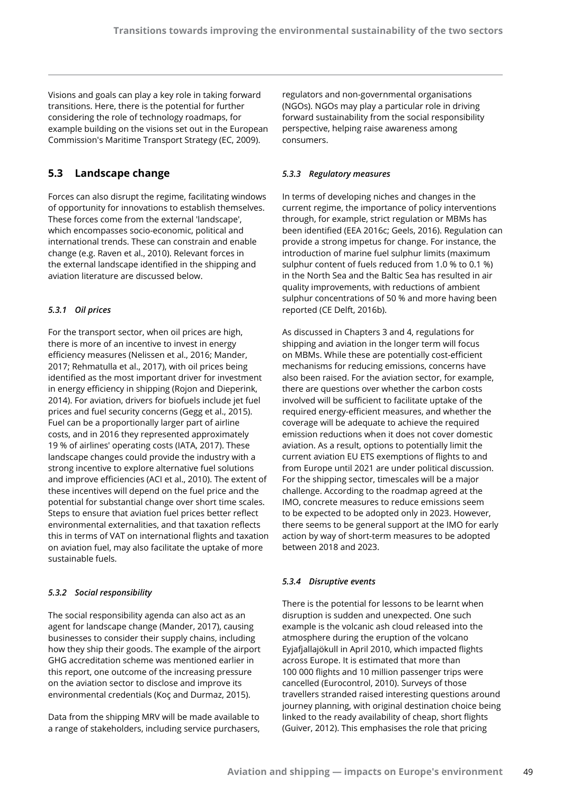Visions and goals can play a key role in taking forward transitions. Here, there is the potential for further considering the role of technology roadmaps, for example building on the visions set out in the European Commission's Maritime Transport Strategy (EC, 2009).

## **5.3 Landscape change**

Forces can also disrupt the regime, facilitating windows of opportunity for innovations to establish themselves. These forces come from the external 'landscape', which encompasses socio-economic, political and international trends. These can constrain and enable change (e.g. Raven et al., 2010). Relevant forces in the external landscape identified in the shipping and aviation literature are discussed below.

## *5.3.1 Oil prices*

For the transport sector, when oil prices are high, there is more of an incentive to invest in energy efficiency measures (Nelissen et al., 2016; Mander, 2017; Rehmatulla et al., 2017), with oil prices being identified as the most important driver for investment in energy efficiency in shipping (Rojon and Dieperink, 2014). For aviation, drivers for biofuels include jet fuel prices and fuel security concerns (Gegg et al., 2015). Fuel can be a proportionally larger part of airline costs, and in 2016 they represented approximately 19 % of airlines' operating costs (IATA, 2017). These landscape changes could provide the industry with a strong incentive to explore alternative fuel solutions and improve efficiencies (ACI et al., 2010). The extent of these incentives will depend on the fuel price and the potential for substantial change over short time scales. Steps to ensure that aviation fuel prices better reflect environmental externalities, and that taxation reflects this in terms of VAT on international flights and taxation on aviation fuel, may also facilitate the uptake of more sustainable fuels.

## *5.3.2 Social responsibility*

The social responsibility agenda can also act as an agent for landscape change (Mander, 2017), causing businesses to consider their supply chains, including how they ship their goods. The example of the airport GHG accreditation scheme was mentioned earlier in this report, one outcome of the increasing pressure on the aviation sector to disclose and improve its environmental credentials (Koç and Durmaz, 2015).

Data from the shipping MRV will be made available to a range of stakeholders, including service purchasers,

regulators and non-governmental organisations (NGOs). NGOs may play a particular role in driving forward sustainability from the social responsibility perspective, helping raise awareness among consumers.

## *5.3.3 Regulatory measures*

In terms of developing niches and changes in the current regime, the importance of policy interventions through, for example, strict regulation or MBMs has been identified (EEA 2016c; Geels, 2016). Regulation can provide a strong impetus for change. For instance, the introduction of marine fuel sulphur limits (maximum sulphur content of fuels reduced from 1.0 % to 0.1 %) in the North Sea and the Baltic Sea has resulted in air quality improvements, with reductions of ambient sulphur concentrations of 50 % and more having been reported (CE Delft, 2016b).

As discussed in Chapters 3 and 4, regulations for shipping and aviation in the longer term will focus on MBMs. While these are potentially cost-efficient mechanisms for reducing emissions, concerns have also been raised. For the aviation sector, for example, there are questions over whether the carbon costs involved will be sufficient to facilitate uptake of the required energy-efficient measures, and whether the coverage will be adequate to achieve the required emission reductions when it does not cover domestic aviation. As a result, options to potentially limit the current aviation EU ETS exemptions of flights to and from Europe until 2021 are under political discussion. For the shipping sector, timescales will be a major challenge. According to the roadmap agreed at the IMO, concrete measures to reduce emissions seem to be expected to be adopted only in 2023. However, there seems to be general support at the IMO for early action by way of short-term measures to be adopted between 2018 and 2023.

## *5.3.4 Disruptive events*

There is the potential for lessons to be learnt when disruption is sudden and unexpected. One such example is the volcanic ash cloud released into the atmosphere during the eruption of the volcano Eyjafjallajökull in April 2010, which impacted flights across Europe. It is estimated that more than 100 000 flights and 10 million passenger trips were cancelled (Eurocontrol, 2010). Surveys of those travellers stranded raised interesting questions around journey planning, with original destination choice being linked to the ready availability of cheap, short flights (Guiver, 2012). This emphasises the role that pricing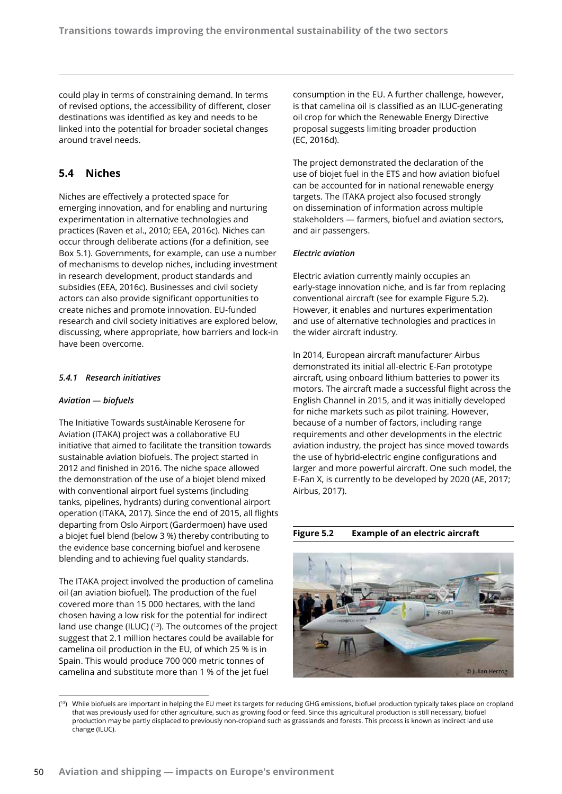could play in terms of constraining demand. In terms of revised options, the accessibility of different, closer destinations was identified as key and needs to be linked into the potential for broader societal changes around travel needs.

## **5.4 Niches**

Niches are effectively a protected space for emerging innovation, and for enabling and nurturing experimentation in alternative technologies and practices (Raven et al., 2010; EEA, 2016c). Niches can occur through deliberate actions (for a definition, see Box 5.1). Governments, for example, can use a number of mechanisms to develop niches, including investment in research development, product standards and subsidies (EEA, 2016c). Businesses and civil society actors can also provide significant opportunities to create niches and promote innovation. EU-funded research and civil society initiatives are explored below, discussing, where appropriate, how barriers and lock-in have been overcome.

## *5.4.1 Research initiatives*

## *Aviation — biofuels*

The Initiative Towards sustAinable Kerosene for Aviation (ITAKA) project was a collaborative EU initiative that aimed to facilitate the transition towards sustainable aviation biofuels. The project started in 2012 and finished in 2016. The niche space allowed the demonstration of the use of a biojet blend mixed with conventional airport fuel systems (including tanks, pipelines, hydrants) during conventional airport operation (ITAKA, 2017). Since the end of 2015, all flights departing from Oslo Airport (Gardermoen) have used a biojet fuel blend (below 3 %) thereby contributing to the evidence base concerning biofuel and kerosene blending and to achieving fuel quality standards.

The ITAKA project involved the production of camelina oil (an aviation biofuel). The production of the fuel covered more than 15 000 hectares, with the land chosen having a low risk for the potential for indirect land use change (ILUC) (<sup>13</sup>). The outcomes of the project suggest that 2.1 million hectares could be available for camelina oil production in the EU, of which 25 % is in Spain. This would produce 700 000 metric tonnes of camelina and substitute more than 1 % of the jet fuel

consumption in the EU. A further challenge, however, is that camelina oil is classified as an ILUC-generating oil crop for which the Renewable Energy Directive proposal suggests limiting broader production (EC, 2016d).

The project demonstrated the declaration of the use of biojet fuel in the ETS and how aviation biofuel can be accounted for in national renewable energy targets. The ITAKA project also focused strongly on dissemination of information across multiple stakeholders — farmers, biofuel and aviation sectors, and air passengers.

#### *Electric aviation*

Electric aviation currently mainly occupies an early-stage innovation niche, and is far from replacing conventional aircraft (see for example Figure 5.2). However, it enables and nurtures experimentation and use of alternative technologies and practices in the wider aircraft industry.

In 2014, European aircraft manufacturer Airbus demonstrated its initial all-electric E-Fan prototype aircraft, using onboard lithium batteries to power its motors. The aircraft made a successful flight across the English Channel in 2015, and it was initially developed for niche markets such as pilot training. However, because of a number of factors, including range requirements and other developments in the electric aviation industry, the project has since moved towards the use of hybrid-electric engine configurations and larger and more powerful aircraft. One such model, the E-Fan X, is currently to be developed by 2020 (AE, 2017; Airbus, 2017).

**Figure 5.2 Example of an electric aircraft**



<sup>(</sup> 13) While biofuels are important in helping the EU meet its targets for reducing GHG emissions, biofuel production typically takes place on cropland that was previously used for other agriculture, such as growing food or feed. Since this agricultural production is still necessary, biofuel production may be partly displaced to previously non-cropland such as grasslands and forests. This process is known as indirect land use change (ILUC).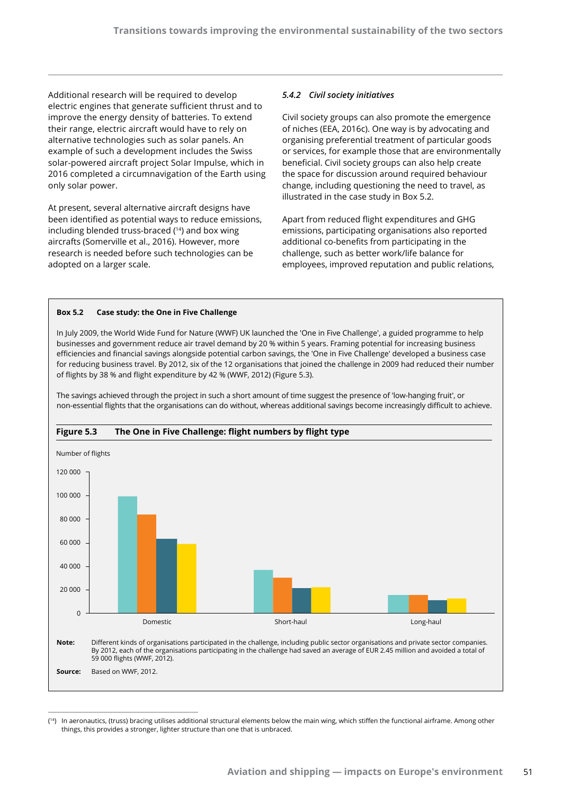Additional research will be required to develop electric engines that generate sufficient thrust and to improve the energy density of batteries. To extend their range, electric aircraft would have to rely on alternative technologies such as solar panels. An example of such a development includes the Swiss solar-powered aircraft project Solar Impulse, which in 2016 completed a circumnavigation of the Earth using only solar power.

At present, several alternative aircraft designs have been identified as potential ways to reduce emissions, including blended truss-braced (14) and box wing aircrafts (Somerville et al., 2016). However, more research is needed before such technologies can be adopted on a larger scale.

### *5.4.2 Civil society initiatives*

Civil society groups can also promote the emergence of niches (EEA, 2016c). One way is by advocating and organising preferential treatment of particular goods or services, for example those that are environmentally beneficial. Civil society groups can also help create the space for discussion around required behaviour change, including questioning the need to travel, as illustrated in the case study in Box 5.2.

Apart from reduced flight expenditures and GHG emissions, participating organisations also reported additional co-benefits from participating in the challenge, such as better work/life balance for employees, improved reputation and public relations,

#### **Box 5.2 Case study: the One in Five Challenge**

In July 2009, the World Wide Fund for Nature (WWF) UK launched the 'One in Five Challenge', a guided programme to help businesses and government reduce air travel demand by 20 % within 5 years. Framing potential for increasing business efficiencies and financial savings alongside potential carbon savings, the 'One in Five Challenge' developed a business case for reducing business travel. By 2012, six of the 12 organisations that joined the challenge in 2009 had reduced their number of flights by 38 % and flight expenditure by 42 % (WWF, 2012) (Figure 5.3).

The savings achieved through the project in such a short amount of time suggest the presence of 'low-hanging fruit', or non-essential flights that the organisations can do without, whereas additional savings become increasingly difficult to achieve.



#### **Figure 5.3 The One in Five Challenge: flight numbers by flight type**

<sup>(</sup> 14) In aeronautics, (truss) bracing utilises additional structural elements below the main wing, which stiffen the functional airframe. Among other things, this provides a stronger, lighter structure than one that is unbraced.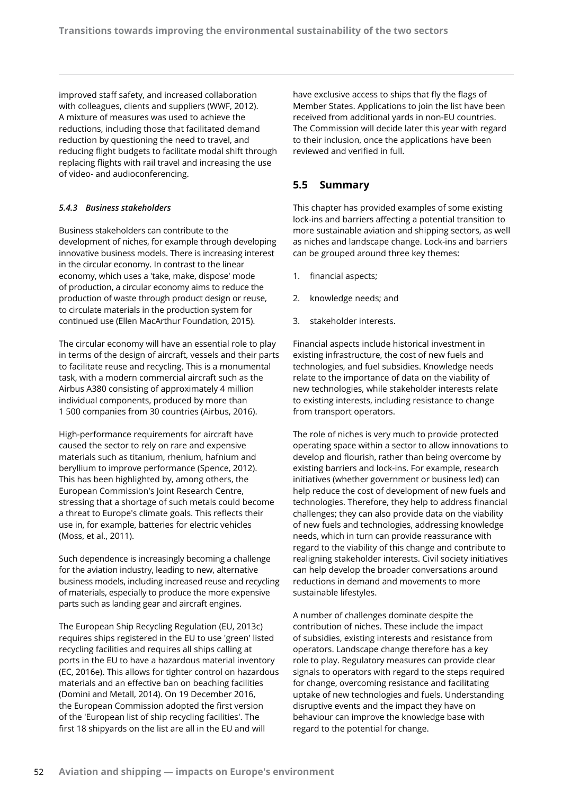improved staff safety, and increased collaboration with colleagues, clients and suppliers (WWF, 2012). A mixture of measures was used to achieve the reductions, including those that facilitated demand reduction by questioning the need to travel, and reducing flight budgets to facilitate modal shift through replacing flights with rail travel and increasing the use of video- and audioconferencing.

## *5.4.3 Business stakeholders*

Business stakeholders can contribute to the development of niches, for example through developing innovative business models. There is increasing interest in the circular economy. In contrast to the linear economy, which uses a 'take, make, dispose' mode of production, a circular economy aims to reduce the production of waste through product design or reuse, to circulate materials in the production system for continued use (Ellen MacArthur Foundation, 2015).

The circular economy will have an essential role to play in terms of the design of aircraft, vessels and their parts to facilitate reuse and recycling. This is a monumental task, with a modern commercial aircraft such as the Airbus A380 consisting of approximately 4 million individual components, produced by more than 1 500 companies from 30 countries (Airbus, 2016).

High-performance requirements for aircraft have caused the sector to rely on rare and expensive materials such as titanium, rhenium, hafnium and beryllium to improve performance (Spence, 2012). This has been highlighted by, among others, the European Commission's Joint Research Centre, stressing that a shortage of such metals could become a threat to Europe's climate goals. This reflects their use in, for example, batteries for electric vehicles (Moss, et al., 2011).

Such dependence is increasingly becoming a challenge for the aviation industry, leading to new, alternative business models, including increased reuse and recycling of materials, especially to produce the more expensive parts such as landing gear and aircraft engines.

The European Ship Recycling Regulation (EU, 2013c) requires ships registered in the EU to use 'green' listed recycling facilities and requires all ships calling at ports in the EU to have a hazardous material inventory (EC, 2016e). This allows for tighter control on hazardous materials and an effective ban on beaching facilities (Domini and Metall, 2014). On 19 December 2016, the European Commission adopted the first version of the 'European list of ship recycling facilities'. The first 18 shipyards on the list are all in the EU and will

have exclusive access to ships that fly the flags of Member States. Applications to join the list have been received from additional yards in non-EU countries. The Commission will decide later this year with regard to their inclusion, once the applications have been reviewed and verified in full.

## **5.5 Summary**

This chapter has provided examples of some existing lock-ins and barriers affecting a potential transition to more sustainable aviation and shipping sectors, as well as niches and landscape change. Lock-ins and barriers can be grouped around three key themes:

- 1. financial aspects;
- 2. knowledge needs; and
- 3. stakeholder interests.

Financial aspects include historical investment in existing infrastructure, the cost of new fuels and technologies, and fuel subsidies. Knowledge needs relate to the importance of data on the viability of new technologies, while stakeholder interests relate to existing interests, including resistance to change from transport operators.

The role of niches is very much to provide protected operating space within a sector to allow innovations to develop and flourish, rather than being overcome by existing barriers and lock-ins. For example, research initiatives (whether government or business led) can help reduce the cost of development of new fuels and technologies. Therefore, they help to address financial challenges; they can also provide data on the viability of new fuels and technologies, addressing knowledge needs, which in turn can provide reassurance with regard to the viability of this change and contribute to realigning stakeholder interests. Civil society initiatives can help develop the broader conversations around reductions in demand and movements to more sustainable lifestyles.

A number of challenges dominate despite the contribution of niches. These include the impact of subsidies, existing interests and resistance from operators. Landscape change therefore has a key role to play. Regulatory measures can provide clear signals to operators with regard to the steps required for change, overcoming resistance and facilitating uptake of new technologies and fuels. Understanding disruptive events and the impact they have on behaviour can improve the knowledge base with regard to the potential for change.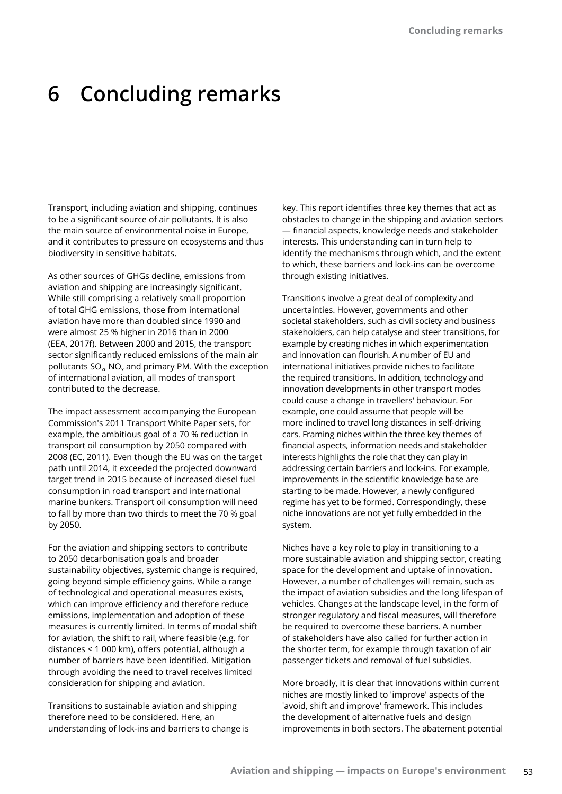# **6 Concluding remarks**

Transport, including aviation and shipping, continues to be a significant source of air pollutants. It is also the main source of environmental noise in Europe, and it contributes to pressure on ecosystems and thus biodiversity in sensitive habitats.

As other sources of GHGs decline, emissions from aviation and shipping are increasingly significant. While still comprising a relatively small proportion of total GHG emissions, those from international aviation have more than doubled since 1990 and were almost 25 % higher in 2016 than in 2000 (EEA, 2017f). Between 2000 and 2015, the transport sector significantly reduced emissions of the main air pollutants  $SO_{x}$ , NO<sub>x</sub> and primary PM. With the exception of international aviation, all modes of transport contributed to the decrease.

The impact assessment accompanying the European Commission's 2011 Transport White Paper sets, for example, the ambitious goal of a 70 % reduction in transport oil consumption by 2050 compared with 2008 (EC, 2011). Even though the EU was on the target path until 2014, it exceeded the projected downward target trend in 2015 because of increased diesel fuel consumption in road transport and international marine bunkers. Transport oil consumption will need to fall by more than two thirds to meet the 70 % goal by 2050.

For the aviation and shipping sectors to contribute to 2050 decarbonisation goals and broader sustainability objectives, systemic change is required, going beyond simple efficiency gains. While a range of technological and operational measures exists, which can improve efficiency and therefore reduce emissions, implementation and adoption of these measures is currently limited. In terms of modal shift for aviation, the shift to rail, where feasible (e.g. for distances < 1 000 km), offers potential, although a number of barriers have been identified. Mitigation through avoiding the need to travel receives limited consideration for shipping and aviation.

Transitions to sustainable aviation and shipping therefore need to be considered. Here, an understanding of lock-ins and barriers to change is

key. This report identifies three key themes that act as obstacles to change in the shipping and aviation sectors — financial aspects, knowledge needs and stakeholder interests. This understanding can in turn help to identify the mechanisms through which, and the extent to which, these barriers and lock-ins can be overcome through existing initiatives.

Transitions involve a great deal of complexity and uncertainties. However, governments and other societal stakeholders, such as civil society and business stakeholders, can help catalyse and steer transitions, for example by creating niches in which experimentation and innovation can flourish. A number of EU and international initiatives provide niches to facilitate the required transitions. In addition, technology and innovation developments in other transport modes could cause a change in travellers' behaviour. For example, one could assume that people will be more inclined to travel long distances in self-driving cars. Framing niches within the three key themes of financial aspects, information needs and stakeholder interests highlights the role that they can play in addressing certain barriers and lock-ins. For example, improvements in the scientific knowledge base are starting to be made. However, a newly configured regime has yet to be formed. Correspondingly, these niche innovations are not yet fully embedded in the system.

Niches have a key role to play in transitioning to a more sustainable aviation and shipping sector, creating space for the development and uptake of innovation. However, a number of challenges will remain, such as the impact of aviation subsidies and the long lifespan of vehicles. Changes at the landscape level, in the form of stronger regulatory and fiscal measures, will therefore be required to overcome these barriers. A number of stakeholders have also called for further action in the shorter term, for example through taxation of air passenger tickets and removal of fuel subsidies.

More broadly, it is clear that innovations within current niches are mostly linked to 'improve' aspects of the 'avoid, shift and improve' framework. This includes the development of alternative fuels and design improvements in both sectors. The abatement potential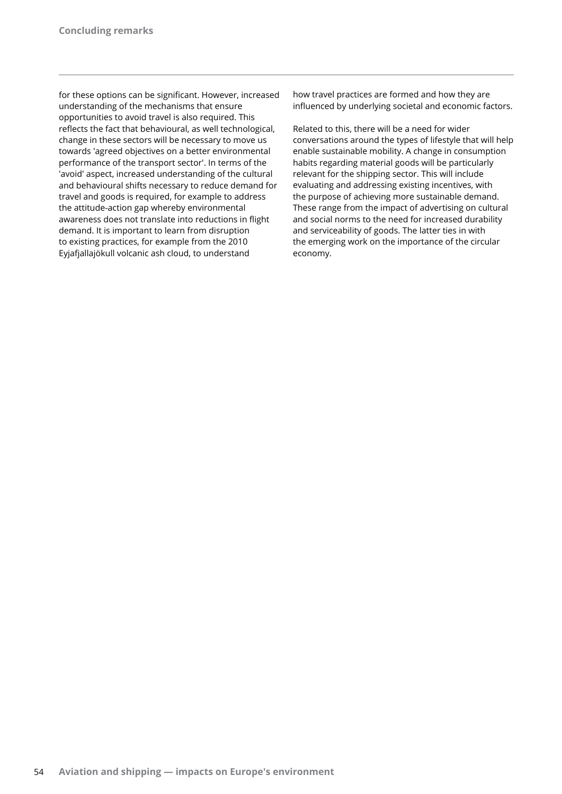for these options can be significant. However, increased understanding of the mechanisms that ensure opportunities to avoid travel is also required. This reflects the fact that behavioural, as well technological, change in these sectors will be necessary to move us towards 'agreed objectives on a better environmental performance of the transport sector'. In terms of the 'avoid' aspect, increased understanding of the cultural and behavioural shifts necessary to reduce demand for travel and goods is required, for example to address the attitude-action gap whereby environmental awareness does not translate into reductions in flight demand. It is important to learn from disruption to existing practices, for example from the 2010 Eyjafjallajökull volcanic ash cloud, to understand

how travel practices are formed and how they are influenced by underlying societal and economic factors.

Related to this, there will be a need for wider conversations around the types of lifestyle that will help enable sustainable mobility. A change in consumption habits regarding material goods will be particularly relevant for the shipping sector. This will include evaluating and addressing existing incentives, with the purpose of achieving more sustainable demand. These range from the impact of advertising on cultural and social norms to the need for increased durability and serviceability of goods. The latter ties in with the emerging work on the importance of the circular economy.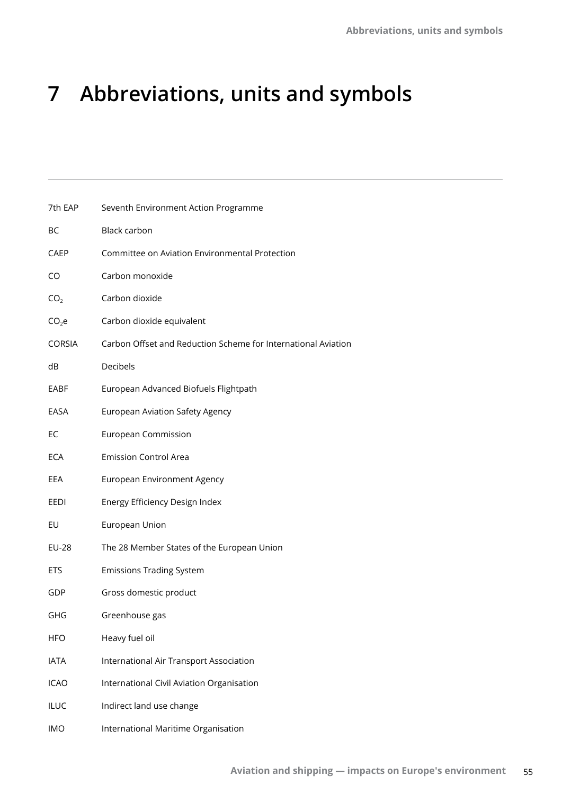# **7 Abbreviations, units and symbols**

| 7th EAP           | Seventh Environment Action Programme                          |
|-------------------|---------------------------------------------------------------|
| ВC                | Black carbon                                                  |
| CAEP              | Committee on Aviation Environmental Protection                |
| CO                | Carbon monoxide                                               |
| CO <sub>2</sub>   | Carbon dioxide                                                |
| CO <sub>2</sub> e | Carbon dioxide equivalent                                     |
| <b>CORSIA</b>     | Carbon Offset and Reduction Scheme for International Aviation |
| dB                | Decibels                                                      |
| EABF              | European Advanced Biofuels Flightpath                         |
| EASA              | <b>European Aviation Safety Agency</b>                        |
| EC                | <b>European Commission</b>                                    |
| ECA               | <b>Emission Control Area</b>                                  |
| EEA               | European Environment Agency                                   |
| EEDI              | Energy Efficiency Design Index                                |
| EU                | European Union                                                |
| <b>EU-28</b>      | The 28 Member States of the European Union                    |
| <b>ETS</b>        | <b>Emissions Trading System</b>                               |
| GDP               | Gross domestic product                                        |
| GHG               | Greenhouse gas                                                |
| HFO               | Heavy fuel oil                                                |
| <b>IATA</b>       | International Air Transport Association                       |
| <b>ICAO</b>       | International Civil Aviation Organisation                     |
| ILUC              | Indirect land use change                                      |
| <b>IMO</b>        | International Maritime Organisation                           |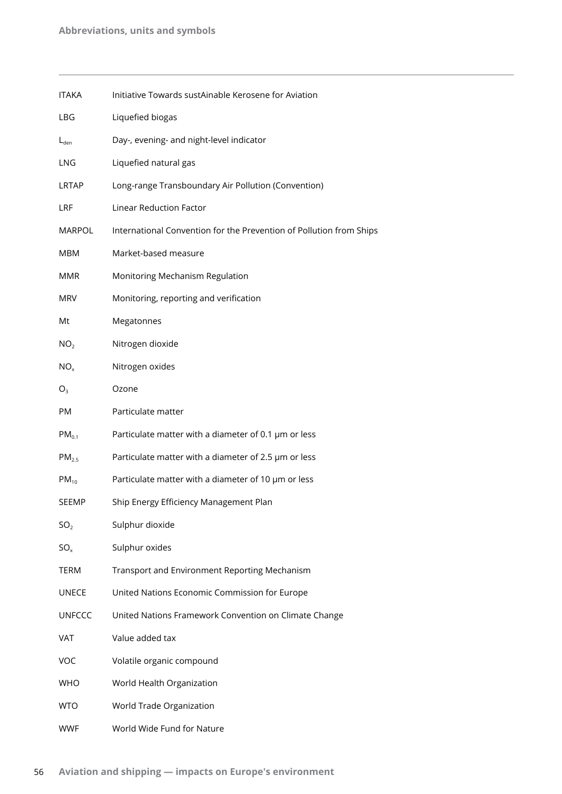| <b>ITAKA</b>      | Initiative Towards sustAinable Kerosene for Aviation                |
|-------------------|---------------------------------------------------------------------|
| LBG               | Liquefied biogas                                                    |
| $L_{den}$         | Day-, evening- and night-level indicator                            |
| LNG               | Liquefied natural gas                                               |
| LRTAP             | Long-range Transboundary Air Pollution (Convention)                 |
| LRF               | <b>Linear Reduction Factor</b>                                      |
| <b>MARPOL</b>     | International Convention for the Prevention of Pollution from Ships |
| <b>MBM</b>        | Market-based measure                                                |
| <b>MMR</b>        | Monitoring Mechanism Regulation                                     |
| <b>MRV</b>        | Monitoring, reporting and verification                              |
| Mt                | Megatonnes                                                          |
| NO <sub>2</sub>   | Nitrogen dioxide                                                    |
| NO <sub>x</sub>   | Nitrogen oxides                                                     |
| O <sub>3</sub>    | Ozone                                                               |
| PM                | Particulate matter                                                  |
| $PM_{0.1}$        | Particulate matter with a diameter of 0.1 $\mu$ m or less           |
| PM <sub>2.5</sub> | Particulate matter with a diameter of 2.5 µm or less                |
| $PM_{10}$         | Particulate matter with a diameter of 10 µm or less                 |
| <b>SEEMP</b>      | Ship Energy Efficiency Management Plan                              |
| SO <sub>2</sub>   | Sulphur dioxide                                                     |
| $SO_{x}$          | Sulphur oxides                                                      |
| <b>TERM</b>       | Transport and Environment Reporting Mechanism                       |
| <b>UNECE</b>      | United Nations Economic Commission for Europe                       |
| <b>UNFCCC</b>     | United Nations Framework Convention on Climate Change               |
| VAT               | Value added tax                                                     |
| <b>VOC</b>        | Volatile organic compound                                           |
| <b>WHO</b>        | World Health Organization                                           |
| <b>WTO</b>        | World Trade Organization                                            |
| <b>WWF</b>        | World Wide Fund for Nature                                          |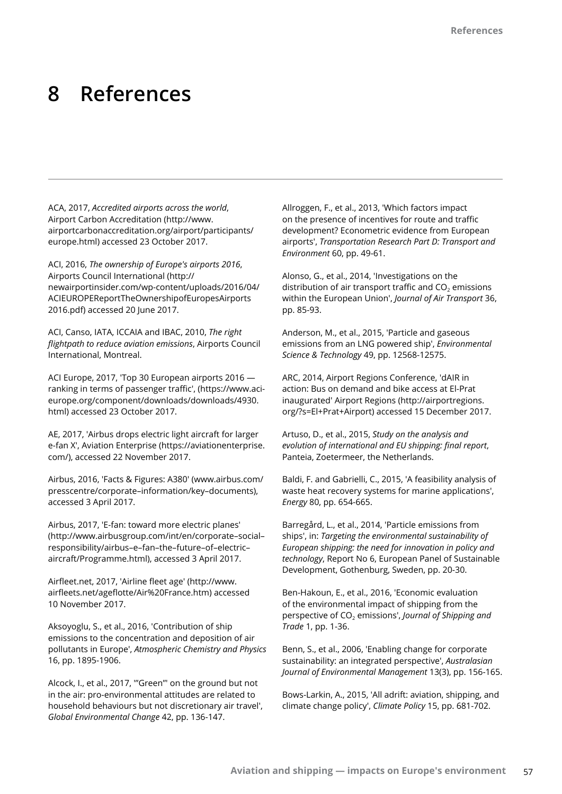## **8 References**

ACA, 2017, *Accredited airports across the world*, Airport Carbon Accreditation (http://www. airportcarbonaccreditation.org/airport/participants/ europe.html) accessed 23 October 2017.

ACI, 2016, *The ownership of Europe's airports 2016*, Airports Council International (http:// newairportinsider.com/wp-content/uploads/2016/04/ ACIEUROPEReportTheOwnershipofEuropesAirports 2016.pdf) accessed 20 June 2017.

ACI, Canso, IATA, ICCAIA and IBAC, 2010, *The right flightpath to reduce aviation emissions*, Airports Council International, Montreal.

ACI Europe, 2017, 'Top 30 European airports 2016 ranking in terms of passenger traffic', (https://www.acieurope.org/component/downloads/downloads/4930. html) accessed 23 October 2017.

AE, 2017, 'Airbus drops electric light aircraft for larger e-fan X', Aviation Enterprise (https://aviationenterprise. com/), accessed 22 November 2017.

Airbus, 2016, 'Facts & Figures: A380' (www.airbus.com/ presscentre/corporate–information/key–documents), accessed 3 April 2017.

Airbus, 2017, 'E-fan: toward more electric planes' (http://www.airbusgroup.com/int/en/corporate–social– responsibility/airbus–e–fan–the–future–of–electric– aircraft/Programme.html), accessed 3 April 2017.

Airfleet.net, 2017, 'Airline fleet age' (http://www. airfleets.net/ageflotte/Air%20France.htm) accessed 10 November 2017.

Aksoyoglu, S., et al., 2016, 'Contribution of ship emissions to the concentration and deposition of air pollutants in Europe', *Atmospheric Chemistry and Physics* 16, pp. 1895-1906.

Alcock, I., et al., 2017, '"Green"' on the ground but not in the air: pro-environmental attitudes are related to household behaviours but not discretionary air travel', *Global Environmental Change* 42, pp. 136-147.

Allroggen, F., et al., 2013, 'Which factors impact on the presence of incentives for route and traffic development? Econometric evidence from European airports', *Transportation Research Part D: Transport and Environment* 60, pp. 49-61.

Alonso, G., et al., 2014, 'Investigations on the distribution of air transport traffic and  $CO<sub>2</sub>$  emissions within the European Union', *Journal of Air Transport* 36, pp. 85-93.

Anderson, M., et al., 2015, 'Particle and gaseous emissions from an LNG powered ship', *Environmental Science & Technology* 49, pp. 12568-12575.

ARC, 2014, Airport Regions Conference, 'dAIR in action: Bus on demand and bike access at El-Prat inaugurated' Airport Regions (http://airportregions. org/?s=El+Prat+Airport) accessed 15 December 2017.

Artuso, D., et al., 2015, *Study on the analysis and evolution of international and EU shipping: final report*, Panteia, Zoetermeer, the Netherlands.

Baldi, F. and Gabrielli, C., 2015, 'A feasibility analysis of waste heat recovery systems for marine applications', *Energy* 80, pp. 654-665.

Barregård, L., et al., 2014, 'Particle emissions from ships', in: *Targeting the environmental sustainability of European shipping: the need for innovation in policy and technology*, Report No 6, European Panel of Sustainable Development, Gothenburg, Sweden, pp. 20-30.

Ben-Hakoun, E., et al., 2016, 'Economic evaluation of the environmental impact of shipping from the perspective of CO<sub>2</sub> emissions', *Journal of Shipping and Trade* 1, pp. 1-36.

Benn, S., et al., 2006, 'Enabling change for corporate sustainability: an integrated perspective', *Australasian Journal of Environmental Management* 13(3), pp. 156-165.

Bows-Larkin, A., 2015, 'All adrift: aviation, shipping, and climate change policy', *Climate Policy* 15, pp. 681-702.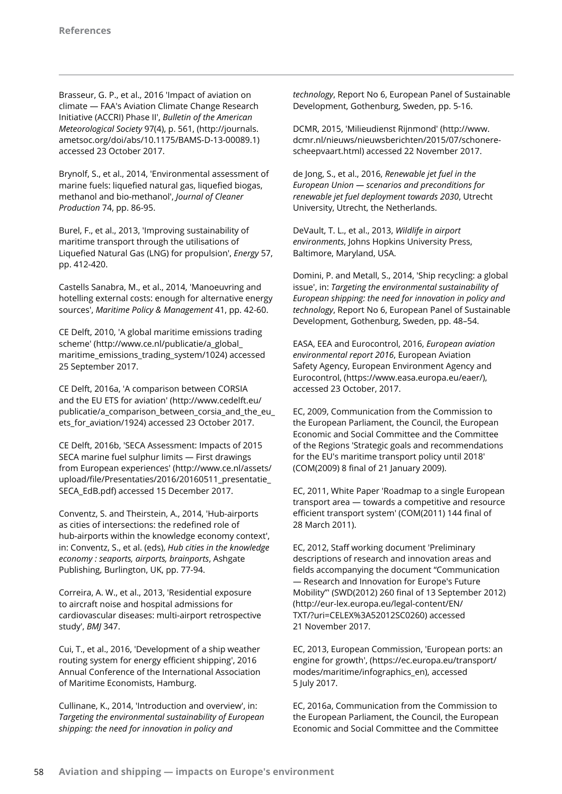Brasseur, G. P., et al., 2016 'Impact of aviation on climate — FAA's Aviation Climate Change Research Initiative (ACCRI) Phase II', *Bulletin of the American Meteorological Society* 97(4), p. 561, (http://journals. ametsoc.org/doi/abs/10.1175/BAMS-D-13-00089.1) accessed 23 October 2017.

Brynolf, S., et al., 2014, 'Environmental assessment of marine fuels: liquefied natural gas, liquefied biogas, methanol and bio-methanol', *Journal of Cleaner Production* 74, pp. 86-95.

Burel, F., et al., 2013, 'Improving sustainability of maritime transport through the utilisations of Liquefied Natural Gas (LNG) for propulsion', *Energy* 57, pp. 412-420.

Castells Sanabra, M., et al., 2014, 'Manoeuvring and hotelling external costs: enough for alternative energy sources', *Maritime Policy & Management* 41, pp. 42-60.

CE Delft, 2010, 'A global maritime emissions trading scheme' (http://www.ce.nl/publicatie/a\_global\_ maritime\_emissions\_trading\_system/1024) accessed 25 September 2017.

CE Delft, 2016a, 'A comparison between CORSIA and the EU ETS for aviation' (http://www.cedelft.eu/ publicatie/a\_comparison\_between\_corsia\_and\_the\_eu\_ ets\_for\_aviation/1924) accessed 23 October 2017.

CE Delft, 2016b, 'SECA Assessment: Impacts of 2015 SECA marine fuel sulphur limits — First drawings from European experiences' (http://www.ce.nl/assets/ upload/file/Presentaties/2016/20160511\_presentatie\_ SECA\_EdB.pdf) accessed 15 December 2017.

Conventz, S. and Theirstein, A., 2014, 'Hub-airports as cities of intersections: the redefined role of hub-airports within the knowledge economy context', in: Conventz, S., et al. (eds), *Hub cities in the knowledge economy : seaports, airports, brainports*, Ashgate Publishing, Burlington, UK, pp. 77-94.

Correira, A. W., et al., 2013, 'Residential exposure to aircraft noise and hospital admissions for cardiovascular diseases: multi-airport retrospective study', *BMJ* 347.

Cui, T., et al., 2016, 'Development of a ship weather routing system for energy efficient shipping', 2016 Annual Conference of the International Association of Maritime Economists, Hamburg.

Cullinane, K., 2014, 'Introduction and overview', in: *Targeting the environmental sustainability of European shipping: the need for innovation in policy and* 

*technology*, Report No 6, European Panel of Sustainable Development, Gothenburg, Sweden, pp. 5-16.

DCMR, 2015, 'Milieudienst Rijnmond' (http://www. dcmr.nl/nieuws/nieuwsberichten/2015/07/schonerescheepvaart.html) accessed 22 November 2017.

de Jong, S., et al., 2016, *Renewable jet fuel in the European Union — scenarios and preconditions for renewable jet fuel deployment towards 2030*, Utrecht University, Utrecht, the Netherlands.

DeVault, T. L., et al., 2013, *Wildlife in airport environments*, Johns Hopkins University Press, Baltimore, Maryland, USA.

Domini, P. and Metall, S., 2014, 'Ship recycling: a global issue', in: *Targeting the environmental sustainability of European shipping: the need for innovation in policy and technology*, Report No 6, European Panel of Sustainable Development, Gothenburg, Sweden, pp. 48–54.

EASA, EEA and Eurocontrol, 2016, *European aviation environmental report 2016*, European Aviation Safety Agency, European Environment Agency and Eurocontrol, (https://www.easa.europa.eu/eaer/), accessed 23 October, 2017.

EC, 2009, Communication from the Commission to the European Parliament, the Council, the European Economic and Social Committee and the Committee of the Regions 'Strategic goals and recommendations for the EU's maritime transport policy until 2018' (COM(2009) 8 final of 21 January 2009).

EC, 2011, White Paper 'Roadmap to a single European transport area — towards a competitive and resource efficient transport system' (COM(2011) 144 final of 28 March 2011).

EC, 2012, Staff working document 'Preliminary descriptions of research and innovation areas and fields accompanying the document "Communication — Research and Innovation for Europe's Future Mobility"' (SWD(2012) 260 final of 13 September 2012) (http://eur-lex.europa.eu/legal-content/EN/ TXT/?uri=CELEX%3A52012SC0260) accessed 21 November 2017.

EC, 2013, European Commission, 'European ports: an engine for growth', (https://ec.europa.eu/transport/ modes/maritime/infographics\_en), accessed 5 July 2017.

EC, 2016a, Communication from the Commission to the European Parliament, the Council, the European Economic and Social Committee and the Committee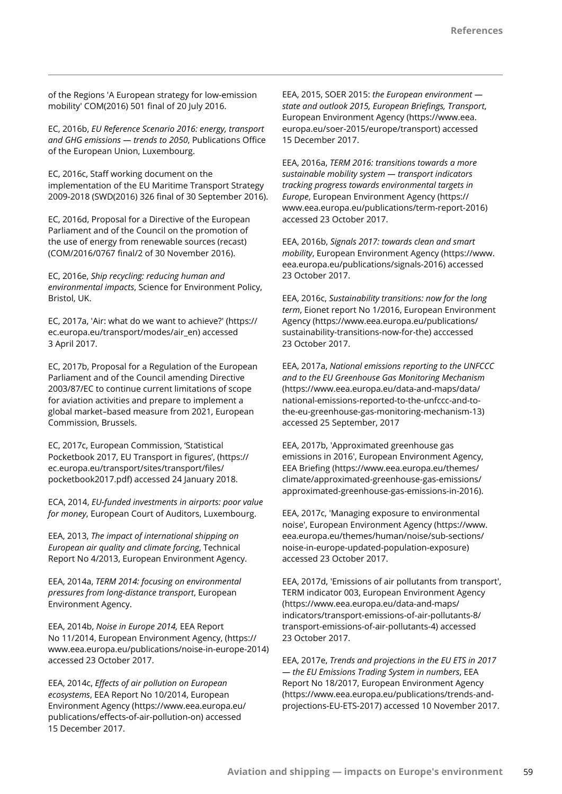of the Regions 'A European strategy for low-emission mobility' COM(2016) 501 final of 20 July 2016.

EC, 2016b, *EU Reference Scenario 2016: energy, transport and GHG emissions — trends to 2050*, Publications Office of the European Union, Luxembourg.

EC, 2016c, Staff working document on the implementation of the EU Maritime Transport Strategy 2009-2018 (SWD(2016) 326 final of 30 September 2016).

EC, 2016d, Proposal for a Directive of the European Parliament and of the Council on the promotion of the use of energy from renewable sources (recast) (COM/2016/0767 final/2 of 30 November 2016).

EC, 2016e, *Ship recycling: reducing human and environmental impacts*, Science for Environment Policy, Bristol, UK.

EC, 2017a, 'Air: what do we want to achieve?' (https:// ec.europa.eu/transport/modes/air\_en) accessed 3 April 2017.

EC, 2017b, Proposal for a Regulation of the European Parliament and of the Council amending Directive 2003/87/EC to continue current limitations of scope for aviation activities and prepare to implement a global market–based measure from 2021, European Commission, Brussels.

EC, 2017c, European Commission, 'Statistical Pocketbook 2017, EU Transport in figures', (https:// ec.europa.eu/transport/sites/transport/files/ pocketbook2017.pdf) accessed 24 January 2018.

ECA, 2014, *EU-funded investments in airports: poor value for money*, European Court of Auditors, Luxembourg.

EEA, 2013, *The impact of international shipping on European air quality and climate forcing*, Technical Report No 4/2013, European Environment Agency.

EEA, 2014a, *TERM 2014: focusing on environmental pressures from long-distance transport*, European Environment Agency.

EEA, 2014b, *Noise in Europe 2014,* EEA Report No 11/2014, European Environment Agency, (https:// www.eea.europa.eu/publications/noise-in-europe-2014) accessed 23 October 2017.

EEA, 2014c, *Effects of air pollution on European ecosystems*, EEA Report No 10/2014, European Environment Agency (https://www.eea.europa.eu/ publications/effects-of-air-pollution-on) accessed 15 December 2017.

EEA, 2015, SOER 2015: *the European environment state and outlook 2015, European Briefings, Transport*, European Environment Agency (https://www.eea. europa.eu/soer-2015/europe/transport) accessed 15 December 2017.

EEA, 2016a, *TERM 2016: transitions towards a more sustainable mobility system — transport indicators tracking progress towards environmental targets in Europe*, European Environment Agency (https:// www.eea.europa.eu/publications/term-report-2016) accessed 23 October 2017.

EEA, 2016b, *Signals 2017: towards clean and smart mobility*, European Environment Agency (https://www. eea.europa.eu/publications/signals-2016) accessed 23 October 2017.

EEA, 2016c, *Sustainability transitions: now for the long term*, Eionet report No 1/2016, European Environment Agency (https://www.eea.europa.eu/publications/ sustainability-transitions-now-for-the) acccessed 23 October 2017.

EEA, 2017a, *National emissions reporting to the UNFCCC and to the EU Greenhouse Gas Monitoring Mechanism* (https://www.eea.europa.eu/data-and-maps/data/ national-emissions-reported-to-the-unfccc-and-tothe-eu-greenhouse-gas-monitoring-mechanism-13) accessed 25 September, 2017

EEA, 2017b, 'Approximated greenhouse gas emissions in 2016', European Environment Agency, EEA Briefing (https://www.eea.europa.eu/themes/ climate/approximated-greenhouse-gas-emissions/ approximated-greenhouse-gas-emissions-in-2016).

EEA, 2017c, 'Managing exposure to environmental noise', European Environment Agency (https://www. eea.europa.eu/themes/human/noise/sub-sections/ noise-in-europe-updated-population-exposure) accessed 23 October 2017.

EEA, 2017d, 'Emissions of air pollutants from transport', TERM indicator 003, European Environment Agency (https://www.eea.europa.eu/data-and-maps/ indicators/transport-emissions-of-air-pollutants-8/ transport-emissions-of-air-pollutants-4) accessed 23 October 2017.

EEA, 2017e, *Trends and projections in the EU ETS in 2017 — the EU Emissions Trading System in numbers*, EEA Report No 18/2017, European Environment Agency (https://www.eea.europa.eu/publications/trends-andprojections-EU-ETS-2017) accessed 10 November 2017.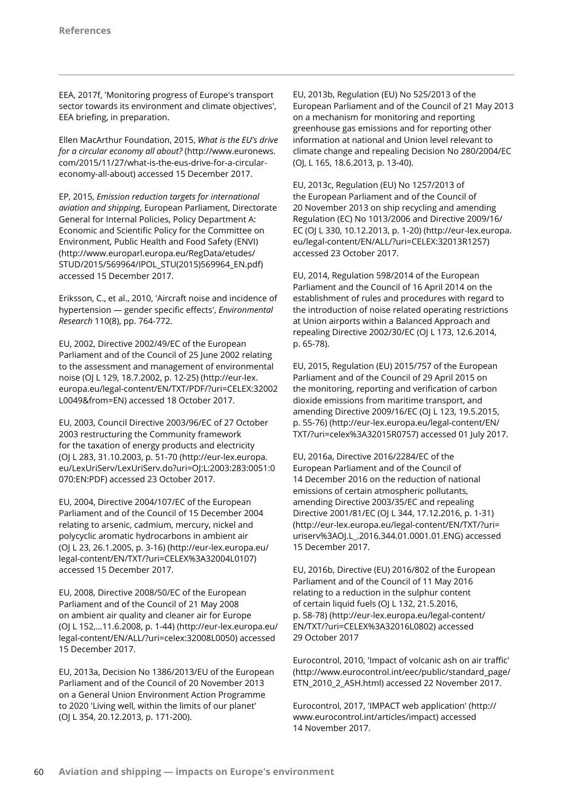EEA, 2017f, 'Monitoring progress of Europe's transport sector towards its environment and climate objectives', EEA briefing, in preparation.

Ellen MacArthur Foundation, 2015, *What is the EU's drive for a circular economy all about?* (http://www.euronews. com/2015/11/27/what-is-the-eus-drive-for-a-circulareconomy-all-about) accessed 15 December 2017.

EP, 2015, *Emission reduction targets for international aviation and shipping*, European Parliament, Directorate General for Internal Policies, Policy Department A: Economic and Scientific Policy for the Committee on Environment, Public Health and Food Safety (ENVI) (http://www.europarl.europa.eu/RegData/etudes/ STUD/2015/569964/IPOL\_STU(2015)569964\_EN.pdf) accessed 15 December 2017.

Eriksson, C., et al., 2010, 'Aircraft noise and incidence of hypertension — gender specific effects', *Environmental Research* 110(8), pp. 764-772.

EU, 2002, Directive 2002/49/EC of the European Parliament and of the Council of 25 June 2002 relating to the assessment and management of environmental noise (OJ L 129, 18.7.2002, p. 12-25) (http://eur-lex. europa.eu/legal-content/EN/TXT/PDF/?uri=CELEX:32002 L0049&from=EN) accessed 18 October 2017.

EU, 2003, Council Directive 2003/96/EC of 27 October 2003 restructuring the Community framework for the taxation of energy products and electricity (OJ L 283, 31.10.2003, p. 51-70 (http://eur-lex.europa. eu/LexUriServ/LexUriServ.do?uri=OJ:L:2003:283:0051:0 070:EN:PDF) accessed 23 October 2017.

EU, 2004, Directive 2004/107/EC of the European Parliament and of the Council of 15 December 2004 relating to arsenic, cadmium, mercury, nickel and polycyclic aromatic hydrocarbons in ambient air (OJ L 23, 26.1.2005, p. 3-16) (http://eur-lex.europa.eu/ legal-content/EN/TXT/?uri=CELEX%3A32004L0107) accessed 15 December 2017.

EU, 2008, Directive 2008/50/EC of the European Parliament and of the Council of 21 May 2008 on ambient air quality and cleaner air for Europe (OJ L 152,…11.6.2008, p. 1-44) (http://eur-lex.europa.eu/ legal-content/EN/ALL/?uri=celex:32008L0050) accessed 15 December 2017.

EU, 2013a, Decision No 1386/2013/EU of the European Parliament and of the Council of 20 November 2013 on a General Union Environment Action Programme to 2020 'Living well, within the limits of our planet' (OJ L 354, 20.12.2013, p. 171-200).

EU, 2013b, Regulation (EU) No 525/2013 of the European Parliament and of the Council of 21 May 2013 on a mechanism for monitoring and reporting greenhouse gas emissions and for reporting other information at national and Union level relevant to climate change and repealing Decision No 280/2004/EC (OJ, L 165, 18.6.2013, p. 13-40).

EU, 2013c, Regulation (EU) No 1257/2013 of the European Parliament and of the Council of 20 November 2013 on ship recycling and amending Regulation (EC) No 1013/2006 and Directive 2009/16/ EC (OJ L 330, 10.12.2013, p. 1-20) (http://eur-lex.europa. eu/legal-content/EN/ALL/?uri=CELEX:32013R1257) accessed 23 October 2017.

EU, 2014, Regulation 598/2014 of the European Parliament and the Council of 16 April 2014 on the establishment of rules and procedures with regard to the introduction of noise related operating restrictions at Union airports within a Balanced Approach and repealing Directive 2002/30/EC (OJ L 173, 12.6.2014, p. 65-78).

EU, 2015, Regulation (EU) 2015/757 of the European Parliament and of the Council of 29 April 2015 on the monitoring, reporting and verification of carbon dioxide emissions from maritime transport, and amending Directive 2009/16/EC (OJ L 123, 19.5.2015, p. 55-76) (http://eur-lex.europa.eu/legal-content/EN/ TXT/?uri=celex%3A32015R0757) accessed 01 July 2017.

EU, 2016a, Directive 2016/2284/EC of the European Parliament and of the Council of 14 December 2016 on the reduction of national emissions of certain atmospheric pollutants, amending Directive 2003/35/EC and repealing Directive 2001/81/EC (OJ L 344, 17.12.2016, p. 1-31) (http://eur-lex.europa.eu/legal-content/EN/TXT/?uri= uriserv%3AOJ.L\_.2016.344.01.0001.01.ENG) accessed 15 December 2017.

EU, 2016b, Directive (EU) 2016/802 of the European Parliament and of the Council of 11 May 2016 relating to a reduction in the sulphur content of certain liquid fuels (OJ L 132, 21.5.2016, p. 58‑78) (http://eur-lex.europa.eu/legal-content/ EN/TXT/?uri=CELEX%3A32016L0802) accessed 29 October 2017

Eurocontrol, 2010, 'Impact of volcanic ash on air traffic' (http://www.eurocontrol.int/eec/public/standard\_page/ ETN\_2010\_2\_ASH.html) accessed 22 November 2017.

Eurocontrol, 2017, 'IMPACT web application' (http:// www.eurocontrol.int/articles/impact) accessed 14 November 2017.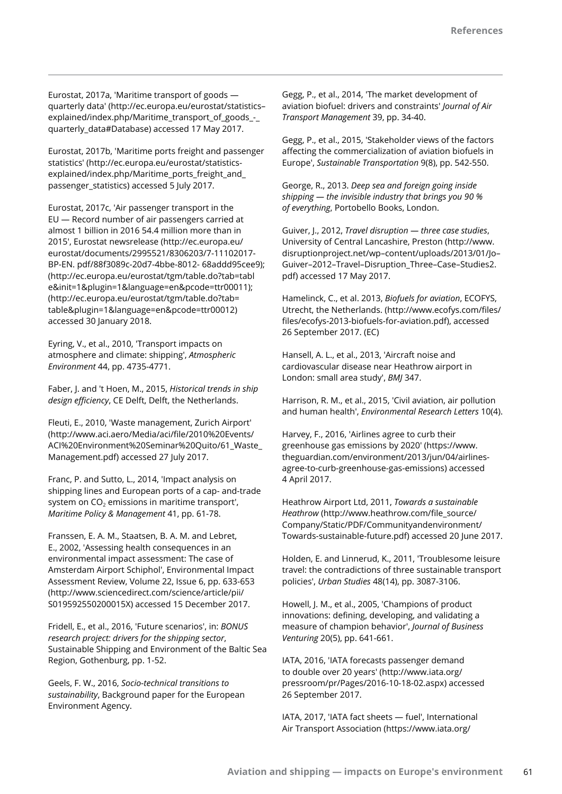Eurostat, 2017a, 'Maritime transport of goods quarterly data' (http://ec.europa.eu/eurostat/statistics– explained/index.php/Maritime\_transport\_of\_goods\_-\_ quarterly\_data#Database) accessed 17 May 2017.

Eurostat, 2017b, 'Maritime ports freight and passenger statistics' (http://ec.europa.eu/eurostat/statisticsexplained/index.php/Maritime\_ports\_freight\_and\_ passenger\_statistics) accessed 5 July 2017.

Eurostat, 2017c, 'Air passenger transport in the EU — Record number of air passengers carried at almost 1 billion in 2016 54.4 million more than in 2015', Eurostat newsrelease (http://ec.europa.eu/ eurostat/documents/2995521/8306203/7-11102017- BP-EN. pdf/88f3089c-20d7-4bbe-8012- 68addd95cee9); (http://ec.europa.eu/eurostat/tgm/table.do?tab=tabl e&init=1&plugin=1&language=en&pcode=ttr00011); (http://ec.europa.eu/eurostat/tgm/table.do?tab= table&plugin=1&language=en&pcode=ttr00012) accessed 30 January 2018.

Eyring, V., et al., 2010, 'Transport impacts on atmosphere and climate: shipping', *Atmospheric Environment* 44, pp. 4735-4771.

Faber, J. and 't Hoen, M., 2015, *Historical trends in ship design efficiency*, CE Delft, Delft, the Netherlands.

Fleuti, E., 2010, 'Waste management, Zurich Airport' (http://www.aci.aero/Media/aci/file/2010%20Events/ ACI%20Environment%20Seminar%20Quito/61\_Waste\_ Management.pdf) accessed 27 July 2017.

Franc, P. and Sutto, L., 2014, 'Impact analysis on shipping lines and European ports of a cap- and-trade system on  $CO<sub>2</sub>$  emissions in maritime transport', *Maritime Policy & Management* 41, pp. 61-78.

Franssen, E. A. M., Staatsen, B. A. M. and Lebret, E., 2002, 'Assessing health consequences in an environmental impact assessment: The case of Amsterdam Airport Schiphol', Environmental Impact Assessment Review, Volume 22, Issue 6, pp. 633-653 (http://www.sciencedirect.com/science/article/pii/ S019592550200015X) accessed 15 December 2017.

Fridell, E., et al., 2016, 'Future scenarios', in: *BONUS research project: drivers for the shipping sector*, Sustainable Shipping and Environment of the Baltic Sea Region, Gothenburg, pp. 1-52.

Geels, F. W., 2016, *Socio-technical transitions to sustainability*, Background paper for the European Environment Agency.

Gegg, P., et al., 2014, 'The market development of aviation biofuel: drivers and constraints' *Journal of Air Transport Management* 39, pp. 34-40.

Gegg, P., et al., 2015, 'Stakeholder views of the factors affecting the commercialization of aviation biofuels in Europe', *Sustainable Transportation* 9(8), pp. 542-550.

George, R., 2013. *Deep sea and foreign going inside shipping — the invisible industry that brings you 90 % of everything*, Portobello Books, London.

Guiver, J., 2012, *Travel disruption — three case studies*, University of Central Lancashire, Preston (http://www. disruptionproject.net/wp–content/uploads/2013/01/Jo– Guiver–2012–Travel–Disruption\_Three–Case–Studies2. pdf) accessed 17 May 2017.

Hamelinck, C., et al. 2013, *Biofuels for aviation*, ECOFYS, Utrecht, the Netherlands. (http://www.ecofys.com/files/ files/ecofys-2013-biofuels-for-aviation.pdf), accessed 26 September 2017. (EC)

Hansell, A. L., et al., 2013, 'Aircraft noise and cardiovascular disease near Heathrow airport in London: small area study', *BMJ* 347.

Harrison, R. M., et al., 2015, 'Civil aviation, air pollution and human health', *Environmental Research Letters* 10(4).

Harvey, F., 2016, 'Airlines agree to curb their greenhouse gas emissions by 2020' (https://www. theguardian.com/environment/2013/jun/04/airlinesagree-to-curb-greenhouse-gas-emissions) accessed 4 April 2017.

Heathrow Airport Ltd, 2011, *Towards a sustainable Heathrow* (http://www.heathrow.com/file\_source/ Company/Static/PDF/Communityandenvironment/ Towards-sustainable-future.pdf) accessed 20 June 2017.

Holden, E. and Linnerud, K., 2011, 'Troublesome leisure travel: the contradictions of three sustainable transport policies', *Urban Studies* 48(14), pp. 3087-3106.

Howell, J. M., et al., 2005, 'Champions of product innovations: defining, developing, and validating a measure of champion behavior', *Journal of Business Venturing* 20(5), pp. 641-661.

IATA, 2016, 'IATA forecasts passenger demand to double over 20 years' (http://www.iata.org/ pressroom/pr/Pages/2016-10-18-02.aspx) accessed 26 September 2017.

IATA, 2017, 'IATA fact sheets — fuel', International Air Transport Association (https://www.iata.org/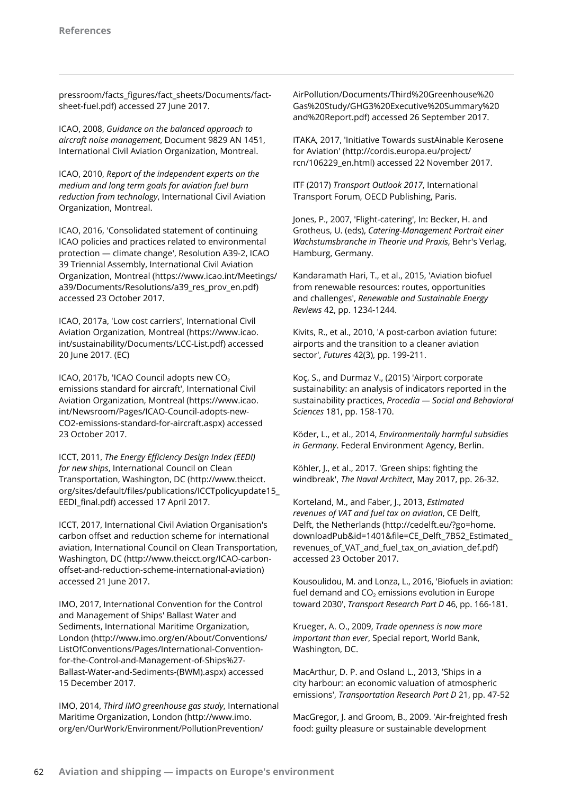pressroom/facts\_figures/fact\_sheets/Documents/factsheet-fuel.pdf) accessed 27 June 2017.

ICAO, 2008, *Guidance on the balanced approach to aircraft noise management*, Document 9829 AN 1451, International Civil Aviation Organization, Montreal.

ICAO, 2010, *Report of the independent experts on the medium and long term goals for aviation fuel burn reduction from technology*, International Civil Aviation Organization, Montreal.

ICAO, 2016, 'Consolidated statement of continuing ICAO policies and practices related to environmental protection — climate change', Resolution A39-2, ICAO 39 Triennial Assembly, International Civil Aviation Organization, Montreal (https://www.icao.int/Meetings/ a39/Documents/Resolutions/a39\_res\_prov\_en.pdf) accessed 23 October 2017.

ICAO, 2017a, 'Low cost carriers', International Civil Aviation Organization, Montreal (https://www.icao. int/sustainability/Documents/LCC-List.pdf) accessed 20 June 2017. (EC)

ICAO, 2017b, 'ICAO Council adopts new  $CO<sub>2</sub>$ emissions standard for aircraft', International Civil Aviation Organization, Montreal (https://www.icao. int/Newsroom/Pages/ICAO-Council-adopts-new-CO2-emissions-standard-for-aircraft.aspx) accessed 23 October 2017.

ICCT, 2011, *The Energy Efficiency Design Index (EEDI) for new ships*, International Council on Clean Transportation, Washington, DC (http://www.theicct. org/sites/default/files/publications/ICCTpolicyupdate15\_ EEDI\_final.pdf) accessed 17 April 2017.

ICCT, 2017, International Civil Aviation Organisation's carbon offset and reduction scheme for international aviation, International Council on Clean Transportation, Washington, DC (http://www.theicct.org/ICAO-carbonoffset-and-reduction-scheme-international-aviation) accessed 21 June 2017.

IMO, 2017, International Convention for the Control and Management of Ships' Ballast Water and Sediments, International Maritime Organization, London (http://www.imo.org/en/About/Conventions/ ListOfConventions/Pages/International-Conventionfor-the-Control-and-Management-of-Ships%27- Ballast-Water-and-Sediments-(BWM).aspx) accessed 15 December 2017.

IMO, 2014, *Third IMO greenhouse gas study*, International Maritime Organization, London (http://www.imo. org/en/OurWork/Environment/PollutionPrevention/

AirPollution/Documents/Third%20Greenhouse%20 Gas%20Study/GHG3%20Executive%20Summary%20 and%20Report.pdf) accessed 26 September 2017.

ITAKA, 2017, 'Initiative Towards sustAinable Kerosene for Aviation' (http://cordis.europa.eu/project/ rcn/106229\_en.html) accessed 22 November 2017.

ITF (2017) *Transport Outlook 2017*, International Transport Forum, OECD Publishing, Paris.

Jones, P., 2007, 'Flight-catering', In: Becker, H. and Grotheus, U. (eds), *Catering-Management Portrait einer Wachstumsbranche in Theorie und Praxis*, Behr's Verlag, Hamburg, Germany.

Kandaramath Hari, T., et al., 2015, 'Aviation biofuel from renewable resources: routes, opportunities and challenges', *Renewable and Sustainable Energy Reviews* 42, pp. 1234-1244.

Kivits, R., et al., 2010, 'A post-carbon aviation future: airports and the transition to a cleaner aviation sector', *Futures* 42(3), pp. 199-211.

Koç, S., and Durmaz V., (2015) 'Airport corporate sustainability: an analysis of indicators reported in the sustainability practices, *Procedia — Social and Behavioral Sciences* 181, pp. 158-170.

Köder, L., et al., 2014, *Environmentally harmful subsidies in Germany*. Federal Environment Agency, Berlin.

Köhler, J., et al., 2017. 'Green ships: fighting the windbreak', *The Naval Architect*, May 2017, pp. 26-32.

Korteland, M., and Faber, J., 2013, *Estimated revenues of VAT and fuel tax on aviation*, CE Delft, Delft, the Netherlands (http://cedelft.eu/?go=home. downloadPub&id=1401&file=CE\_Delft\_7B52\_Estimated\_ revenues\_of\_VAT\_and\_fuel\_tax\_on\_aviation\_def.pdf) accessed 23 October 2017.

Kousoulidou, M. and Lonza, L., 2016, 'Biofuels in aviation: fuel demand and  $CO<sub>2</sub>$  emissions evolution in Europe toward 2030', *Transport Research Part D* 46, pp. 166-181.

Krueger, A. O., 2009, *Trade openness is now more important than ever*, Special report, World Bank, Washington, DC.

MacArthur, D. P. and Osland L., 2013, 'Ships in a city harbour: an economic valuation of atmospheric emissions', *Transportation Research Part D* 21, pp. 47-52

MacGregor, J. and Groom, B., 2009. 'Air-freighted fresh food: guilty pleasure or sustainable development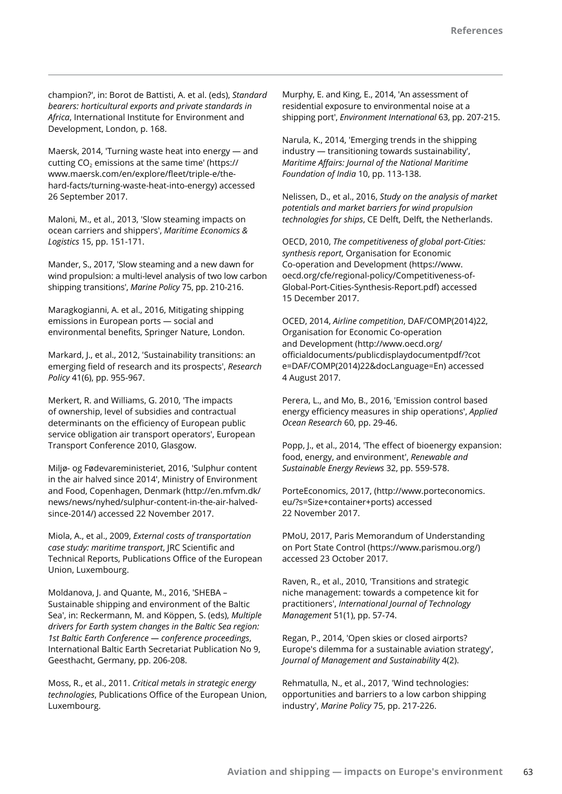champion?', in: Borot de Battisti, A. et al. (eds), *Standard bearers: horticultural exports and private standards in Africa*, International Institute for Environment and Development, London, p. 168.

Maersk, 2014, 'Turning waste heat into energy — and cutting  $CO<sub>2</sub>$  emissions at the same time' (https:// www.maersk.com/en/explore/fleet/triple-e/thehard-facts/turning-waste-heat-into-energy) accessed 26 September 2017.

Maloni, M., et al., 2013, 'Slow steaming impacts on ocean carriers and shippers', *Maritime Economics & Logistics* 15, pp. 151-171.

Mander, S., 2017, 'Slow steaming and a new dawn for wind propulsion: a multi-level analysis of two low carbon shipping transitions', *Marine Policy* 75, pp. 210-216.

Maragkogianni, A. et al., 2016, Mitigating shipping emissions in European ports — social and environmental benefits, Springer Nature, London.

Markard, J., et al., 2012, 'Sustainability transitions: an emerging field of research and its prospects', *Research Policy* 41(6), pp. 955-967.

Merkert, R. and Williams, G. 2010, 'The impacts of ownership, level of subsidies and contractual determinants on the efficiency of European public service obligation air transport operators', European Transport Conference 2010, Glasgow.

Miljø- og Fødevareministeriet, 2016, 'Sulphur content in the air halved since 2014', Ministry of Environment and Food, Copenhagen, Denmark (http://en.mfvm.dk/ news/news/nyhed/sulphur-content-in-the-air-halvedsince-2014/) accessed 22 November 2017.

Miola, A., et al., 2009, *External costs of transportation case study: maritime transport*, JRC Scientific and Technical Reports, Publications Office of the European Union, Luxembourg.

Moldanova, J. and Quante, M., 2016, 'SHEBA – Sustainable shipping and environment of the Baltic Sea', in: Reckermann, M. and Köppen, S. (eds), *Multiple drivers for Earth system changes in the Baltic Sea region: 1st Baltic Earth Conference — conference proceedings*, International Baltic Earth Secretariat Publication No 9, Geesthacht, Germany, pp. 206-208.

Moss, R., et al., 2011. *Critical metals in strategic energy technologies*, Publications Office of the European Union, Luxembourg.

Murphy, E. and King, E., 2014, 'An assessment of residential exposure to environmental noise at a shipping port', *Environment International* 63, pp. 207-215.

Narula, K., 2014, 'Emerging trends in the shipping industry — transitioning towards sustainability', *Maritime Affairs: Journal of the National Maritime Foundation of India* 10, pp. 113-138.

Nelissen, D., et al., 2016, *Study on the analysis of market potentials and market barriers for wind propulsion technologies for ships*, CE Delft, Delft, the Netherlands.

OECD, 2010, *The competitiveness of global port-Cities: synthesis report*, Organisation for Economic Co-operation and Development (https://www. oecd.org/cfe/regional-policy/Competitiveness-of-Global-Port-Cities-Synthesis-Report.pdf) accessed 15 December 2017.

OCED, 2014, *Airline competition*, DAF/COMP(2014)22, Organisation for Economic Co-operation and Development (http://www.oecd.org/ officialdocuments/publicdisplaydocumentpdf/?cot e=DAF/COMP(2014)22&docLanguage=En) accessed 4 August 2017.

Perera, L., and Mo, B., 2016, 'Emission control based energy efficiency measures in ship operations', *Applied Ocean Research* 60, pp. 29-46.

Popp, J., et al., 2014, 'The effect of bioenergy expansion: food, energy, and environment', *Renewable and Sustainable Energy Reviews* 32, pp. 559-578.

PorteEconomics, 2017, (http://www.porteconomics. eu/?s=Size+container+ports) accessed 22 November 2017.

PMoU, 2017, Paris Memorandum of Understanding on Port State Control (https://www.parismou.org/) accessed 23 October 2017.

Raven, R., et al., 2010, 'Transitions and strategic niche management: towards a competence kit for practitioners', *International Journal of Technology Management* 51(1), pp. 57-74.

Regan, P., 2014, 'Open skies or closed airports? Europe's dilemma for a sustainable aviation strategy', *Journal of Management and Sustainability* 4(2).

Rehmatulla, N., et al., 2017, 'Wind technologies: opportunities and barriers to a low carbon shipping industry', *Marine Policy* 75, pp. 217-226.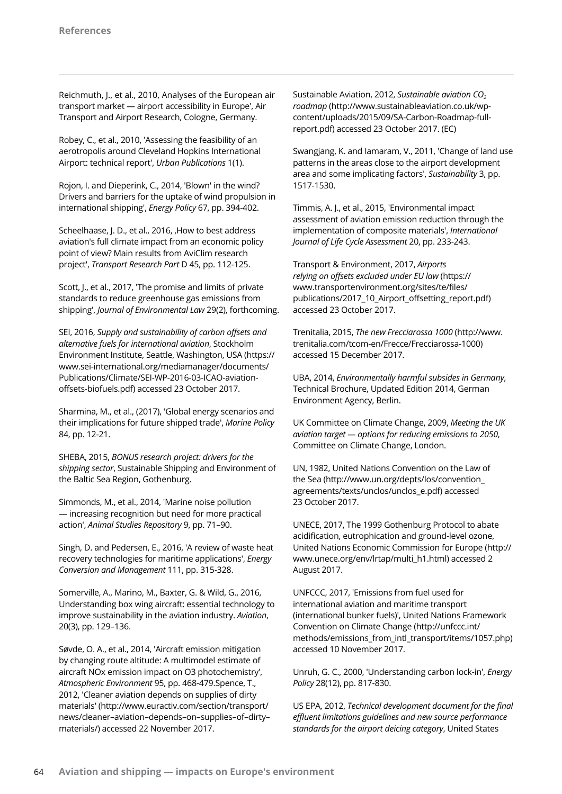Reichmuth, J., et al., 2010, Analyses of the European air transport market — airport accessibility in Europe', Air Transport and Airport Research, Cologne, Germany.

Robey, C., et al., 2010, 'Assessing the feasibility of an aerotropolis around Cleveland Hopkins International Airport: technical report', *Urban Publications* 1(1).

Rojon, I. and Dieperink, C., 2014, 'Blown' in the wind? Drivers and barriers for the uptake of wind propulsion in international shipping', *Energy Policy* 67, pp. 394-402.

Scheelhaase, J. D., et al., 2016, , How to best address aviation's full climate impact from an economic policy point of view? Main results from AviClim research project', *Transport Research Part* D 45, pp. 112-125.

Scott, J., et al., 2017, 'The promise and limits of private standards to reduce greenhouse gas emissions from shipping', *Journal of Environmental Law* 29(2), forthcoming.

SEI, 2016, *Supply and sustainability of carbon offsets and alternative fuels for international aviation*, Stockholm Environment Institute, Seattle, Washington, USA (https:// www.sei-international.org/mediamanager/documents/ Publications/Climate/SEI-WP-2016-03-ICAO-aviationoffsets-biofuels.pdf) accessed 23 October 2017.

Sharmina, M., et al., (2017), 'Global energy scenarios and their implications for future shipped trade', *Marine Policy* 84, pp. 12-21.

SHEBA, 2015, *BONUS research project: drivers for the shipping sector*, Sustainable Shipping and Environment of the Baltic Sea Region, Gothenburg.

Simmonds, M., et al., 2014, 'Marine noise pollution — increasing recognition but need for more practical action', *Animal Studies Repository* 9, pp. 71–90.

Singh, D. and Pedersen, E., 2016, 'A review of waste heat recovery technologies for maritime applications', *Energy Conversion and Management* 111, pp. 315-328.

Somerville, A., Marino, M., Baxter, G. & Wild, G., 2016, Understanding box wing aircraft: essential technology to improve sustainability in the aviation industry. *Aviation*, 20(3), pp. 129–136.

Søvde, O. A., et al., 2014, 'Aircraft emission mitigation by changing route altitude: A multimodel estimate of aircraft NOx emission impact on O3 photochemistry', *Atmospheric Environment* 95, pp. 468-479.Spence, T., 2012, 'Cleaner aviation depends on supplies of dirty materials' (http://www.euractiv.com/section/transport/ news/cleaner–aviation–depends–on–supplies–of–dirty– materials/) accessed 22 November 2017.

Sustainable Aviation, 2012, *Sustainable aviation CO<sub>2</sub> roadmap* (http://www.sustainableaviation.co.uk/wpcontent/uploads/2015/09/SA-Carbon-Roadmap-fullreport.pdf) accessed 23 October 2017. (EC)

Swangjang, K. and Iamaram, V., 2011, 'Change of land use patterns in the areas close to the airport development area and some implicating factors', *Sustainability* 3, pp. 1517-1530.

Timmis, A. J., et al., 2015, 'Environmental impact assessment of aviation emission reduction through the implementation of composite materials', *International Journal of Life Cycle Assessment* 20, pp. 233-243.

Transport & Environment, 2017, *Airports relying on offsets excluded under EU law* (https:// www.transportenvironment.org/sites/te/files/ publications/2017\_10\_Airport\_offsetting\_report.pdf) accessed 23 October 2017.

Trenitalia, 2015, *The new Frecciarossa 1000* (http://www. trenitalia.com/tcom-en/Frecce/Frecciarossa-1000) accessed 15 December 2017.

UBA, 2014, *Environmentally harmful subsides in Germany*, Technical Brochure, Updated Edition 2014, German Environment Agency, Berlin.

UK Committee on Climate Change, 2009, *Meeting the UK aviation target — options for reducing emissions to 2050*, Committee on Climate Change, London.

UN, 1982, United Nations Convention on the Law of the Sea (http://www.un.org/depts/los/convention\_ agreements/texts/unclos/unclos\_e.pdf) accessed 23 October 2017.

UNECE, 2017, The 1999 Gothenburg Protocol to abate acidification, eutrophication and ground-level ozone, United Nations Economic Commission for Europe (http:// www.unece.org/env/lrtap/multi\_h1.html) accessed 2 August 2017.

UNFCCC, 2017, 'Emissions from fuel used for international aviation and maritime transport (international bunker fuels)', United Nations Framework Convention on Climate Change (http://unfccc.int/ methods/emissions\_from\_intl\_transport/items/1057.php) accessed 10 November 2017.

Unruh, G. C., 2000, 'Understanding carbon lock-in', *Energy Policy* 28(12), pp. 817-830.

US EPA, 2012, *Technical development document for the final effluent limitations guidelines and new source performance standards for the airport deicing category*, United States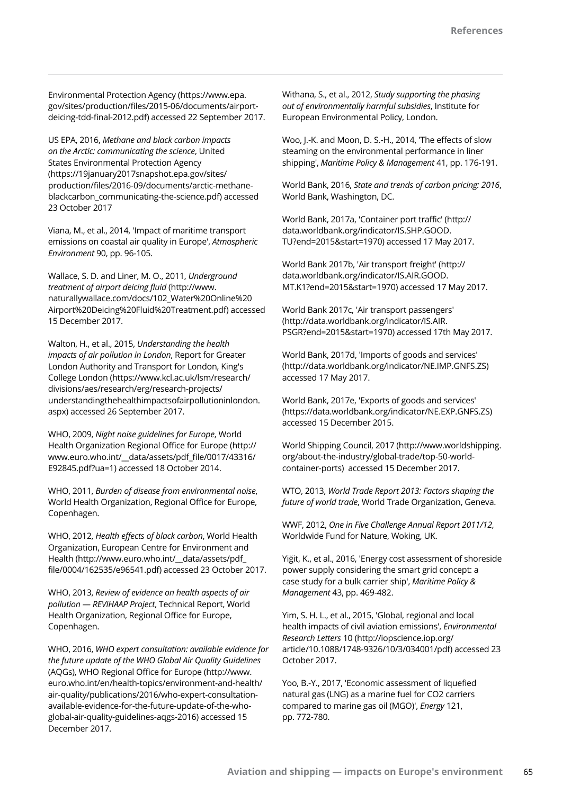Environmental Protection Agency (https://www.epa. gov/sites/production/files/2015-06/documents/airportdeicing-tdd-final-2012.pdf) accessed 22 September 2017.

US EPA, 2016, *Methane and black carbon impacts on the Arctic: communicating the science*, United States Environmental Protection Agency (https://19january2017snapshot.epa.gov/sites/ production/files/2016-09/documents/arctic-methaneblackcarbon\_communicating-the-science.pdf) accessed 23 October 2017

Viana, M., et al., 2014, 'Impact of maritime transport emissions on coastal air quality in Europe', *Atmospheric Environment* 90, pp. 96-105.

Wallace, S. D. and Liner, M. O., 2011, *Underground treatment of airport deicing fluid* (http://www. naturallywallace.com/docs/102\_Water%20Online%20 Airport%20Deicing%20Fluid%20Treatment.pdf) accessed 15 December 2017.

Walton, H., et al., 2015, *Understanding the health impacts of air pollution in London*, Report for Greater London Authority and Transport for London, King's College London (https://www.kcl.ac.uk/lsm/research/ divisions/aes/research/erg/research-projects/ understandingthehealthimpactsofairpollutioninlondon. aspx) accessed 26 September 2017.

WHO, 2009, *Night noise guidelines for Europe*, World Health Organization Regional Office for Europe (http:// www.euro.who.int/\_\_data/assets/pdf\_file/0017/43316/ E92845.pdf?ua=1) accessed 18 October 2014.

WHO, 2011, *Burden of disease from environmental noise*, World Health Organization, Regional Office for Europe, Copenhagen.

WHO, 2012, *Health effects of black carbon*, World Health Organization, European Centre for Environment and Health (http://www.euro.who.int/\_\_data/assets/pdf\_ file/0004/162535/e96541.pdf) accessed 23 October 2017.

WHO, 2013, *Review of evidence on health aspects of air pollution — REVIHAAP Project*, Technical Report, World Health Organization, Regional Office for Europe, Copenhagen.

WHO, 2016, *WHO expert consultation: available evidence for the future update of the WHO Global Air Quality Guidelines* (AQGs), WHO Regional Office for Europe (http://www. euro.who.int/en/health-topics/environment-and-health/ air-quality/publications/2016/who-expert-consultationavailable-evidence-for-the-future-update-of-the-whoglobal-air-quality-guidelines-aqgs-2016) accessed 15 December 2017.

Withana, S., et al., 2012, *Study supporting the phasing out of environmentally harmful subsidies*, Institute for European Environmental Policy, London.

Woo, J.-K. and Moon, D. S.-H., 2014, 'The effects of slow steaming on the environmental performance in liner shipping', *Maritime Policy & Management* 41, pp. 176-191.

World Bank, 2016, *State and trends of carbon pricing: 2016*, World Bank, Washington, DC.

World Bank, 2017a, 'Container port traffic' (http:// data.worldbank.org/indicator/IS.SHP.GOOD. TU?end=2015&start=1970) accessed 17 May 2017.

World Bank 2017b, 'Air transport freight' (http:// data.worldbank.org/indicator/IS.AIR.GOOD. MT.K1?end=2015&start=1970) accessed 17 May 2017.

World Bank 2017c, 'Air transport passengers' (http://data.worldbank.org/indicator/IS.AIR. PSGR?end=2015&start=1970) accessed 17th May 2017.

World Bank, 2017d, 'Imports of goods and services' (http://data.worldbank.org/indicator/NE.IMP.GNFS.ZS) accessed 17 May 2017.

World Bank, 2017e, 'Exports of goods and services' (https://data.worldbank.org/indicator/NE.EXP.GNFS.ZS) accessed 15 December 2015.

World Shipping Council, 2017 (http://www.worldshipping. org/about-the-industry/global-trade/top-50-worldcontainer-ports) accessed 15 December 2017.

WTO, 2013, *World Trade Report 2013: Factors shaping the future of world trade*, World Trade Organization, Geneva.

WWF, 2012, *One in Five Challenge Annual Report 2011/12*, Worldwide Fund for Nature, Woking, UK.

Yiğit, K., et al., 2016, 'Energy cost assessment of shoreside power supply considering the smart grid concept: a case study for a bulk carrier ship', *Maritime Policy & Management* 43, pp. 469-482.

Yim, S. H. L., et al., 2015, 'Global, regional and local health impacts of civil aviation emissions', *Environmental Research Letters* 10 (http://iopscience.iop.org/ article/10.1088/1748-9326/10/3/034001/pdf) accessed 23 October 2017.

Yoo, B.-Y., 2017, 'Economic assessment of liquefied natural gas (LNG) as a marine fuel for CO2 carriers compared to marine gas oil (MGO)', *Energy* 121, pp. 772-780.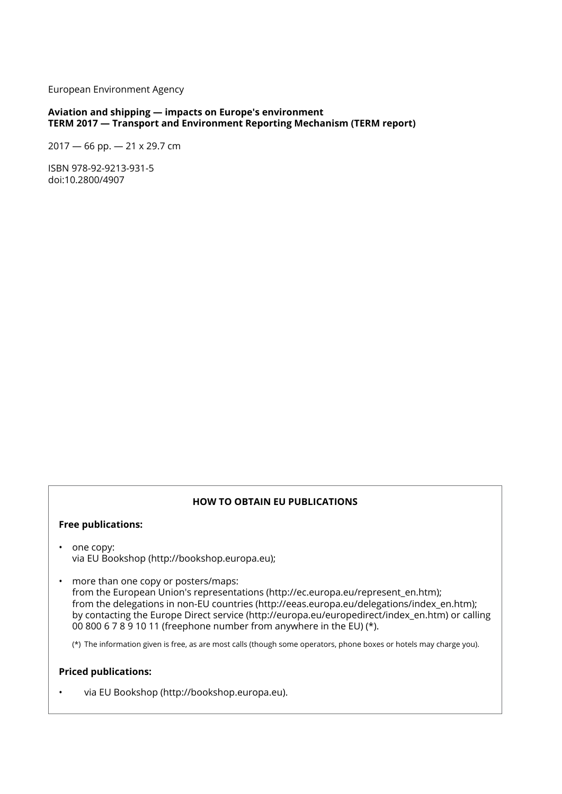European Environment Agency

## **Aviation and shipping — impacts on Europe's environment TERM 2017 — Transport and Environment Reporting Mechanism (TERM report)**

2017 — 66 pp. — 21 x 29.7 cm

ISBN 978-92-9213-931-5 doi:10.2800/4907

## **HOW TO OBTAIN EU PUBLICATIONS**

#### **Free publications:**

- one copy: via EU Bookshop (http://bookshop.europa.eu);
- more than one copy or posters/maps: from the European Union's representations (http://ec.europa.eu/represent\_en.htm); from the delegations in non-EU countries (http://eeas.europa.eu/delegations/index en.htm); by contacting the Europe Direct service (http://europa.eu/europedirect/index\_en.htm) or calling 00 800 6 7 8 9 10 11 (freephone number from anywhere in the EU) (\*).

(\*) The information given is free, as are most calls (though some operators, phone boxes or hotels may charge you).

## **Priced publications:**

• via EU Bookshop (http://bookshop.europa.eu).